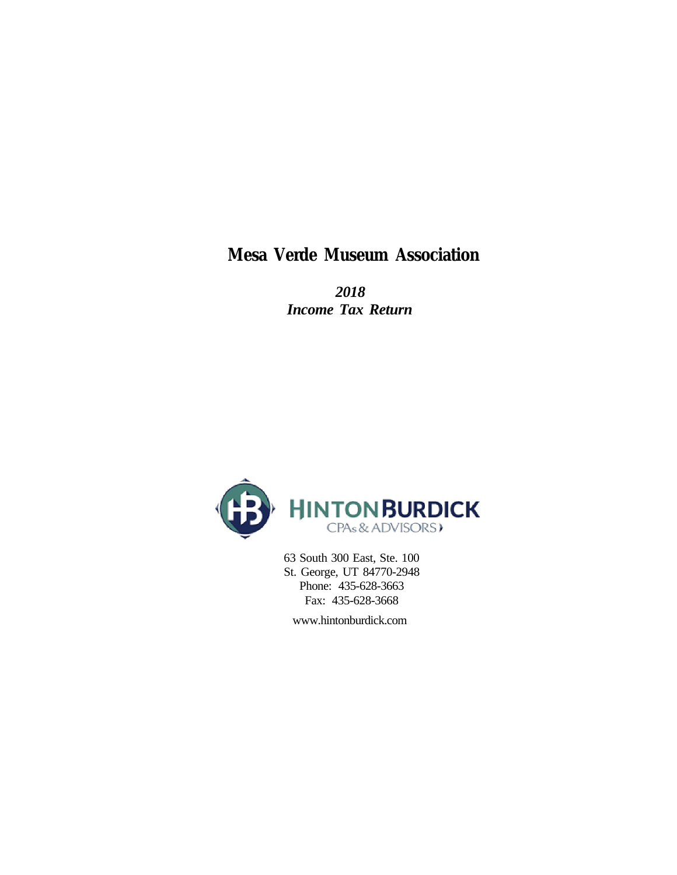**Mesa Verde Museum Association**

 *2018 Income Tax Return*



 63 South 300 East, Ste. 100 St. George, UT 84770-2948 Phone: 435-628-3663 Fax: 435-628-3668

www.hintonburdick.com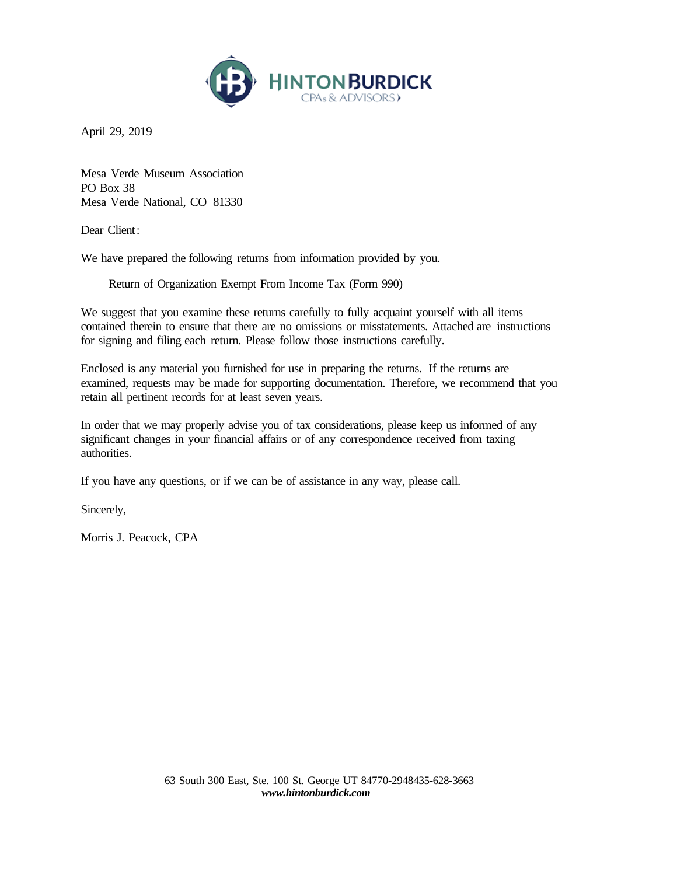

April 29, 2019

Mesa Verde Museum Association PO Box 38 Mesa Verde National, CO 81330

Dear Client:

We have prepared the following returns from information provided by you.

Return of Organization Exempt From Income Tax (Form 990)

We suggest that you examine these returns carefully to fully acquaint yourself with all items contained therein to ensure that there are no omissions or misstatements. Attached are instructions for signing and filing each return. Please follow those instructions carefully.

Enclosed is any material you furnished for use in preparing the returns. If the returns are examined, requests may be made for supporting documentation. Therefore, we recommend that you retain all pertinent records for at least seven years.

In order that we may properly advise you of tax considerations, please keep us informed of any significant changes in your financial affairs or of any correspondence received from taxing authorities.

If you have any questions, or if we can be of assistance in any way, please call.

Sincerely,

Morris J. Peacock, CPA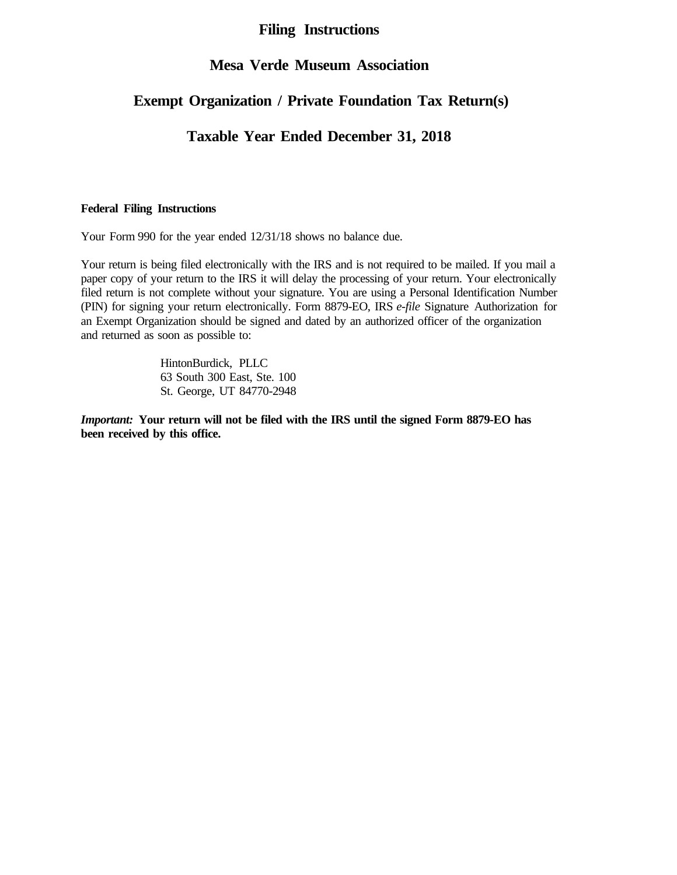#### **Filing Instructions**

#### **Mesa Verde Museum Association**

## **Exempt Organization / Private Foundation Tax Return(s)**

### **Taxable Year Ended December 31, 2018**

#### **Federal Filing Instructions**

Your Form 990 for the year ended 12/31/18 shows no balance due.

Your return is being filed electronically with the IRS and is not required to be mailed. If you mail a paper copy of your return to the IRS it will delay the processing of your return. Your electronically filed return is not complete without your signature. You are using a Personal Identification Number (PIN) for signing your return electronically. Form 8879-EO, IRS *e-file* Signature Authorization for an Exempt Organization should be signed and dated by an authorized officer of the organization and returned as soon as possible to:

> HintonBurdick, PLLC 63 South 300 East, Ste. 100 St. George, UT 84770-2948

*Important:* **Your return will not be filed with the IRS until the signed Form 8879-EO has been received by this office.**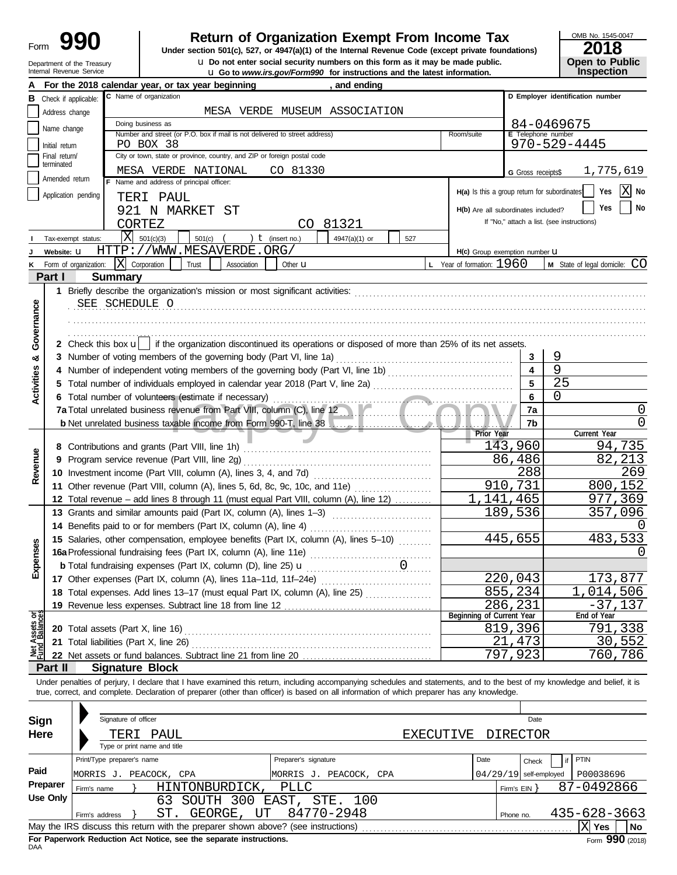| Form |                                                        |
|------|--------------------------------------------------------|
|      | Department of the Treasury<br>Internal Revenue Service |

## **990 1990 2018 2018 Depend on Brand Property From Income Tax 1947(a)(1) of the Internal Revenue Code (except private foundations)**

**u** Go to *www.irs.gov/Form990* for instructions and the latest information.  $\bf{u}$  Do not enter social security numbers on this form as it may be made public.

|  | OMB No. 1545-0047 |  |
|--|-------------------|--|
|  |                   |  |

| ZU18                                 |
|--------------------------------------|
| <b>Open to Public<br/>Inspection</b> |
|                                      |

|                                |                       |                | For the 2018 calendar year, or tax year beginning                                                                                                                                                                                                                                                                        |                      | , and ending                  |     |                                              |                          |                                            |  |  |  |
|--------------------------------|-----------------------|----------------|--------------------------------------------------------------------------------------------------------------------------------------------------------------------------------------------------------------------------------------------------------------------------------------------------------------------------|----------------------|-------------------------------|-----|----------------------------------------------|--------------------------|--------------------------------------------|--|--|--|
| в                              | Check if applicable:  |                | C Name of organization                                                                                                                                                                                                                                                                                                   |                      |                               |     |                                              |                          | D Employer identification number           |  |  |  |
|                                | Address change        |                |                                                                                                                                                                                                                                                                                                                          |                      | MESA VERDE MUSEUM ASSOCIATION |     |                                              |                          |                                            |  |  |  |
|                                | Name change           |                | Doing business as<br>84-0469675                                                                                                                                                                                                                                                                                          |                      |                               |     |                                              |                          |                                            |  |  |  |
|                                | Initial return        |                | Number and street (or P.O. box if mail is not delivered to street address)<br>E Telephone number<br>Room/suite<br>$970 - 529 - 4445$<br>PO BOX 38                                                                                                                                                                        |                      |                               |     |                                              |                          |                                            |  |  |  |
|                                | Final return/         |                | City or town, state or province, country, and ZIP or foreign postal code                                                                                                                                                                                                                                                 |                      |                               |     |                                              |                          |                                            |  |  |  |
|                                | terminated            |                | MESA VERDE NATIONAL                                                                                                                                                                                                                                                                                                      | CO 81330             |                               |     |                                              | G Gross receipts\$       | 1,775,619                                  |  |  |  |
|                                | Amended return        |                | Name and address of principal officer:                                                                                                                                                                                                                                                                                   |                      |                               |     |                                              |                          |                                            |  |  |  |
|                                | Application pending   |                | TERI PAUL                                                                                                                                                                                                                                                                                                                |                      |                               |     | H(a) Is this a group return for subordinates |                          | X No<br>Yes                                |  |  |  |
|                                |                       |                | 921 N MARKET ST                                                                                                                                                                                                                                                                                                          |                      |                               |     | H(b) Are all subordinates included?          |                          | No<br>Yes                                  |  |  |  |
|                                |                       |                | CORTEZ                                                                                                                                                                                                                                                                                                                   | CO.                  | 81321                         |     |                                              |                          | If "No," attach a list. (see instructions) |  |  |  |
|                                | Tax-exempt status:    |                | ΙX<br>501(c)(3)<br>501(c)                                                                                                                                                                                                                                                                                                | $t$ (insert no.)     | 4947(a)(1) or                 | 527 |                                              |                          |                                            |  |  |  |
|                                | Website: U            |                | HTTP://WWW.MESAVERDE.ORG/                                                                                                                                                                                                                                                                                                |                      |                               |     | H(c) Group exemption number LI               |                          |                                            |  |  |  |
| ĸ                              | Form of organization: |                | $ X $ Corporation<br>Trust<br>Association                                                                                                                                                                                                                                                                                | Other <b>u</b>       |                               |     | L Year of formation: $1960$                  |                          | M State of legal domicile: CO              |  |  |  |
|                                | Part I                |                | <b>Summary</b>                                                                                                                                                                                                                                                                                                           |                      |                               |     |                                              |                          |                                            |  |  |  |
|                                |                       |                | 1 Briefly describe the organization's mission or most significant activities:                                                                                                                                                                                                                                            |                      |                               |     |                                              |                          |                                            |  |  |  |
|                                |                       |                | SEE SCHEDULE O                                                                                                                                                                                                                                                                                                           |                      |                               |     |                                              |                          |                                            |  |  |  |
|                                |                       |                |                                                                                                                                                                                                                                                                                                                          |                      |                               |     |                                              |                          |                                            |  |  |  |
|                                |                       |                |                                                                                                                                                                                                                                                                                                                          |                      |                               |     |                                              |                          |                                            |  |  |  |
| Governance                     |                       |                | 2 Check this box u   if the organization discontinued its operations or disposed of more than 25% of its net assets.                                                                                                                                                                                                     |                      |                               |     |                                              |                          |                                            |  |  |  |
| න්                             |                       |                |                                                                                                                                                                                                                                                                                                                          |                      |                               |     |                                              | 3                        | 9                                          |  |  |  |
|                                |                       |                |                                                                                                                                                                                                                                                                                                                          |                      |                               |     |                                              | 4                        | 9                                          |  |  |  |
| <b>Activities</b>              |                       |                |                                                                                                                                                                                                                                                                                                                          |                      |                               |     |                                              |                          | 25                                         |  |  |  |
|                                |                       |                | 6 Total number of volunteers (estimate if necessary)                                                                                                                                                                                                                                                                     |                      |                               |     |                                              | 6                        | 0                                          |  |  |  |
|                                |                       |                | 7a Total unrelated business revenue from Part VIII, column (C), line 12                                                                                                                                                                                                                                                  |                      |                               |     |                                              | 7a                       | 0                                          |  |  |  |
|                                |                       |                |                                                                                                                                                                                                                                                                                                                          |                      |                               |     |                                              | 7b                       | 0                                          |  |  |  |
|                                |                       |                |                                                                                                                                                                                                                                                                                                                          |                      |                               |     | Prior Year                                   | 143,960                  | Current Year<br>$\overline{94,735}$        |  |  |  |
|                                |                       |                | 8 Contributions and grants (Part VIII, line 1h)<br>Program service revenue (Part VIII, line 2g)                                                                                                                                                                                                                          |                      |                               |     |                                              | 86,486                   | 82,213                                     |  |  |  |
|                                | 9                     |                | 10 Investment income (Part VIII, column (A), lines 3, 4, and 7d)                                                                                                                                                                                                                                                         |                      |                               |     |                                              | 288                      | 269                                        |  |  |  |
| Revenue                        |                       |                | 11 Other revenue (Part VIII, column (A), lines 5, 6d, 8c, 9c, 10c, and 11e)                                                                                                                                                                                                                                              |                      |                               |     |                                              | 910,731                  | 800,152                                    |  |  |  |
|                                |                       |                | 12 Total revenue - add lines 8 through 11 (must equal Part VIII, column (A), line 12)                                                                                                                                                                                                                                    |                      |                               |     | $\overline{1,141,465}$                       |                          | 977,369                                    |  |  |  |
|                                |                       |                | 13 Grants and similar amounts paid (Part IX, column (A), lines 1-3)                                                                                                                                                                                                                                                      |                      |                               |     |                                              | 189,536                  | 357,096                                    |  |  |  |
|                                | 14                    |                | Benefits paid to or for members (Part IX, column (A), line 4)                                                                                                                                                                                                                                                            |                      |                               |     |                                              |                          | $\left( \right)$                           |  |  |  |
|                                |                       |                | 15 Salaries, other compensation, employee benefits (Part IX, column (A), lines 5-10)                                                                                                                                                                                                                                     |                      |                               |     |                                              | 445,655                  | 483,533                                    |  |  |  |
| Expenses                       |                       |                | 16a Professional fundraising fees (Part IX, column (A), line 11e)                                                                                                                                                                                                                                                        |                      |                               |     |                                              |                          | Ω                                          |  |  |  |
|                                |                       |                | <b>b</b> Total fundraising expenses (Part IX, column (D), line 25) <b>u</b>                                                                                                                                                                                                                                              |                      |                               | 0   |                                              |                          |                                            |  |  |  |
|                                |                       |                | 17 Other expenses (Part IX, column (A), lines 11a-11d, 11f-24e)                                                                                                                                                                                                                                                          |                      |                               |     |                                              | 220,043                  | 173,877                                    |  |  |  |
|                                |                       |                | 18 Total expenses. Add lines 13-17 (must equal Part IX, column (A), line 25)                                                                                                                                                                                                                                             |                      |                               |     |                                              | 855,234                  | 014,506                                    |  |  |  |
|                                |                       |                |                                                                                                                                                                                                                                                                                                                          |                      |                               |     |                                              | 286,231                  | $-37,137$                                  |  |  |  |
|                                |                       |                |                                                                                                                                                                                                                                                                                                                          |                      |                               |     | Beginning of Current Year                    |                          | End of Year                                |  |  |  |
| Net Assets or<br>Fund Balances |                       |                |                                                                                                                                                                                                                                                                                                                          |                      |                               |     |                                              | 819,396                  | 791,338                                    |  |  |  |
|                                |                       |                |                                                                                                                                                                                                                                                                                                                          |                      |                               |     | 21                                           | ,473                     | 30,552                                     |  |  |  |
|                                |                       |                | 22 Net assets or fund balances. Subtract line 21 from line 20                                                                                                                                                                                                                                                            |                      |                               |     |                                              | 797,923                  | 760,786                                    |  |  |  |
|                                | Part II               |                | <b>Signature Block</b>                                                                                                                                                                                                                                                                                                   |                      |                               |     |                                              |                          |                                            |  |  |  |
|                                |                       |                | Under penalties of perjury, I declare that I have examined this return, including accompanying schedules and statements, and to the best of my knowledge and belief, it is<br>true, correct, and complete. Declaration of preparer (other than officer) is based on all information of which preparer has any knowledge. |                      |                               |     |                                              |                          |                                            |  |  |  |
|                                |                       |                |                                                                                                                                                                                                                                                                                                                          |                      |                               |     |                                              |                          |                                            |  |  |  |
|                                |                       |                | Signature of officer                                                                                                                                                                                                                                                                                                     |                      |                               |     |                                              | Date                     |                                            |  |  |  |
| <b>Sign</b>                    |                       |                |                                                                                                                                                                                                                                                                                                                          |                      |                               |     |                                              |                          |                                            |  |  |  |
| Here                           |                       |                | TERI PAUL<br>Type or print name and title                                                                                                                                                                                                                                                                                |                      |                               |     | EXECUTIVE                                    | DIRECTOR                 |                                            |  |  |  |
|                                |                       |                | Print/Type preparer's name                                                                                                                                                                                                                                                                                               | Preparer's signature |                               |     | Date                                         |                          | <b>PTIN</b><br>if                          |  |  |  |
| Paid                           |                       |                |                                                                                                                                                                                                                                                                                                                          |                      |                               |     |                                              | Check                    |                                            |  |  |  |
|                                | Preparer              |                | MORRIS J. PEACOCK, CPA                                                                                                                                                                                                                                                                                                   |                      | MORRIS J. PEACOCK, CPA        |     |                                              | $04/29/19$ self-employed | P00038696                                  |  |  |  |
|                                | <b>Use Only</b>       | Firm's name    | HINTONBURDICK,<br>SOUTH 300 EAST, STE. 100<br>63                                                                                                                                                                                                                                                                         | PLLC                 |                               |     |                                              | Firm's EIN }             | 87-0492866                                 |  |  |  |
|                                |                       |                | ST.<br>GEORGE, UT                                                                                                                                                                                                                                                                                                        |                      | 84770-2948                    |     |                                              |                          | 435-628-3663                               |  |  |  |
|                                |                       | Firm's address | May the IRS discuss this return with the preparer shown above? (see instructions)                                                                                                                                                                                                                                        |                      |                               |     |                                              | Phone no.                | $ X $ Yes<br>No                            |  |  |  |
|                                |                       |                |                                                                                                                                                                                                                                                                                                                          |                      |                               |     |                                              |                          |                                            |  |  |  |

| Sign     |                                                                                       | Signature of officer         |                                                                                   |                           |           |           | Date              |                  |  |  |  |
|----------|---------------------------------------------------------------------------------------|------------------------------|-----------------------------------------------------------------------------------|---------------------------|-----------|-----------|-------------------|------------------|--|--|--|
| Here     |                                                                                       | TERI PAUL                    |                                                                                   |                           | EXECUTIVE |           | DIRECTOR          |                  |  |  |  |
|          |                                                                                       | Type or print name and title |                                                                                   |                           |           |           |                   |                  |  |  |  |
|          |                                                                                       | Print/Type preparer's name   |                                                                                   | Preparer's signature      |           | Date      | Check             | PTIN             |  |  |  |
| Paid     | MORRIS J.                                                                             |                              | PEACOCK, CPA                                                                      | MORRIS J.<br>PEACOCK, CPA |           | 04/29/19  | self-employed     | P00038696        |  |  |  |
| Preparer | Firm's name                                                                           |                              | HINTONBURDICK.                                                                    | PLLC                      |           |           | Firm's $EIN$ $\}$ | 87-0492866       |  |  |  |
| Use Only |                                                                                       |                              | 63                                                                                | SOUTH 300 EAST, STE. 100  |           |           |                   |                  |  |  |  |
|          | Firm's address                                                                        |                              | GEORGE,<br>UT<br>ST.                                                              | 84770-2948                |           | Phone no. |                   | 435-628-3663     |  |  |  |
|          |                                                                                       |                              | May the IRS discuss this return with the preparer shown above? (see instructions) |                           |           |           |                   | No<br><b>Yes</b> |  |  |  |
| DAA      | Form 990 (2018)<br>For Paperwork Reduction Act Notice, see the separate instructions. |                              |                                                                                   |                           |           |           |                   |                  |  |  |  |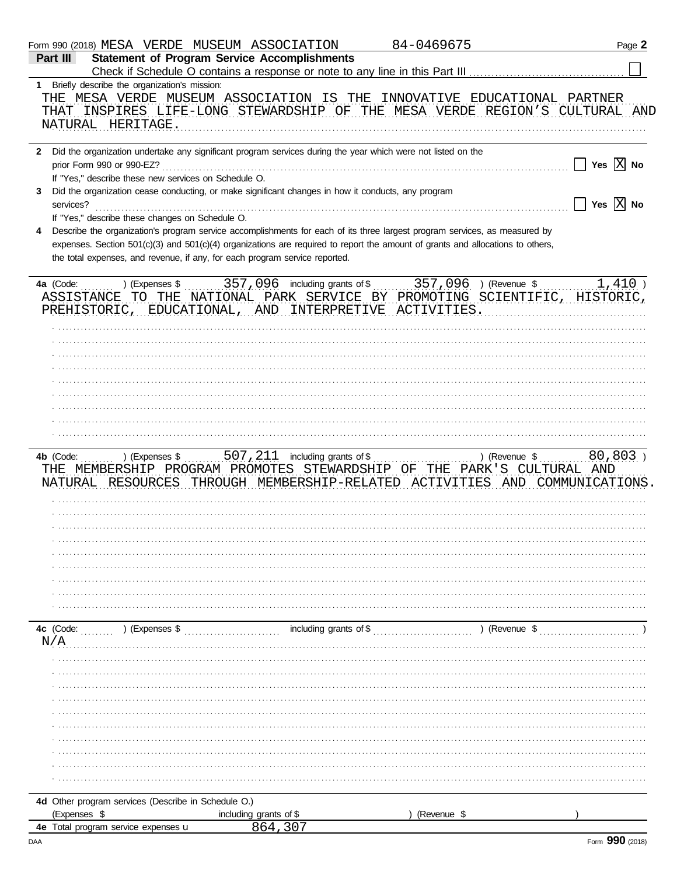|                  |                                                                     | Form 990 (2018) MESA VERDE MUSEUM ASSOCIATION                                                                                                                                                                                                                                                                                               | 84-0469675  | Page 2                             |
|------------------|---------------------------------------------------------------------|---------------------------------------------------------------------------------------------------------------------------------------------------------------------------------------------------------------------------------------------------------------------------------------------------------------------------------------------|-------------|------------------------------------|
| Part III         |                                                                     | <b>Statement of Program Service Accomplishments</b>                                                                                                                                                                                                                                                                                         |             |                                    |
|                  |                                                                     |                                                                                                                                                                                                                                                                                                                                             |             |                                    |
|                  | 1 Briefly describe the organization's mission:<br>NATURAL HERITAGE. | THE MESA VERDE MUSEUM ASSOCIATION IS THE INNOVATIVE EDUCATIONAL PARTNER<br>THAT INSPIRES LIFE-LONG STEWARDSHIP OF THE MESA VERDE REGION'S CULTURAL AND                                                                                                                                                                                      |             |                                    |
|                  |                                                                     |                                                                                                                                                                                                                                                                                                                                             |             |                                    |
|                  | If "Yes," describe these new services on Schedule O.                | 2 Did the organization undertake any significant program services during the year which were not listed on the<br>Did the organization cease conducting, or make significant changes in how it conducts, any program                                                                                                                        |             | Yes $X$ No                         |
| 3<br>services?   | If "Yes," describe these changes on Schedule O.                     |                                                                                                                                                                                                                                                                                                                                             |             | $\Box$ Yes $\boxed{\mathrm{X}}$ No |
| 4                |                                                                     | Describe the organization's program service accomplishments for each of its three largest program services, as measured by<br>expenses. Section 501(c)(3) and 501(c)(4) organizations are required to report the amount of grants and allocations to others,<br>the total expenses, and revenue, if any, for each program service reported. |             |                                    |
|                  |                                                                     | 4a (Code:  ) (Expenses \$  357, 096 including grants of \$  357, 096 ) (Revenue \$<br>ASSISTANCE TO THE NATIONAL PARK SERVICE BY PROMOTING SCIENTIFIC, HISTORIC,<br>PREHISTORIC, EDUCATIONAL, AND INTERPRETIVE ACTIVITIES.                                                                                                                  |             | $1,410$ )                          |
|                  |                                                                     |                                                                                                                                                                                                                                                                                                                                             |             |                                    |
|                  |                                                                     |                                                                                                                                                                                                                                                                                                                                             |             |                                    |
| 4b (Code:        |                                                                     | THE MEMBERSHIP PROGRAM PROMOTES STEWARDSHIP OF THE PARK'S CULTURAL AND                                                                                                                                                                                                                                                                      |             |                                    |
|                  |                                                                     | NATURAL RESOURCES THROUGH MEMBERSHIP-RELATED ACTIVITIES AND COMMUNICATIONS.                                                                                                                                                                                                                                                                 |             |                                    |
|                  |                                                                     |                                                                                                                                                                                                                                                                                                                                             |             |                                    |
|                  |                                                                     |                                                                                                                                                                                                                                                                                                                                             |             |                                    |
| 4c (Code:<br>N/A | $\ldots$ (Expenses \$                                               |                                                                                                                                                                                                                                                                                                                                             |             |                                    |
|                  |                                                                     |                                                                                                                                                                                                                                                                                                                                             |             |                                    |
|                  |                                                                     |                                                                                                                                                                                                                                                                                                                                             |             |                                    |
|                  |                                                                     |                                                                                                                                                                                                                                                                                                                                             |             |                                    |
|                  |                                                                     |                                                                                                                                                                                                                                                                                                                                             |             |                                    |
|                  | 4d Other program services (Describe in Schedule O.)                 |                                                                                                                                                                                                                                                                                                                                             |             |                                    |
| (Expenses \$     | 4e Total program service expenses u                                 | including grants of \$<br>864 307                                                                                                                                                                                                                                                                                                           | (Revenue \$ |                                    |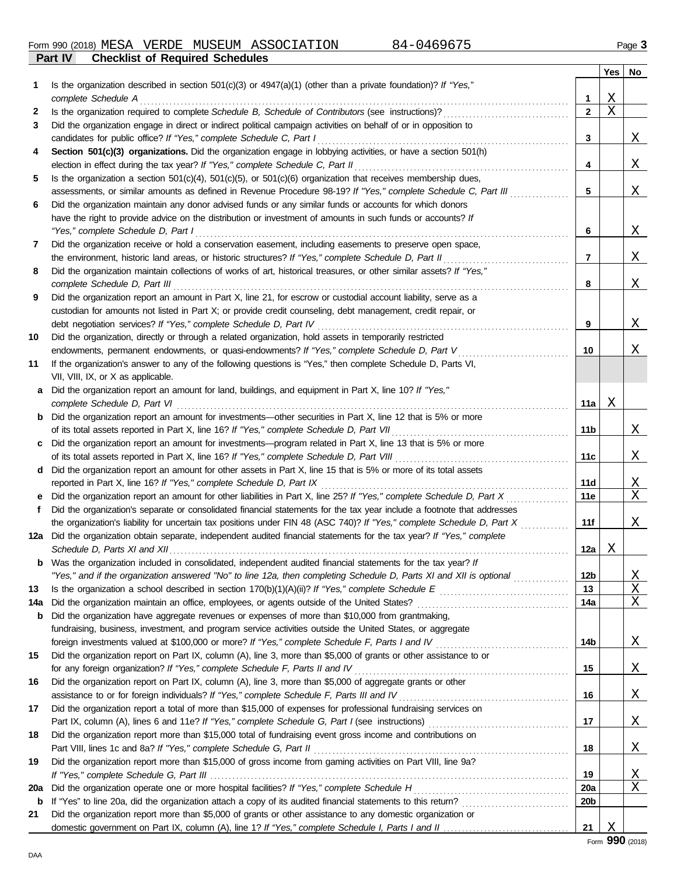|     |                                                                                                                                                                                                         |                 | Yes | No            |
|-----|---------------------------------------------------------------------------------------------------------------------------------------------------------------------------------------------------------|-----------------|-----|---------------|
| 1   | Is the organization described in section $501(c)(3)$ or $4947(a)(1)$ (other than a private foundation)? If "Yes,"                                                                                       |                 |     |               |
|     | complete Schedule A                                                                                                                                                                                     | 1               | Χ   |               |
| 2   | Is the organization required to complete Schedule B, Schedule of Contributors (see instructions)?                                                                                                       | $\mathbf{2}$    | Χ   |               |
| 3   | Did the organization engage in direct or indirect political campaign activities on behalf of or in opposition to                                                                                        |                 |     |               |
|     |                                                                                                                                                                                                         | 3               |     | <u>X</u>      |
| 4   | Section 501(c)(3) organizations. Did the organization engage in lobbying activities, or have a section 501(h)                                                                                           |                 |     |               |
|     | election in effect during the tax year? If "Yes," complete Schedule C, Part II                                                                                                                          | 4               |     | X             |
| 5   | Is the organization a section $501(c)(4)$ , $501(c)(5)$ , or $501(c)(6)$ organization that receives membership dues,                                                                                    |                 |     |               |
|     | assessments, or similar amounts as defined in Revenue Procedure 98-19? If "Yes," complete Schedule C, Part III                                                                                          | 5               |     | X             |
| 6   | Did the organization maintain any donor advised funds or any similar funds or accounts for which donors                                                                                                 |                 |     |               |
|     | have the right to provide advice on the distribution or investment of amounts in such funds or accounts? If                                                                                             |                 |     |               |
|     | "Yes," complete Schedule D, Part I                                                                                                                                                                      | 6               |     | <u>X</u>      |
| 7   | Did the organization receive or hold a conservation easement, including easements to preserve open space,                                                                                               |                 |     |               |
|     | the environment, historic land areas, or historic structures? If "Yes," complete Schedule D, Part II                                                                                                    | 7               |     | X             |
| 8   | Did the organization maintain collections of works of art, historical treasures, or other similar assets? If "Yes,"                                                                                     |                 |     |               |
|     |                                                                                                                                                                                                         | 8               |     | X             |
| 9   | Did the organization report an amount in Part X, line 21, for escrow or custodial account liability, serve as a                                                                                         |                 |     |               |
|     | custodian for amounts not listed in Part X; or provide credit counseling, debt management, credit repair, or                                                                                            |                 |     |               |
|     |                                                                                                                                                                                                         | 9               |     | X             |
| 10  | Did the organization, directly or through a related organization, hold assets in temporarily restricted<br>endowments, permanent endowments, or quasi-endowments? If "Yes," complete Schedule D, Part V | 10              |     |               |
| 11  | If the organization's answer to any of the following questions is "Yes," then complete Schedule D, Parts VI,                                                                                            |                 |     | Χ             |
|     | VII, VIII, IX, or X as applicable.                                                                                                                                                                      |                 |     |               |
| a   | Did the organization report an amount for land, buildings, and equipment in Part X, line 10? If "Yes,"                                                                                                  |                 |     |               |
|     |                                                                                                                                                                                                         | 11a             | Χ   |               |
| b   | Did the organization report an amount for investments-other securities in Part X, line 12 that is 5% or more                                                                                            |                 |     |               |
|     |                                                                                                                                                                                                         | 11b             |     | <u>X</u>      |
| C   | Did the organization report an amount for investments—program related in Part X, line 13 that is 5% or more                                                                                             |                 |     |               |
|     |                                                                                                                                                                                                         | 11c             |     | Χ             |
| d   | Did the organization report an amount for other assets in Part X, line 15 that is 5% or more of its total assets                                                                                        |                 |     |               |
|     | reported in Part X, line 16? If "Yes," complete Schedule D, Part IX                                                                                                                                     | 11d             |     | X             |
|     | Did the organization report an amount for other liabilities in Part X, line 25? If "Yes," complete Schedule D, Part X                                                                                   | 11e             |     | Χ             |
| f   | Did the organization's separate or consolidated financial statements for the tax year include a footnote that addresses                                                                                 |                 |     |               |
|     | the organization's liability for uncertain tax positions under FIN 48 (ASC 740)? If "Yes," complete Schedule D, Part X                                                                                  | 11f             |     | Χ             |
|     | 12a Did the organization obtain separate, independent audited financial statements for the tax year? If "Yes," complete                                                                                 |                 |     |               |
|     |                                                                                                                                                                                                         | 12a             | Χ   |               |
|     | Was the organization included in consolidated, independent audited financial statements for the tax year? If                                                                                            |                 |     |               |
|     | "Yes," and if the organization answered "No" to line 12a, then completing Schedule D, Parts XI and XII is optional                                                                                      | 12b             |     | <u>X</u>      |
| 13  |                                                                                                                                                                                                         | 13              |     | Χ             |
| 14a |                                                                                                                                                                                                         | 14a             |     | Χ             |
| b   | Did the organization have aggregate revenues or expenses of more than \$10,000 from grantmaking,                                                                                                        |                 |     |               |
|     | fundraising, business, investment, and program service activities outside the United States, or aggregate                                                                                               |                 |     |               |
|     |                                                                                                                                                                                                         | 14b             |     | <u>X</u>      |
| 15  | Did the organization report on Part IX, column (A), line 3, more than \$5,000 of grants or other assistance to or                                                                                       |                 |     |               |
|     | for any foreign organization? If "Yes," complete Schedule F, Parts II and IV                                                                                                                            | 15              |     | <u>X</u>      |
| 16  | Did the organization report on Part IX, column (A), line 3, more than \$5,000 of aggregate grants or other                                                                                              |                 |     |               |
|     | assistance to or for foreign individuals? If "Yes," complete Schedule F, Parts III and IV                                                                                                               | 16              |     | <u>X</u>      |
| 17  | Did the organization report a total of more than \$15,000 of expenses for professional fundraising services on                                                                                          |                 |     |               |
|     |                                                                                                                                                                                                         | 17              |     | <u>X</u>      |
| 18  | Did the organization report more than \$15,000 total of fundraising event gross income and contributions on                                                                                             |                 |     |               |
|     |                                                                                                                                                                                                         | 18              |     | <u>X</u>      |
| 19  | Did the organization report more than \$15,000 of gross income from gaming activities on Part VIII, line 9a?                                                                                            | 19              |     |               |
| 20a |                                                                                                                                                                                                         | 20a             |     | <u>X</u><br>Χ |
| b   |                                                                                                                                                                                                         | 20 <sub>b</sub> |     |               |
| 21  | Did the organization report more than \$5,000 of grants or other assistance to any domestic organization or                                                                                             |                 |     |               |
|     |                                                                                                                                                                                                         | 21              | Χ   |               |
|     |                                                                                                                                                                                                         |                 |     |               |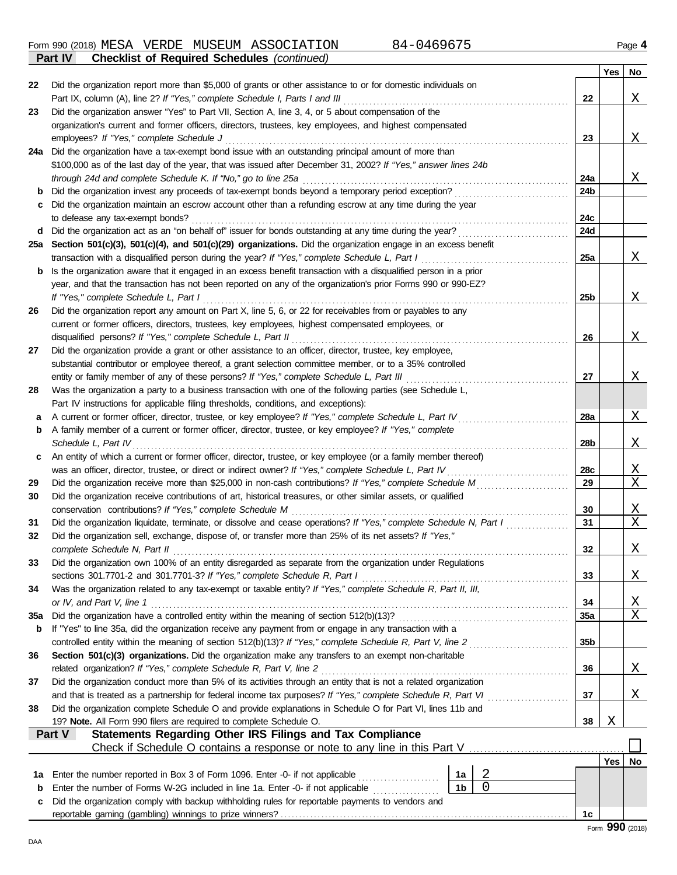Form 990 (2018) Page **4** MESA VERDE MUSEUM ASSOCIATION 84-0469675 **Part IV Checklist of Required Schedules** *(continued)*

|     |                                                                                                                                                                                                                   |                 | Yes        | No.              |
|-----|-------------------------------------------------------------------------------------------------------------------------------------------------------------------------------------------------------------------|-----------------|------------|------------------|
| 22  | Did the organization report more than \$5,000 of grants or other assistance to or for domestic individuals on                                                                                                     |                 |            |                  |
|     | Part IX, column (A), line 2? If "Yes," complete Schedule I, Parts I and III                                                                                                                                       | 22              |            | Χ                |
| 23  | Did the organization answer "Yes" to Part VII, Section A, line 3, 4, or 5 about compensation of the                                                                                                               |                 |            |                  |
|     | organization's current and former officers, directors, trustees, key employees, and highest compensated                                                                                                           |                 |            |                  |
|     | employees? If "Yes," complete Schedule J                                                                                                                                                                          | 23              |            | Χ                |
| 24a | Did the organization have a tax-exempt bond issue with an outstanding principal amount of more than                                                                                                               |                 |            |                  |
|     | \$100,000 as of the last day of the year, that was issued after December 31, 2002? If "Yes," answer lines 24b                                                                                                     |                 |            |                  |
|     | through 24d and complete Schedule K. If "No," go to line 25a                                                                                                                                                      | 24a             |            | X                |
| b   | Did the organization invest any proceeds of tax-exempt bonds beyond a temporary period exception?                                                                                                                 | 24b             |            |                  |
| с   | Did the organization maintain an escrow account other than a refunding escrow at any time during the year                                                                                                         |                 |            |                  |
|     | to defease any tax-exempt bonds?                                                                                                                                                                                  | 24c             |            |                  |
| d   | Did the organization act as an "on behalf of" issuer for bonds outstanding at any time during the year?                                                                                                           | 24d             |            |                  |
| 25а | Section 501(c)(3), 501(c)(4), and 501(c)(29) organizations. Did the organization engage in an excess benefit                                                                                                      |                 |            |                  |
|     | transaction with a disqualified person during the year? If "Yes," complete Schedule L, Part I<br>Is the organization aware that it engaged in an excess benefit transaction with a disqualified person in a prior | 25a             |            | X                |
| b   | year, and that the transaction has not been reported on any of the organization's prior Forms 990 or 990-EZ?                                                                                                      |                 |            |                  |
|     | If "Yes," complete Schedule L, Part I                                                                                                                                                                             | 25b             |            | Χ                |
| 26  | Did the organization report any amount on Part X, line 5, 6, or 22 for receivables from or payables to any                                                                                                        |                 |            |                  |
|     | current or former officers, directors, trustees, key employees, highest compensated employees, or                                                                                                                 |                 |            |                  |
|     | disqualified persons? If "Yes," complete Schedule L, Part II                                                                                                                                                      | 26              |            | Χ                |
| 27  | Did the organization provide a grant or other assistance to an officer, director, trustee, key employee,                                                                                                          |                 |            |                  |
|     | substantial contributor or employee thereof, a grant selection committee member, or to a 35% controlled                                                                                                           |                 |            |                  |
|     | entity or family member of any of these persons? If "Yes," complete Schedule L, Part III                                                                                                                          | 27              |            | Χ                |
| 28  | Was the organization a party to a business transaction with one of the following parties (see Schedule L,                                                                                                         |                 |            |                  |
|     | Part IV instructions for applicable filing thresholds, conditions, and exceptions):                                                                                                                               |                 |            |                  |
| а   | A current or former officer, director, trustee, or key employee? If "Yes," complete Schedule L, Part IV                                                                                                           | 28a             |            | Χ                |
| b   | A family member of a current or former officer, director, trustee, or key employee? If "Yes," complete                                                                                                            |                 |            |                  |
|     | Schedule L, Part IV                                                                                                                                                                                               | 28b             |            | X                |
| c   | An entity of which a current or former officer, director, trustee, or key employee (or a family member thereof)                                                                                                   |                 |            |                  |
|     | was an officer, director, trustee, or direct or indirect owner? If "Yes," complete Schedule L, Part IV                                                                                                            | 28c             |            | <u>X</u>         |
| 29  | Did the organization receive more than \$25,000 in non-cash contributions? If "Yes," complete Schedule M                                                                                                          | 29              |            | Χ                |
| 30  | Did the organization receive contributions of art, historical treasures, or other similar assets, or qualified                                                                                                    |                 |            |                  |
|     | conservation contributions? If "Yes," complete Schedule M                                                                                                                                                         | 30              |            | <u>X</u>         |
| 31  | Did the organization liquidate, terminate, or dissolve and cease operations? If "Yes," complete Schedule N, Part I                                                                                                | 31              |            | Χ                |
| 32  | Did the organization sell, exchange, dispose of, or transfer more than 25% of its net assets? If "Yes,"                                                                                                           |                 |            |                  |
|     | complete Schedule N, Part II                                                                                                                                                                                      | 32              |            | X                |
| 33  | Did the organization own 100% of an entity disregarded as separate from the organization under Regulations                                                                                                        |                 |            |                  |
|     |                                                                                                                                                                                                                   | 33              |            | <u>X</u>         |
| 34  | Was the organization related to any tax-exempt or taxable entity? If "Yes," complete Schedule R, Part II, III,                                                                                                    |                 |            |                  |
|     | or IV, and Part V, line 1                                                                                                                                                                                         | 34              |            | <u>X</u>         |
| 35a |                                                                                                                                                                                                                   | <b>35a</b>      |            | X                |
| b   | If "Yes" to line 35a, did the organization receive any payment from or engage in any transaction with a                                                                                                           |                 |            |                  |
| 36  | controlled entity within the meaning of section 512(b)(13)? If "Yes," complete Schedule R, Part V, line 2<br>Section 501(c)(3) organizations. Did the organization make any transfers to an exempt non-charitable | 35 <sub>b</sub> |            |                  |
|     |                                                                                                                                                                                                                   | 36              |            |                  |
| 37  | Did the organization conduct more than 5% of its activities through an entity that is not a related organization                                                                                                  |                 |            | <u>X</u>         |
|     | and that is treated as a partnership for federal income tax purposes? If "Yes," complete Schedule R, Part VI                                                                                                      | 37              |            | Χ                |
| 38  | Did the organization complete Schedule O and provide explanations in Schedule O for Part VI, lines 11b and                                                                                                        |                 |            |                  |
|     | 19? Note. All Form 990 filers are required to complete Schedule O.                                                                                                                                                | 38              | Χ          |                  |
|     | Statements Regarding Other IRS Filings and Tax Compliance<br>Part V                                                                                                                                               |                 |            |                  |
|     |                                                                                                                                                                                                                   |                 |            |                  |
|     |                                                                                                                                                                                                                   |                 | <b>Yes</b> | No               |
| 1a  | $\overline{2}$<br>Enter the number reported in Box 3 of Form 1096. Enter -0- if not applicable<br>1a                                                                                                              |                 |            |                  |
| b   | $\mathbf 0$<br>1 <sub>b</sub><br>Enter the number of Forms W-2G included in line 1a. Enter -0- if not applicable                                                                                                  |                 |            |                  |
| с   | Did the organization comply with backup withholding rules for reportable payments to vendors and                                                                                                                  |                 |            |                  |
|     |                                                                                                                                                                                                                   | 1c              |            |                  |
|     |                                                                                                                                                                                                                   |                 |            | $QQ \cap (2010)$ |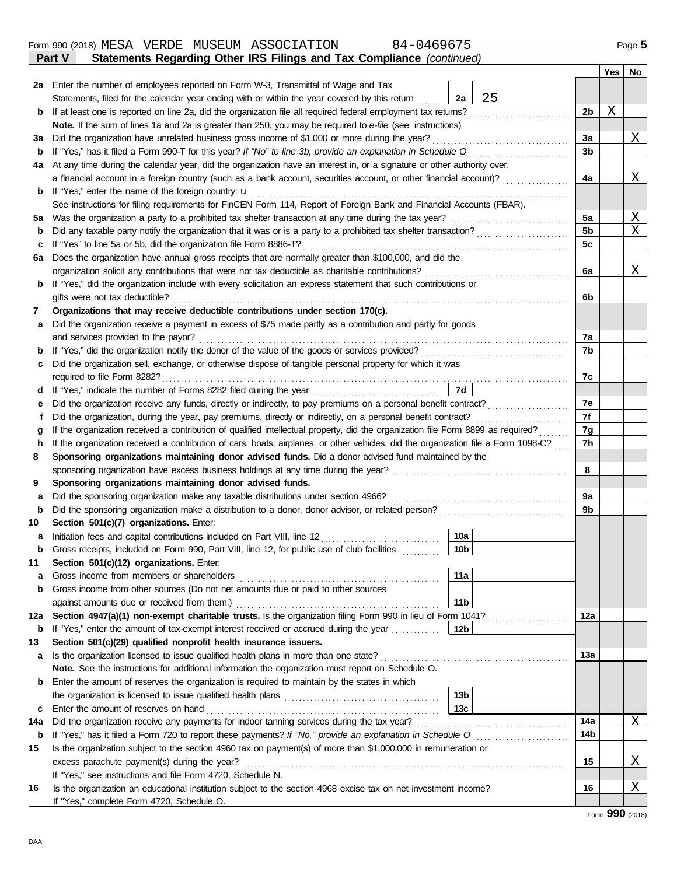| b   | Did any taxable party notify the organization that it was or is a party to a prohibited tax shelter transaction?                   |                 | 5b  | Χ              |  |  |
|-----|------------------------------------------------------------------------------------------------------------------------------------|-----------------|-----|----------------|--|--|
| с   | If "Yes" to line 5a or 5b, did the organization file Form 8886-T?                                                                  |                 | 5c  |                |  |  |
| 6а  | Does the organization have annual gross receipts that are normally greater than \$100,000, and did the                             |                 |     |                |  |  |
|     | organization solicit any contributions that were not tax deductible as charitable contributions?                                   |                 | 6a  | Χ              |  |  |
| b   | If "Yes," did the organization include with every solicitation an express statement that such contributions or                     |                 |     |                |  |  |
|     | gifts were not tax deductible?                                                                                                     |                 | 6b  |                |  |  |
| 7   | Organizations that may receive deductible contributions under section 170(c).                                                      |                 |     |                |  |  |
| а   | Did the organization receive a payment in excess of \$75 made partly as a contribution and partly for goods                        |                 |     |                |  |  |
|     | and services provided to the payor?                                                                                                |                 | 7a  |                |  |  |
| b   |                                                                                                                                    |                 | 7b  |                |  |  |
| с   | Did the organization sell, exchange, or otherwise dispose of tangible personal property for which it was                           |                 |     |                |  |  |
|     | required to file Form 8282?                                                                                                        |                 | 7c  |                |  |  |
| d   |                                                                                                                                    | 7d              |     |                |  |  |
| е   | Did the organization receive any funds, directly or indirectly, to pay premiums on a personal benefit contract?                    |                 | 7е  |                |  |  |
| Ť.  | Did the organization, during the year, pay premiums, directly or indirectly, on a personal benefit contract?                       |                 | 7f  |                |  |  |
| g   | If the organization received a contribution of qualified intellectual property, did the organization file Form 8899 as required?   |                 | 7g  |                |  |  |
| h   | If the organization received a contribution of cars, boats, airplanes, or other vehicles, did the organization file a Form 1098-C? |                 | 7h  |                |  |  |
| 8   | Sponsoring organizations maintaining donor advised funds. Did a donor advised fund maintained by the                               |                 |     |                |  |  |
|     |                                                                                                                                    |                 | 8   |                |  |  |
| 9   | Sponsoring organizations maintaining donor advised funds.                                                                          |                 |     |                |  |  |
| а   | Did the sponsoring organization make any taxable distributions under section 4966?                                                 |                 | 9a  |                |  |  |
| b   | Did the sponsoring organization make a distribution to a donor, donor advisor, or related person?                                  |                 | 9b  |                |  |  |
| 10  | Section 501(c)(7) organizations. Enter:                                                                                            |                 |     |                |  |  |
| а   | Initiation fees and capital contributions included on Part VIII, line 12 [11] [11] [12] [11] [12] [11] [12] [1                     | 10a             |     |                |  |  |
| b   | Gross receipts, included on Form 990, Part VIII, line 12, for public use of club facilities                                        | 10 <sub>b</sub> |     |                |  |  |
| 11  | Section 501(c)(12) organizations. Enter:                                                                                           |                 |     |                |  |  |
| а   | Gross income from members or shareholders                                                                                          | 11a             |     |                |  |  |
| b   | Gross income from other sources (Do not net amounts due or paid to other sources                                                   |                 |     |                |  |  |
|     | against amounts due or received from them.)                                                                                        | 11b             |     |                |  |  |
| 12a | Section 4947(a)(1) non-exempt charitable trusts. Is the organization filing Form 990 in lieu of Form 1041?                         |                 | 12a |                |  |  |
|     | <b>b</b> If "Yes," enter the amount of tax-exempt interest received or accrued during the year                                     | 12 <sub>b</sub> |     |                |  |  |
| 13  | Section 501(c)(29) qualified nonprofit health insurance issuers.                                                                   |                 |     |                |  |  |
| a   | Is the organization licensed to issue qualified health plans in more than one state?                                               |                 | 13a |                |  |  |
|     | Note. See the instructions for additional information the organization must report on Schedule O.                                  |                 |     |                |  |  |
| b   | Enter the amount of reserves the organization is required to maintain by the states in which                                       |                 |     |                |  |  |
|     |                                                                                                                                    | 13 <sub>b</sub> |     |                |  |  |
|     |                                                                                                                                    | 13c             |     |                |  |  |
| 14a |                                                                                                                                    |                 | 14a | $\Delta$       |  |  |
|     | <b>b</b> If "Yes," has it filed a Form 720 to report these payments? If "No," provide an explanation in Schedule O                 |                 | 14b |                |  |  |
| 15  | Is the organization subject to the section 4960 tax on payment(s) of more than \$1,000,000 in remuneration or                      |                 |     |                |  |  |
|     | excess parachute payment(s) during the year?                                                                                       |                 | 15  | $\overline{X}$ |  |  |
|     | If "Yes," see instructions and file Form 4720, Schedule N.                                                                         |                 |     |                |  |  |
| 16  | Is the organization an educational institution subject to the section 4968 excise tax on net investment income?                    |                 | 16  | Χ              |  |  |
|     | If "Yes," complete Form 4720, Schedule O.                                                                                          |                 |     |                |  |  |

| MESA<br>Form 990 (2018) | VERDE | MUSEUM | ASSOCIATION | $84 - 046967F$ | $P$ aqe $\sim$ |
|-------------------------|-------|--------|-------------|----------------|----------------|

**4a** At any time during the calendar year, did the organization have an interest in, or a signature or other authority over,

Did any taxable party patty the organization that it was or is a party to a probibited tay shelter transaction?

**b** If at least one is reported on line 2a, did the organization file all required federal employment tax returns? . . . . . . . . . . . . . . . . . . . . . . . . . . .

**3a** Did the organization have unrelated business gross income of \$1,000 or more during the year? . . . . . . . . . . . . . . . . . . . . . . . . . . . . . . . . . . . . .

If "Yes," has it filed a Form 990-T for this year? *If "No" to line 3b, provide an explanation in Schedule O* . . . . . . . . . . . . . . . . . . . . . . . . . . .

a financial account in a foreign country (such as a bank account, securities account, or other financial account)? ..................

**b** If "Yes," enter the name of the foreign country: u . . . . . . . . . . . . . . . . . . . . . . . . . . . . . . . . . . . . . . . . . . . . . . . . . . . . . . . . . . . . . . . . . . . . . . . . . . . . . . . . . . . . . . .

**5a** Was the organization a party to a prohibited tax shelter transaction at any time during the tax year? . . . . . . . . . . . . . . . . . . . . . . . . . . . . . . . .

See instructions for filing requirements for FinCEN Form 114, Report of Foreign Bank and Financial Accounts (FBAR).

**Part V Statements Regarding Other IRS Filings and Tax Compliance** *(continued)*

**Note.** If the sum of lines 1a and 2a is greater than 250, you may be required to *e-file* (see instructions)

**2a** Enter the number of employees reported on Form W-3, Transmittal of Wage and Tax

Statements, filed for the calendar year ending with or within the year covered by this return

|  | Page |  |
|--|------|--|
|  |      |  |

X

**2b**

**2a**

25

**3a 3b**

**4a**

**5a**  $F<sub>b</sub>$ 

**Yes No**

X

X

X

**b**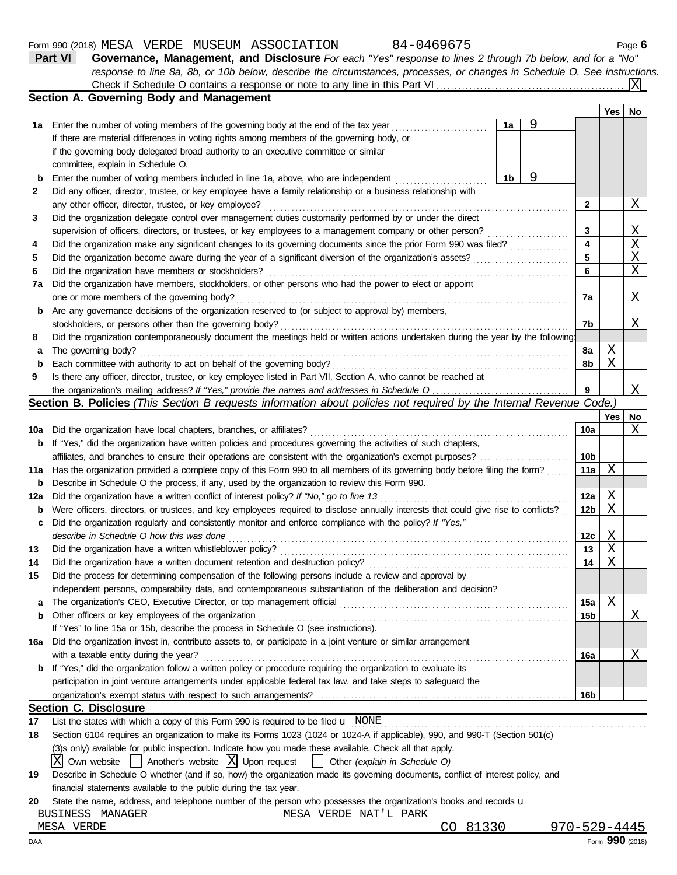#### Form 990 (2018) Page **6** MESA VERDE MUSEUM ASSOCIATION 84-0469675

| Part VI | Governance, Management, and Disclosure For each "Yes" response to lines 2 through 7b below, and for a "No"                |        |  |
|---------|---------------------------------------------------------------------------------------------------------------------------|--------|--|
|         | response to line 8a, 8b, or 10b below, describe the circumstances, processes, or changes in Schedule O. See instructions. |        |  |
|         |                                                                                                                           |        |  |
|         | Section A. Governing Body and Management                                                                                  |        |  |
|         |                                                                                                                           | Yes No |  |
|         |                                                                                                                           |        |  |

|     | 1a Enter the number of voting members of the governing body at the end of the tax year                                              | 1a | 9 |                 |              |                |  |  |  |  |  |
|-----|-------------------------------------------------------------------------------------------------------------------------------------|----|---|-----------------|--------------|----------------|--|--|--|--|--|
|     | If there are material differences in voting rights among members of the governing body, or                                          |    |   |                 |              |                |  |  |  |  |  |
|     | if the governing body delegated broad authority to an executive committee or similar                                                |    |   |                 |              |                |  |  |  |  |  |
|     | committee, explain in Schedule O.                                                                                                   |    |   |                 |              |                |  |  |  |  |  |
| b   | Enter the number of voting members included in line 1a, above, who are independent                                                  | 1b | 9 |                 |              |                |  |  |  |  |  |
| 2   | Did any officer, director, trustee, or key employee have a family relationship or a business relationship with                      |    |   |                 |              |                |  |  |  |  |  |
|     | any other officer, director, trustee, or key employee?                                                                              |    |   | $\mathbf{2}$    |              | Χ              |  |  |  |  |  |
| 3   | Did the organization delegate control over management duties customarily performed by or under the direct                           |    |   |                 |              |                |  |  |  |  |  |
|     | supervision of officers, directors, or trustees, or key employees to a management company or other person?                          |    |   | 3               |              | <u>X</u>       |  |  |  |  |  |
| 4   | Did the organization make any significant changes to its governing documents since the prior Form 990 was filed?                    |    |   |                 |              |                |  |  |  |  |  |
| 5   | Did the organization become aware during the year of a significant diversion of the organization's assets?                          |    |   | 5               |              | X              |  |  |  |  |  |
| 6   | Did the organization have members or stockholders?                                                                                  |    |   | 6               |              | $\mathbf X$    |  |  |  |  |  |
| 7a  | Did the organization have members, stockholders, or other persons who had the power to elect or appoint                             |    |   |                 |              |                |  |  |  |  |  |
|     | one or more members of the governing body?                                                                                          |    |   | 7a              |              | Χ              |  |  |  |  |  |
| b   | Are any governance decisions of the organization reserved to (or subject to approval by) members,                                   |    |   |                 |              |                |  |  |  |  |  |
|     | stockholders, or persons other than the governing body?                                                                             |    |   | 7b              |              | X              |  |  |  |  |  |
| 8   | Did the organization contemporaneously document the meetings held or written actions undertaken during the year by the following:   |    |   |                 |              |                |  |  |  |  |  |
| a   | The governing body?                                                                                                                 |    |   | 8a              | Χ            |                |  |  |  |  |  |
| b   | Each committee with authority to act on behalf of the governing body?                                                               |    |   |                 |              |                |  |  |  |  |  |
| 9   | Is there any officer, director, trustee, or key employee listed in Part VII, Section A, who cannot be reached at                    |    |   |                 |              |                |  |  |  |  |  |
|     |                                                                                                                                     |    |   | 9               |              | Χ              |  |  |  |  |  |
|     | Section B. Policies (This Section B requests information about policies not required by the Internal Revenue Code.)                 |    |   |                 |              |                |  |  |  |  |  |
|     |                                                                                                                                     |    |   |                 | Yes          | No             |  |  |  |  |  |
| 10a | Did the organization have local chapters, branches, or affiliates?                                                                  |    |   | 10a             |              | X              |  |  |  |  |  |
| b   | If "Yes," did the organization have written policies and procedures governing the activities of such chapters,                      |    |   |                 |              |                |  |  |  |  |  |
|     | affiliates, and branches to ensure their operations are consistent with the organization's exempt purposes?                         |    |   | 10b             |              |                |  |  |  |  |  |
| 11a | Has the organization provided a complete copy of this Form 990 to all members of its governing body before filing the form?         |    |   | 11a             | X            |                |  |  |  |  |  |
| b   | Describe in Schedule O the process, if any, used by the organization to review this Form 990.                                       |    |   |                 |              |                |  |  |  |  |  |
| 12a | Did the organization have a written conflict of interest policy? If "No," go to line 13                                             |    |   | 12a             | Χ            |                |  |  |  |  |  |
| b   | Were officers, directors, or trustees, and key employees required to disclose annually interests that could give rise to conflicts? |    |   | 12b             | X            |                |  |  |  |  |  |
| c   | Did the organization regularly and consistently monitor and enforce compliance with the policy? If "Yes,"                           |    |   |                 |              |                |  |  |  |  |  |
|     | describe in Schedule O how this was done                                                                                            |    |   | 12c             | $\mathbf{X}$ |                |  |  |  |  |  |
| 13  | Did the organization have a written whistleblower policy?                                                                           |    |   | 13              | X            |                |  |  |  |  |  |
| 14  | Did the organization have a written document retention and destruction policy?                                                      |    |   | 14              | X            |                |  |  |  |  |  |
| 15  | Did the process for determining compensation of the following persons include a review and approval by                              |    |   |                 |              |                |  |  |  |  |  |
|     | independent persons, comparability data, and contemporaneous substantiation of the deliberation and decision?                       |    |   |                 |              |                |  |  |  |  |  |
|     | The organization's CEO, Executive Director, or top management official                                                              |    |   | 15a             | $\mathbf X$  |                |  |  |  |  |  |
|     | Other officers or key employees of the organization                                                                                 |    |   | 15 <sub>b</sub> |              | $\overline{X}$ |  |  |  |  |  |
|     | If "Yes" to line 15a or 15b, describe the process in Schedule O (see instructions).                                                 |    |   |                 |              |                |  |  |  |  |  |
| 16a | Did the organization invest in, contribute assets to, or participate in a joint venture or similar arrangement                      |    |   |                 |              |                |  |  |  |  |  |
|     | with a taxable entity during the year?                                                                                              |    |   | 16a             |              | Χ              |  |  |  |  |  |
|     | <b>b</b> If "Yes," did the organization follow a written policy or procedure requiring the organization to evaluate its             |    |   |                 |              |                |  |  |  |  |  |
|     | participation in joint venture arrangements under applicable federal tax law, and take steps to safeguard the                       |    |   |                 |              |                |  |  |  |  |  |
|     |                                                                                                                                     |    |   | 16b             |              |                |  |  |  |  |  |
|     | <b>Section C. Disclosure</b>                                                                                                        |    |   |                 |              |                |  |  |  |  |  |

**17** List the states with which a copy of this Form 990 is required to be filed  $\bf{u}$  NONE **Example 20** Conservation conservation conservation conservation conservation conservation conservation conservation conservation con

|  |  | 18 Section 6104 requires an organization to make its Forms 1023 (1024 or 1024-A if applicable), 990, and 990-T (Section 501(c) |  |  |  |
|--|--|--------------------------------------------------------------------------------------------------------------------------------|--|--|--|
|--|--|--------------------------------------------------------------------------------------------------------------------------------|--|--|--|

(3)s only) available for public inspection. Indicate how you made these available. Check all that apply.

 $\overline{X}$  Own website  $\overline{X}$  Another's website  $\overline{X}$  Upon request  $\overline{X}$  Other *(explain in Schedule O)* 

| 19 Describe in Schedule O whether (and if so, how) the organization made its governing documents, conflict of interest policy, and |
|------------------------------------------------------------------------------------------------------------------------------------|
| financial statements available to the public during the tax year.                                                                  |

20 State the name, address, and telephone number of the person who possesses the organization's books and records u

BUSINESS MANAGER MESA VERDE NAT'L PARK

DAA Form **990** (2018)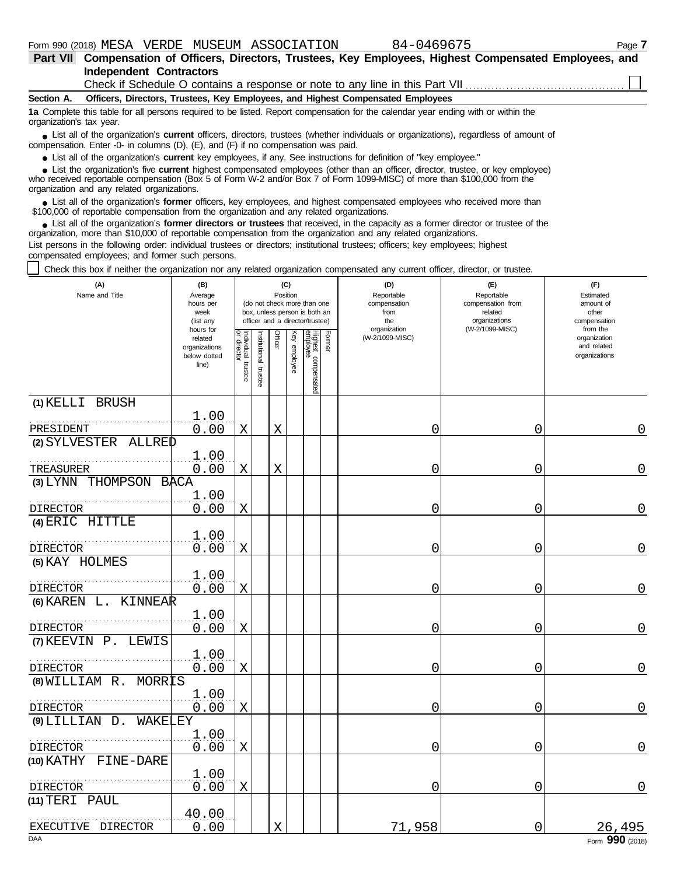|                          | Part VII Compensation of Officers, Directors, Trustees, Key Employees, Highest Compensated Employees, and                                                                                                                        |  |  |  |  |  |  |  |
|--------------------------|----------------------------------------------------------------------------------------------------------------------------------------------------------------------------------------------------------------------------------|--|--|--|--|--|--|--|
|                          | Independent Contractors                                                                                                                                                                                                          |  |  |  |  |  |  |  |
|                          |                                                                                                                                                                                                                                  |  |  |  |  |  |  |  |
|                          | Section A. Officers, Directors, Trustees, Key Employees, and Highest Compensated Employees                                                                                                                                       |  |  |  |  |  |  |  |
| organization's tax year. | 1a Complete this table for all persons required to be listed. Report compensation for the calendar year ending with or within the                                                                                                |  |  |  |  |  |  |  |
|                          | • List all of the organization's current officers, directors, trustees (whether individuals or organizations), regardless of amount of<br>compensation. Enter -0- in columns (D), $(E)$ , and $(F)$ if no compensation was paid. |  |  |  |  |  |  |  |
|                          | • List all of the organization's current key employees, if any. See instructions for definition of "key employee."                                                                                                               |  |  |  |  |  |  |  |

List all of the organization's **current** key employees, if any. See instructions for definition of "key employee."

who received reportable compensation (Box 5 of Form W-2 and/or Box 7 of Form 1099-MISC) of more than \$100,000 from the organization and any related organizations. **•** List all of the organization's **current** key employees, if any. See instructions for definition of "key employee."<br>• List the organization's five **current** highest compensated employees (other than an officer, director **•**

■ List all of the organization's **former** officers, key employees, and highest compensated employees who received more than<br>00.000 of reportable compensation from the erganization and any related erganizations \$100,000 of reportable compensation from the organization and any related organizations.

■ List all of the organization's **former directors or trustees** that received, in the capacity as a former director or trustee of the<br>enization more than \$10,000 of reportable compensation from the organization and any re organization, more than \$10,000 of reportable compensation from the organization and any related organizations. List persons in the following order: individual trustees or directors; institutional trustees; officers; key employees; highest

compensated employees; and former such persons.

 $\mathbf{I}$ Check this box if neither the organization nor any related organization compensated any current officer, director, or trustee.

| (A)<br>Name and Title        | (B)<br>Average<br>hours per<br>week<br>(list any               | (C)<br>Position<br>(do not check more than one<br>box, unless person is both an<br>officer and a director/trustee) |                         |             |              |                                 |        | (D)<br>Reportable<br>compensation<br>from<br>the | (E)<br>Reportable<br>compensation from<br>related<br>organizations | (F)<br>Estimated<br>amount of<br>other<br>compensation   |
|------------------------------|----------------------------------------------------------------|--------------------------------------------------------------------------------------------------------------------|-------------------------|-------------|--------------|---------------------------------|--------|--------------------------------------------------|--------------------------------------------------------------------|----------------------------------------------------------|
|                              | hours for<br>related<br>organizations<br>below dotted<br>line) | Individual<br>or director<br>trustee                                                                               | nstitutional<br>trustee | Officer     | Key employee | Highest compensated<br>employee | Former | organization<br>(W-2/1099-MISC)                  | (W-2/1099-MISC)                                                    | from the<br>organization<br>and related<br>organizations |
| (1) KELLI BRUSH<br>PRESIDENT | 1.00<br>0.00                                                   | Χ                                                                                                                  |                         | $\mathbf X$ |              |                                 |        | 0                                                | 0                                                                  | 0                                                        |
| (2) SYLVESTER ALLRED         |                                                                |                                                                                                                    |                         |             |              |                                 |        |                                                  |                                                                    |                                                          |
| TREASURER                    | 1.00<br>0.00                                                   | X                                                                                                                  |                         | X           |              |                                 |        | 0                                                | 0                                                                  | 0                                                        |
| (3) LYNN THOMPSON BACA       |                                                                |                                                                                                                    |                         |             |              |                                 |        |                                                  |                                                                    |                                                          |
| DIRECTOR                     | 1.00<br>0.00                                                   | $\mathbf X$                                                                                                        |                         |             |              |                                 |        | 0                                                | 0                                                                  | $\overline{0}$                                           |
| (4) ERIC HITTLE              |                                                                |                                                                                                                    |                         |             |              |                                 |        |                                                  |                                                                    |                                                          |
| DIRECTOR                     | 1.00<br>0.00                                                   | X                                                                                                                  |                         |             |              |                                 |        | 0                                                | 0                                                                  | 0                                                        |
| (5) KAY HOLMES               |                                                                |                                                                                                                    |                         |             |              |                                 |        |                                                  |                                                                    |                                                          |
| DIRECTOR                     | 1.00<br>0.00                                                   | X                                                                                                                  |                         |             |              |                                 |        | 0                                                | 0                                                                  | 0                                                        |
| $(6)$ KAREN L.<br>KINNEAR    |                                                                |                                                                                                                    |                         |             |              |                                 |        |                                                  |                                                                    |                                                          |
| <b>DIRECTOR</b>              | 1.00<br>0.00                                                   | X                                                                                                                  |                         |             |              |                                 |        | 0                                                | 0                                                                  | 0                                                        |
| (7) KEEVIN P. LEWIS          |                                                                |                                                                                                                    |                         |             |              |                                 |        |                                                  |                                                                    |                                                          |
| DIRECTOR                     | 1.00<br>0.00                                                   | X                                                                                                                  |                         |             |              |                                 |        | 0                                                | 0                                                                  | 0                                                        |
| $(8)$ WILLIAM R.<br>MORRIS   |                                                                |                                                                                                                    |                         |             |              |                                 |        |                                                  |                                                                    |                                                          |
| <b>DIRECTOR</b>              | 1.00<br>0.00                                                   | X                                                                                                                  |                         |             |              |                                 |        | 0                                                | 0                                                                  | 0                                                        |
| $(9)$ LILLIAN D.<br>WAKELEY  |                                                                |                                                                                                                    |                         |             |              |                                 |        |                                                  |                                                                    |                                                          |
| <b>DIRECTOR</b>              | 1.00<br>0.00                                                   | X                                                                                                                  |                         |             |              |                                 |        | 0                                                | 0                                                                  | $\overline{0}$                                           |
| (10) KATHY FINE-DARE         |                                                                |                                                                                                                    |                         |             |              |                                 |        |                                                  |                                                                    |                                                          |
| DIRECTOR                     | 1.00<br>0.00                                                   | Χ                                                                                                                  |                         |             |              |                                 |        | 0                                                | 0                                                                  | 0                                                        |
| (11) TERI PAUL               |                                                                |                                                                                                                    |                         |             |              |                                 |        |                                                  |                                                                    |                                                          |
| EXECUTIVE DIRECTOR           | 40.00<br>0.00                                                  |                                                                                                                    |                         | X           |              |                                 |        | 71,958                                           | 0                                                                  | 26,495                                                   |
| <b>DAA</b>                   |                                                                |                                                                                                                    |                         |             |              |                                 |        |                                                  |                                                                    | Form 990 (2018)                                          |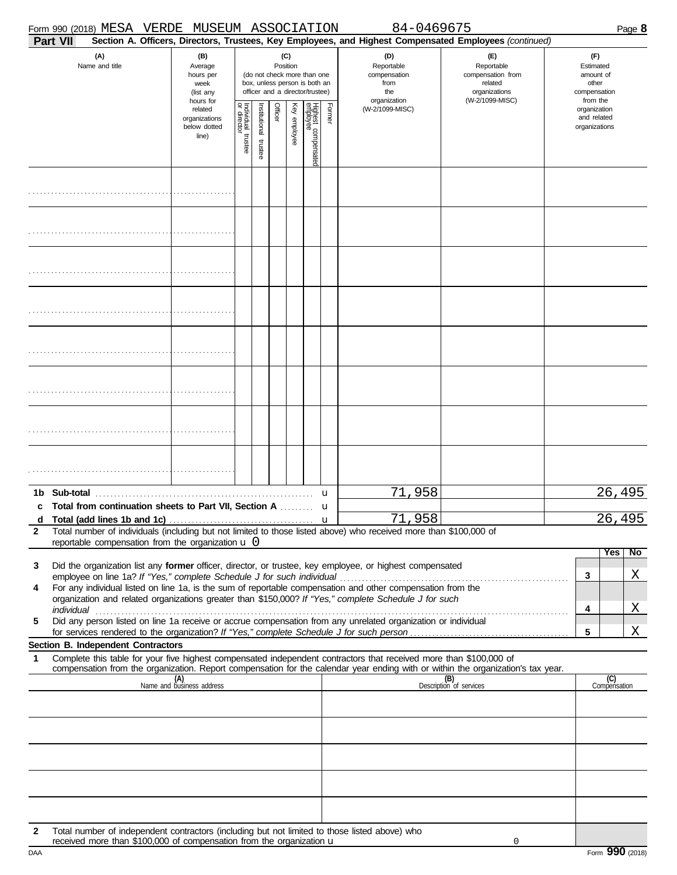|              | Form 990 (2018) MESA VERDE MUSEUM ASSOCIATION                                                                                                                                                                                                                                                                                                                                                                                                                                                                       |                                                               |                                        |                                                                                                                    |         |              |                                 |        | 84-0469675                                                                                             |                                                                                       |                                                          |                     | Page 8             |
|--------------|---------------------------------------------------------------------------------------------------------------------------------------------------------------------------------------------------------------------------------------------------------------------------------------------------------------------------------------------------------------------------------------------------------------------------------------------------------------------------------------------------------------------|---------------------------------------------------------------|----------------------------------------|--------------------------------------------------------------------------------------------------------------------|---------|--------------|---------------------------------|--------|--------------------------------------------------------------------------------------------------------|---------------------------------------------------------------------------------------|----------------------------------------------------------|---------------------|--------------------|
| Part VII     |                                                                                                                                                                                                                                                                                                                                                                                                                                                                                                                     |                                                               |                                        |                                                                                                                    |         |              |                                 |        | Section A. Officers, Directors, Trustees, Key Employees, and Highest Compensated Employees (continued) |                                                                                       |                                                          | (F)                 |                    |
|              | (A)<br>Name and title                                                                                                                                                                                                                                                                                                                                                                                                                                                                                               | (B)<br>Average<br>hours per<br>week<br>(list any<br>hours for |                                        | (C)<br>Position<br>(do not check more than one<br>box, unless person is both an<br>officer and a director/trustee) |         |              |                                 |        | (D)<br>Reportable<br>compensation<br>from<br>the<br>organization                                       | (F)<br>Reportable<br>compensation from<br>related<br>organizations<br>(W-2/1099-MISC) | Estimated<br>amount of<br>compensation                   |                     |                    |
|              |                                                                                                                                                                                                                                                                                                                                                                                                                                                                                                                     | related<br>organizations<br>below dotted<br>line)             | Individual 1<br>or director<br>trustee | nstitutional trustee                                                                                               | Officer | Key employee | Highest compensated<br>employee | Former | (W-2/1099-MISC)                                                                                        |                                                                                       | from the<br>organization<br>and related<br>organizations |                     |                    |
|              |                                                                                                                                                                                                                                                                                                                                                                                                                                                                                                                     |                                                               |                                        |                                                                                                                    |         |              |                                 |        |                                                                                                        |                                                                                       |                                                          |                     |                    |
|              |                                                                                                                                                                                                                                                                                                                                                                                                                                                                                                                     |                                                               |                                        |                                                                                                                    |         |              |                                 |        |                                                                                                        |                                                                                       |                                                          |                     |                    |
|              |                                                                                                                                                                                                                                                                                                                                                                                                                                                                                                                     |                                                               |                                        |                                                                                                                    |         |              |                                 |        |                                                                                                        |                                                                                       |                                                          |                     |                    |
|              |                                                                                                                                                                                                                                                                                                                                                                                                                                                                                                                     |                                                               |                                        |                                                                                                                    |         |              |                                 |        |                                                                                                        |                                                                                       |                                                          |                     |                    |
|              |                                                                                                                                                                                                                                                                                                                                                                                                                                                                                                                     |                                                               |                                        |                                                                                                                    |         |              |                                 |        |                                                                                                        |                                                                                       |                                                          |                     |                    |
|              |                                                                                                                                                                                                                                                                                                                                                                                                                                                                                                                     |                                                               |                                        |                                                                                                                    |         |              |                                 |        |                                                                                                        |                                                                                       |                                                          |                     |                    |
|              |                                                                                                                                                                                                                                                                                                                                                                                                                                                                                                                     |                                                               |                                        |                                                                                                                    |         |              |                                 |        |                                                                                                        |                                                                                       |                                                          |                     |                    |
|              |                                                                                                                                                                                                                                                                                                                                                                                                                                                                                                                     |                                                               |                                        |                                                                                                                    |         |              |                                 |        |                                                                                                        |                                                                                       |                                                          |                     |                    |
| c            | Total from continuation sheets to Part VII, Section A  u                                                                                                                                                                                                                                                                                                                                                                                                                                                            |                                                               |                                        |                                                                                                                    |         |              |                                 |        | 71,958                                                                                                 |                                                                                       |                                                          | 26,495              |                    |
| $\mathbf{2}$ | d Total (add lines 1b and 1c) $\ldots$ $\ldots$ $\ldots$ $\ldots$ $\ldots$ $\ldots$ $\ldots$ $\ldots$ $\ldots$ $\ldots$ $\ldots$ $\ldots$ $\ldots$ $\ldots$ $\ldots$ $\ldots$ $\ldots$ $\ldots$ $\ldots$ $\ldots$ $\ldots$ $\ldots$ $\ldots$ $\ldots$ $\ldots$ $\ldots$ $\ldots$ $\ldots$ $\ldots$ $\ldots$ $\ldots$ $\ldots$<br>Total number of individuals (including but not limited to those listed above) who received more than \$100,000 of<br>reportable compensation from the organization $\mathbf u$ $0$ |                                                               |                                        |                                                                                                                    |         |              |                                 |        |                                                                                                        |                                                                                       |                                                          |                     | 26,495             |
| 3            | Did the organization list any former officer, director, or trustee, key employee, or highest compensated                                                                                                                                                                                                                                                                                                                                                                                                            |                                                               |                                        |                                                                                                                    |         |              |                                 |        |                                                                                                        |                                                                                       |                                                          |                     | Yes  <br><b>No</b> |
| 4            | employee on line 1a? If "Yes," complete Schedule J for such individual manuform content to the term in the For any individual listed on line 1a, is the sum of reportable compensation and other compensation from the                                                                                                                                                                                                                                                                                              |                                                               |                                        |                                                                                                                    |         |              |                                 |        |                                                                                                        |                                                                                       |                                                          | 3                   | Χ                  |
|              | organization and related organizations greater than \$150,000? If "Yes," complete Schedule J for such                                                                                                                                                                                                                                                                                                                                                                                                               |                                                               |                                        |                                                                                                                    |         |              |                                 |        |                                                                                                        |                                                                                       |                                                          | 4                   | Χ                  |
| 5            | individual <b>construction of the construction of the construction</b> of the construction of the construction of the construction of the construction of the construction of the construction of the construction of the construct<br>Did any person listed on line 1a receive or accrue compensation from any unrelated organization or individual                                                                                                                                                                |                                                               |                                        |                                                                                                                    |         |              |                                 |        |                                                                                                        |                                                                                       |                                                          |                     |                    |
|              | Section B. Independent Contractors                                                                                                                                                                                                                                                                                                                                                                                                                                                                                  |                                                               |                                        |                                                                                                                    |         |              |                                 |        |                                                                                                        |                                                                                       |                                                          | 5                   | Χ                  |
| 1            | Complete this table for your five highest compensated independent contractors that received more than \$100,000 of<br>compensation from the organization. Report compensation for the calendar year ending with or within the organization's tax year.                                                                                                                                                                                                                                                              |                                                               |                                        |                                                                                                                    |         |              |                                 |        |                                                                                                        |                                                                                       |                                                          |                     |                    |
|              |                                                                                                                                                                                                                                                                                                                                                                                                                                                                                                                     | (A)<br>Name and business address                              |                                        |                                                                                                                    |         |              |                                 |        |                                                                                                        | (B)<br>Description of services                                                        |                                                          | (C)<br>Compensation |                    |
|              |                                                                                                                                                                                                                                                                                                                                                                                                                                                                                                                     |                                                               |                                        |                                                                                                                    |         |              |                                 |        |                                                                                                        |                                                                                       |                                                          |                     |                    |
|              |                                                                                                                                                                                                                                                                                                                                                                                                                                                                                                                     |                                                               |                                        |                                                                                                                    |         |              |                                 |        |                                                                                                        |                                                                                       |                                                          |                     |                    |
|              |                                                                                                                                                                                                                                                                                                                                                                                                                                                                                                                     |                                                               |                                        |                                                                                                                    |         |              |                                 |        |                                                                                                        |                                                                                       |                                                          |                     |                    |
|              |                                                                                                                                                                                                                                                                                                                                                                                                                                                                                                                     |                                                               |                                        |                                                                                                                    |         |              |                                 |        |                                                                                                        |                                                                                       |                                                          |                     |                    |
| 2            | Total number of independent contractors (including but not limited to those listed above) who                                                                                                                                                                                                                                                                                                                                                                                                                       |                                                               |                                        |                                                                                                                    |         |              |                                 |        |                                                                                                        |                                                                                       |                                                          |                     |                    |
|              | received more than $$100,000$ of compensation from the organization $\mathbf u$                                                                                                                                                                                                                                                                                                                                                                                                                                     |                                                               |                                        |                                                                                                                    |         |              |                                 |        |                                                                                                        | 0                                                                                     |                                                          |                     |                    |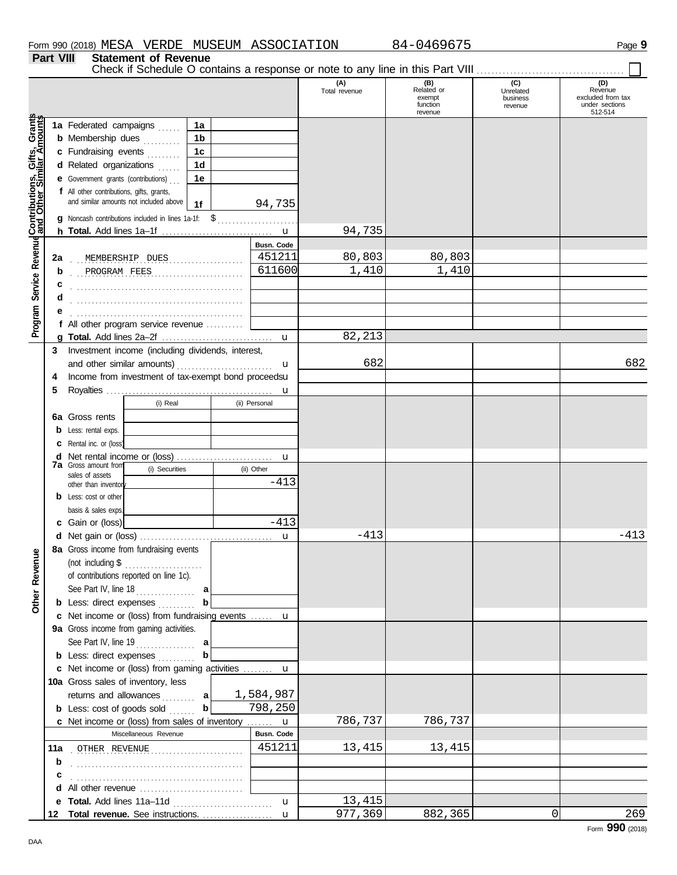**Part VIII Statement of Revenue**

Check if Schedule O contains a response or note to any line in this Part VIII . . . . . . . . . . . . . . . . . . . . . . . . . . . . . . . . . . . . . . . .

|                                                      |             |                                                                                                                                                                                                                                    |                      | (A)<br>Total revenue | (B)<br>Related or<br>exempt<br>function<br>revenue | (C)<br>Unrelated<br>business<br>revenue | (D)<br>Revenue<br>excluded from tax<br>under sections<br>512-514 |
|------------------------------------------------------|-------------|------------------------------------------------------------------------------------------------------------------------------------------------------------------------------------------------------------------------------------|----------------------|----------------------|----------------------------------------------------|-----------------------------------------|------------------------------------------------------------------|
|                                                      |             | 1a Federated campaigns<br>1a                                                                                                                                                                                                       |                      |                      |                                                    |                                         |                                                                  |
|                                                      |             | 1 <sub>b</sub><br><b>b</b> Membership dues                                                                                                                                                                                         |                      |                      |                                                    |                                         |                                                                  |
|                                                      |             | c Fundraising events<br>1c                                                                                                                                                                                                         |                      |                      |                                                    |                                         |                                                                  |
|                                                      |             | d Related organizations<br>1d                                                                                                                                                                                                      |                      |                      |                                                    |                                         |                                                                  |
|                                                      |             | ala da d                                                                                                                                                                                                                           |                      |                      |                                                    |                                         |                                                                  |
|                                                      |             | e Government grants (contributions)<br>1e                                                                                                                                                                                          |                      |                      |                                                    |                                         |                                                                  |
| Program Service Revenue Contributions, Gifts, Grants |             | f All other contributions, gifts, grants,<br>and similar amounts not included above<br>1f                                                                                                                                          | 94,735               |                      |                                                    |                                         |                                                                  |
|                                                      |             | Noncash contributions included in lines 1a-1f: \$                                                                                                                                                                                  |                      |                      |                                                    |                                         |                                                                  |
|                                                      |             |                                                                                                                                                                                                                                    |                      | 94,735               |                                                    |                                         |                                                                  |
|                                                      |             |                                                                                                                                                                                                                                    | <b>Busn. Code</b>    |                      |                                                    |                                         |                                                                  |
|                                                      | 2a          | MEMBERSHIP DUES                                                                                                                                                                                                                    | 451211               | 80,803               | 80,803                                             |                                         |                                                                  |
|                                                      | b           | PROGRAM FEES                                                                                                                                                                                                                       | 611600               | 1,410                | 1,410                                              |                                         |                                                                  |
|                                                      | с           |                                                                                                                                                                                                                                    |                      |                      |                                                    |                                         |                                                                  |
|                                                      | d           |                                                                                                                                                                                                                                    |                      |                      |                                                    |                                         |                                                                  |
|                                                      |             |                                                                                                                                                                                                                                    |                      |                      |                                                    |                                         |                                                                  |
|                                                      |             | f All other program service revenue                                                                                                                                                                                                |                      |                      |                                                    |                                         |                                                                  |
|                                                      |             |                                                                                                                                                                                                                                    |                      | 82,213               |                                                    |                                         |                                                                  |
|                                                      | 3           | Investment income (including dividends, interest,                                                                                                                                                                                  |                      |                      |                                                    |                                         |                                                                  |
|                                                      |             | and other similar amounts)                                                                                                                                                                                                         | u                    | 682                  |                                                    |                                         | 682                                                              |
|                                                      | 4           | Income from investment of tax-exempt bond proceedsu                                                                                                                                                                                |                      |                      |                                                    |                                         |                                                                  |
|                                                      | 5           |                                                                                                                                                                                                                                    | u                    |                      |                                                    |                                         |                                                                  |
|                                                      |             | (i) Real                                                                                                                                                                                                                           | (ii) Personal        |                      |                                                    |                                         |                                                                  |
|                                                      | 6а          | Gross rents                                                                                                                                                                                                                        |                      |                      |                                                    |                                         |                                                                  |
|                                                      | b           | Less: rental exps.                                                                                                                                                                                                                 |                      |                      |                                                    |                                         |                                                                  |
|                                                      | c           | Rental inc. or (loss)                                                                                                                                                                                                              |                      |                      |                                                    |                                         |                                                                  |
|                                                      | d           |                                                                                                                                                                                                                                    | u                    |                      |                                                    |                                         |                                                                  |
|                                                      |             | <b>7a</b> Gross amount from<br>(i) Securities                                                                                                                                                                                      | (ii) Other           |                      |                                                    |                                         |                                                                  |
|                                                      |             | sales of assets                                                                                                                                                                                                                    | $-413$               |                      |                                                    |                                         |                                                                  |
|                                                      |             | other than inventor<br><b>b</b> Less: cost or other                                                                                                                                                                                |                      |                      |                                                    |                                         |                                                                  |
|                                                      |             | basis & sales exps.                                                                                                                                                                                                                |                      |                      |                                                    |                                         |                                                                  |
|                                                      |             | c Gain or (loss)                                                                                                                                                                                                                   | $-413$               |                      |                                                    |                                         |                                                                  |
|                                                      |             |                                                                                                                                                                                                                                    |                      | $-413$               |                                                    |                                         | $-413$                                                           |
|                                                      | d           | 8a Gross income from fundraising events                                                                                                                                                                                            | $\mathbf u$          |                      |                                                    |                                         |                                                                  |
| anueve                                               |             | (not including \$                                                                                                                                                                                                                  |                      |                      |                                                    |                                         |                                                                  |
|                                                      |             |                                                                                                                                                                                                                                    |                      |                      |                                                    |                                         |                                                                  |
| õŽ                                                   |             | of contributions reported on line 1c).                                                                                                                                                                                             |                      |                      |                                                    |                                         |                                                                  |
| Other                                                |             | See Part IV, line $18$<br>a                                                                                                                                                                                                        |                      |                      |                                                    |                                         |                                                                  |
|                                                      |             | <b>b</b> Less: direct expenses                                                                                                                                                                                                     |                      |                      |                                                    |                                         |                                                                  |
|                                                      |             | c Net income or (loss) from fundraising events  u                                                                                                                                                                                  |                      |                      |                                                    |                                         |                                                                  |
|                                                      |             | 9a Gross income from gaming activities.                                                                                                                                                                                            |                      |                      |                                                    |                                         |                                                                  |
|                                                      |             | See Part IV, line 19<br>a                                                                                                                                                                                                          |                      |                      |                                                    |                                         |                                                                  |
|                                                      |             | $\mathbf b$<br><b>b</b> Less: direct expenses                                                                                                                                                                                      |                      |                      |                                                    |                                         |                                                                  |
|                                                      |             | c Net income or (loss) from gaming activities  u                                                                                                                                                                                   |                      |                      |                                                    |                                         |                                                                  |
|                                                      |             | 10a Gross sales of inventory, less                                                                                                                                                                                                 |                      |                      |                                                    |                                         |                                                                  |
|                                                      |             | returns and allowances  a                                                                                                                                                                                                          | 1,584,987<br>798,250 |                      |                                                    |                                         |                                                                  |
|                                                      |             | $\mathbf b$<br><b>b</b> Less: cost of goods sold                                                                                                                                                                                   |                      |                      |                                                    |                                         |                                                                  |
|                                                      |             | c Net income or (loss) from sales of inventory                                                                                                                                                                                     | $\mathbf{u}$         | 786,737              | 786,737                                            |                                         |                                                                  |
|                                                      |             | Miscellaneous Revenue                                                                                                                                                                                                              | Busn. Code           |                      |                                                    |                                         |                                                                  |
|                                                      | 11a         | OTHER REVENUE                                                                                                                                                                                                                      | 451211               | 13,415               | 13,415                                             |                                         |                                                                  |
|                                                      | $\mathbf b$ |                                                                                                                                                                                                                                    |                      |                      |                                                    |                                         |                                                                  |
|                                                      | с           |                                                                                                                                                                                                                                    |                      |                      |                                                    |                                         |                                                                  |
|                                                      | d           | All other revenue <i>communication</i> and the set of the set of the set of the set of the set of the set of the set of the set of the set of the set of the set of the set of the set of the set of the set of the set of the set |                      |                      |                                                    |                                         |                                                                  |
|                                                      |             | e Total. Add lines 11a-11d                                                                                                                                                                                                         | $\mathbf{u}$         | 13,415               |                                                    |                                         |                                                                  |
|                                                      | 12          |                                                                                                                                                                                                                                    |                      | 977,369              | 882,365                                            | $\overline{0}$                          | 269                                                              |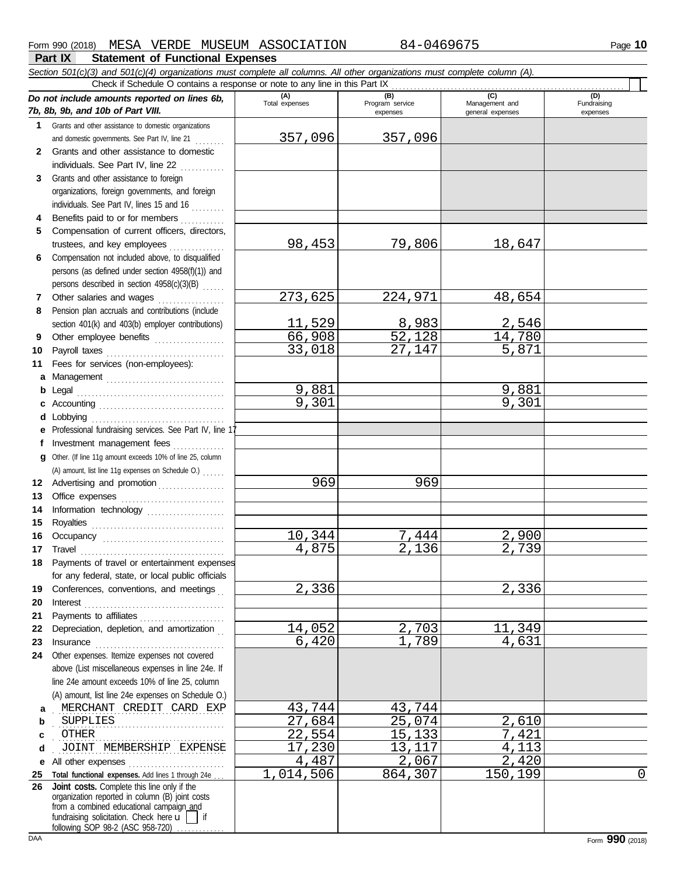#### Form 990 (2018) Page **10** MESA VERDE MUSEUM ASSOCIATION 84-0469675

(D)<br>Fundraising expenses

#### **Part IX Statement of Functional Expenses** *Section 501(c)(3) and 501(c)(4) organizations must complete all columns. All other organizations must complete column (A). Do not include amounts reported on lines 6b, 7b, 8b, 9b, and 10b of Part VIII.* **1 2 3** Grants and other assistance to domestic organizations and domestic governments. See Part IV, line 21 . . . . . . . . Grants and other assistance to domestic individuals. See Part IV, line 22 Grants and other assistance to foreign **(A) (B) (C) (D)** Total expenses Program service Management and expenses general expenses Check if Schedule O contains a response or note to any line in this Part IX ........<br>
Part Will and the spenses of the spenses of the spenses of the spenses of the spenses of the spenses of the spenses of the spenses of th 357,096 357,096

| 3            | Grants and other assistance to foreign<br>organizations, foreign governments, and foreign                                                  |                  |                 |         |   |
|--------------|--------------------------------------------------------------------------------------------------------------------------------------------|------------------|-----------------|---------|---|
|              | individuals. See Part IV, lines 15 and 16                                                                                                  |                  |                 |         |   |
| 4            | Benefits paid to or for members                                                                                                            |                  |                 |         |   |
| 5            | Compensation of current officers, directors,                                                                                               |                  |                 |         |   |
|              |                                                                                                                                            | 98,453           | 79,806          | 18,647  |   |
| 6            | Compensation not included above, to disqualified                                                                                           |                  |                 |         |   |
|              | persons (as defined under section 4958(f)(1)) and                                                                                          |                  |                 |         |   |
|              | persons described in section 4958(c)(3)(B)                                                                                                 |                  |                 |         |   |
|              | Other salaries and wages                                                                                                                   | 273,625          | 224,971         | 48,654  |   |
| 8            | Pension plan accruals and contributions (include                                                                                           |                  |                 |         |   |
|              | section 401(k) and 403(b) employer contributions)                                                                                          | 11,529           | 8,983<br>52,128 | 2,546   |   |
| 9            | Other employee benefits                                                                                                                    | 66,908<br>33,018 |                 | 14,780  |   |
| 0            |                                                                                                                                            |                  | 27,147          | 5,871   |   |
| 1            | Fees for services (non-employees):                                                                                                         |                  |                 |         |   |
|              | a Management                                                                                                                               | 9,881            |                 | 9,881   |   |
|              |                                                                                                                                            | 9,301            |                 | 9,301   |   |
|              | <b>d</b> Lobbying                                                                                                                          |                  |                 |         |   |
|              | e Professional fundraising services. See Part IV, line 1                                                                                   |                  |                 |         |   |
|              | f Investment management fees                                                                                                               |                  |                 |         |   |
|              | g Other. (If line 11g amount exceeds 10% of line 25, column                                                                                |                  |                 |         |   |
|              | (A) amount, list line 11g expenses on Schedule O.)                                                                                         |                  |                 |         |   |
|              | 2 Advertising and promotion [1] [1] Advertising and promotion                                                                              | 969              | 969             |         |   |
| 3            | Office expenses                                                                                                                            |                  |                 |         |   |
| 4            | Information technology                                                                                                                     |                  |                 |         |   |
| 5            |                                                                                                                                            |                  |                 |         |   |
| 6            |                                                                                                                                            | 10,344           | 7,444           | 2,900   |   |
| 7            |                                                                                                                                            | 4,875            | 2,136           | 2,739   |   |
| 8            | Payments of travel or entertainment expenses                                                                                               |                  |                 |         |   |
|              | for any federal, state, or local public officials                                                                                          |                  |                 |         |   |
|              | 9 Conferences, conventions, and meetings                                                                                                   | 2,336            |                 | 2,336   |   |
| 0            |                                                                                                                                            |                  |                 |         |   |
| 1.           | Payments to affiliates [11] [11] Payments to affiliates                                                                                    |                  |                 |         |   |
| $\mathbf{2}$ | Depreciation, depletion, and amortization                                                                                                  | 14,052           | 2,703           | 11,349  |   |
| 3            | Insurance <b>communication</b>                                                                                                             | 6,420            | 1,789           | 4,631   |   |
| 4            | Other expenses. Itemize expenses not covered                                                                                               |                  |                 |         |   |
|              | above (List miscellaneous expenses in line 24e. If                                                                                         |                  |                 |         |   |
|              | line 24e amount exceeds 10% of line 25, column                                                                                             |                  |                 |         |   |
|              | (A) amount, list line 24e expenses on Schedule O.)                                                                                         |                  |                 |         |   |
| a            | MERCHANT CREDIT CARD EXP                                                                                                                   | 43,744           | 43,744          |         |   |
| b            | SUPPLIES                                                                                                                                   | 27,684           | 25,074          | 2,610   |   |
| c            | OTHER                                                                                                                                      | 22,554           | 15,133          | 7,421   |   |
| d            | JOINT MEMBERSHIP EXPENSE                                                                                                                   | 17,230           | 13,117          | 4,113   |   |
|              | e All other expenses                                                                                                                       | 4,487            | 2,067           | 2,420   |   |
| 5            | Total functional expenses. Add lines 1 through 24e                                                                                         | 1,014,506        | 864,307         | 150,199 | 0 |
| 6            | Joint costs. Complete this line only if the<br>organization reported in column (B) joint costs<br>from a combined educational campaign_and |                  |                 |         |   |

fundraising solicitation. Check here  $\mathbf{u}$  | if

following SOP 98-2 (ASC 958-720)

**25 26**

**4 5**

**6**

**7 8**

**9 10 11**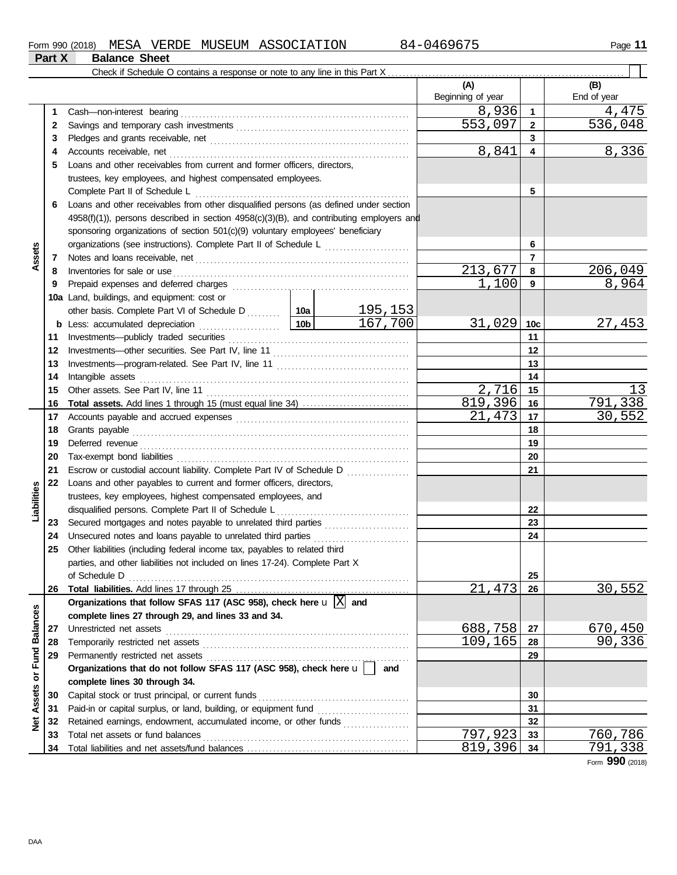|                         |          | Check if Schedule O contains a response or note to any line in this Part X                                                     |                 |                 |                          |                 |                    |
|-------------------------|----------|--------------------------------------------------------------------------------------------------------------------------------|-----------------|-----------------|--------------------------|-----------------|--------------------|
|                         |          |                                                                                                                                |                 |                 | (A)<br>Beginning of year |                 | (B)<br>End of year |
|                         | 1        | Cash-non-interest bearing                                                                                                      |                 |                 | 8,936                    | $\mathbf{1}$    | 4,475              |
|                         | 2        |                                                                                                                                |                 |                 | 553,097                  | $\mathbf{2}$    | 536,048            |
|                         | 3        |                                                                                                                                |                 |                 |                          | 3               |                    |
|                         | 4        |                                                                                                                                |                 |                 | 8,841                    | 4               | 8,336              |
|                         | 5        | Loans and other receivables from current and former officers, directors,                                                       |                 |                 |                          |                 |                    |
|                         |          | trustees, key employees, and highest compensated employees.                                                                    |                 |                 |                          |                 |                    |
|                         |          | Complete Part II of Schedule L                                                                                                 |                 |                 |                          | 5               |                    |
|                         | 6        | Loans and other receivables from other disqualified persons (as defined under section                                          |                 |                 |                          |                 |                    |
|                         |          | $4958(f)(1)$ ), persons described in section $4958(c)(3)(B)$ , and contributing employers and                                  |                 |                 |                          |                 |                    |
|                         |          | sponsoring organizations of section 501(c)(9) voluntary employees' beneficiary                                                 |                 |                 |                          |                 |                    |
|                         |          | organizations (see instructions). Complete Part II of Schedule L                                                               | 6               |                 |                          |                 |                    |
| Assets                  | 7        |                                                                                                                                |                 |                 |                          | $\overline{7}$  |                    |
|                         | 8        | Inventories for sale or use                                                                                                    |                 |                 | 213,677                  | 8               | 206,049            |
|                         | 9        |                                                                                                                                |                 |                 | 1,100                    | 9               | 8,964              |
|                         |          | 10a Land, buildings, and equipment: cost or                                                                                    |                 |                 |                          |                 |                    |
|                         |          |                                                                                                                                |                 | <u> 195,153</u> |                          |                 |                    |
|                         | b        | Less: accumulated depreciation                                                                                                 | 10 <sub>b</sub> | 167,700         | 31,029                   | 10 <sub>c</sub> | <u>27,453</u>      |
|                         | 11       |                                                                                                                                |                 |                 |                          | 11              |                    |
|                         | 12       |                                                                                                                                |                 |                 | 12                       |                 |                    |
|                         | 13       |                                                                                                                                |                 | 13              |                          |                 |                    |
|                         | 14       | Intangible assets                                                                                                              |                 | 14              |                          |                 |                    |
|                         | 15       |                                                                                                                                | 2,716           | 15              | 13                       |                 |                    |
|                         | 16       |                                                                                                                                |                 |                 | 819,396                  | 16              | 791,338            |
|                         | 17       |                                                                                                                                |                 |                 | 21,473                   | 17              | <u>30,552</u>      |
|                         | 18       | Grants payable                                                                                                                 |                 | 18              |                          |                 |                    |
|                         | 19       |                                                                                                                                |                 |                 | 19                       |                 |                    |
|                         | 20       |                                                                                                                                |                 |                 | 20                       |                 |                    |
|                         | 21       | Escrow or custodial account liability. Complete Part IV of Schedule D                                                          |                 |                 |                          | 21              |                    |
|                         | 22       | Loans and other payables to current and former officers, directors,                                                            |                 |                 |                          |                 |                    |
|                         |          | trustees, key employees, highest compensated employees, and                                                                    |                 |                 |                          |                 |                    |
| Liabilities             |          | disqualified persons. Complete Part II of Schedule L                                                                           |                 |                 |                          | 22              |                    |
|                         | 23       | Secured mortgages and notes payable to unrelated third parties<br>Unsecured notes and loans payable to unrelated third parties |                 |                 |                          | 23<br>24        |                    |
|                         | 24<br>25 | Other liabilities (including federal income tax, payables to related third                                                     |                 |                 |                          |                 |                    |
|                         |          | parties, and other liabilities not included on lines 17-24). Complete Part X                                                   |                 |                 |                          |                 |                    |
|                         |          | of Schedule D                                                                                                                  |                 |                 |                          | 25              |                    |
|                         | 26       |                                                                                                                                |                 |                 | 21,473                   | 26              | 30,552             |
|                         |          | Organizations that follow SFAS 117 (ASC 958), check here $\mathbf{u} \times \mathbf{a}$ and                                    |                 |                 |                          |                 |                    |
|                         |          | complete lines 27 through 29, and lines 33 and 34.                                                                             |                 |                 |                          |                 |                    |
|                         | 27       | Unrestricted net assets                                                                                                        |                 |                 | 688,758                  | 27              | 670,450            |
|                         | 28       | Temporarily restricted net assets                                                                                              |                 |                 | 109,165                  | 28              | 90,336             |
|                         | 29       | Permanently restricted net assets                                                                                              |                 |                 |                          | 29              |                    |
|                         |          | Organizations that do not follow SFAS 117 (ASC 958), check here u                                                              |                 | and             |                          |                 |                    |
|                         |          | complete lines 30 through 34.                                                                                                  |                 |                 |                          |                 |                    |
| Assets or Fund Balances | 30       | Capital stock or trust principal, or current funds                                                                             |                 |                 |                          | 30              |                    |
|                         | 31       | Paid-in or capital surplus, or land, building, or equipment fund                                                               |                 |                 |                          | 31              |                    |
| $\frac{1}{2}$           | 32       | Retained earnings, endowment, accumulated income, or other funds                                                               |                 |                 |                          | 32              |                    |
|                         | 33       | Total net assets or fund balances                                                                                              |                 |                 | 797,923                  | 33              | 760,786            |
|                         | 34       |                                                                                                                                |                 |                 | 819,396                  | 34              | 791,338            |

Form **990** (2018)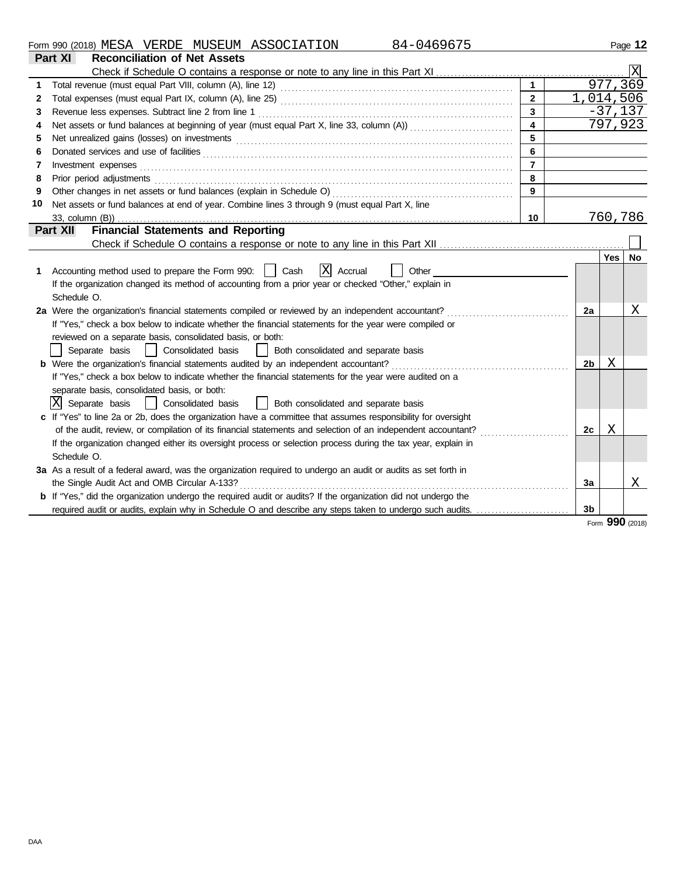| Form<br>$\sim$<br>uu<br>. 990 | (2018)<br>140 U | $\sim$ $\sim$ $\sim$ $\sim$<br>MESA | סתססי<br>KDE.<br>. | . MIJSEIT<br>SEUM | <b>ASSOCIATION</b><br>71 L<br>$H_{\rm L}$ | $\sqrt{ }$<br>$\mathbf{1}$ | Page |
|-------------------------------|-----------------|-------------------------------------|--------------------|-------------------|-------------------------------------------|----------------------------|------|
|                               |                 |                                     |                    |                   |                                           |                            |      |

| Part XI<br><b>Reconciliation of Net Assets</b> |                                                                                                                |                         |  |                |     |           |  |  |  |
|------------------------------------------------|----------------------------------------------------------------------------------------------------------------|-------------------------|--|----------------|-----|-----------|--|--|--|
|                                                |                                                                                                                |                         |  |                |     |           |  |  |  |
|                                                |                                                                                                                | $\mathbf{1}$            |  |                |     | 977, 369  |  |  |  |
| 2                                              |                                                                                                                | $\overline{2}$          |  |                |     | 1,014,506 |  |  |  |
| 3                                              |                                                                                                                | $\overline{3}$          |  |                |     | $-37,137$ |  |  |  |
| 4                                              |                                                                                                                | $\overline{\mathbf{4}}$ |  |                |     | 797,923   |  |  |  |
| 5                                              |                                                                                                                |                         |  |                |     |           |  |  |  |
| 6                                              |                                                                                                                | 6                       |  |                |     |           |  |  |  |
| 7                                              | Investment expenses                                                                                            | $\overline{7}$          |  |                |     |           |  |  |  |
| 8                                              |                                                                                                                | 8                       |  |                |     |           |  |  |  |
| 9                                              |                                                                                                                | 9                       |  |                |     |           |  |  |  |
| 10                                             | Net assets or fund balances at end of year. Combine lines 3 through 9 (must equal Part X, line                 |                         |  |                |     |           |  |  |  |
|                                                |                                                                                                                | 10                      |  |                |     | 760,786   |  |  |  |
|                                                | <b>Financial Statements and Reporting</b><br>Part XII                                                          |                         |  |                |     |           |  |  |  |
|                                                |                                                                                                                |                         |  |                |     |           |  |  |  |
|                                                |                                                                                                                |                         |  |                | Yes | No        |  |  |  |
| 1                                              | $ X $ Accrual<br>Accounting method used to prepare the Form 990:     Cash<br>Other                             |                         |  |                |     |           |  |  |  |
|                                                | If the organization changed its method of accounting from a prior year or checked "Other," explain in          |                         |  |                |     |           |  |  |  |
|                                                | Schedule O.                                                                                                    |                         |  |                |     |           |  |  |  |
|                                                | 2a Were the organization's financial statements compiled or reviewed by an independent accountant?             |                         |  |                |     |           |  |  |  |
|                                                | If "Yes," check a box below to indicate whether the financial statements for the year were compiled or         |                         |  |                |     |           |  |  |  |
|                                                | reviewed on a separate basis, consolidated basis, or both:                                                     |                         |  |                |     |           |  |  |  |
|                                                | Separate basis<br>  Consolidated basis<br>  Both consolidated and separate basis                               |                         |  |                |     |           |  |  |  |
|                                                |                                                                                                                |                         |  | 2 <sub>b</sub> | Χ   |           |  |  |  |
|                                                | If "Yes," check a box below to indicate whether the financial statements for the year were audited on a        |                         |  |                |     |           |  |  |  |
|                                                | separate basis, consolidated basis, or both:                                                                   |                         |  |                |     |           |  |  |  |
|                                                | X Separate basis<br>Consolidated basis<br>Both consolidated and separate basis                                 |                         |  |                |     |           |  |  |  |
|                                                | c If "Yes" to line 2a or 2b, does the organization have a committee that assumes responsibility for oversight  |                         |  |                |     |           |  |  |  |
|                                                | of the audit, review, or compilation of its financial statements and selection of an independent accountant?   |                         |  | 2c             | Χ   |           |  |  |  |
|                                                | If the organization changed either its oversight process or selection process during the tax year, explain in  |                         |  |                |     |           |  |  |  |
|                                                | Schedule O.                                                                                                    |                         |  |                |     |           |  |  |  |
|                                                | 3a As a result of a federal award, was the organization required to undergo an audit or audits as set forth in |                         |  |                |     |           |  |  |  |
|                                                | the Single Audit Act and OMB Circular A-133?                                                                   |                         |  | 3a             |     | X         |  |  |  |
|                                                | b If "Yes," did the organization undergo the required audit or audits? If the organization did not undergo the |                         |  |                |     |           |  |  |  |
|                                                |                                                                                                                |                         |  | 3 <sub>b</sub> |     |           |  |  |  |
|                                                |                                                                                                                |                         |  |                | ΩΩΩ |           |  |  |  |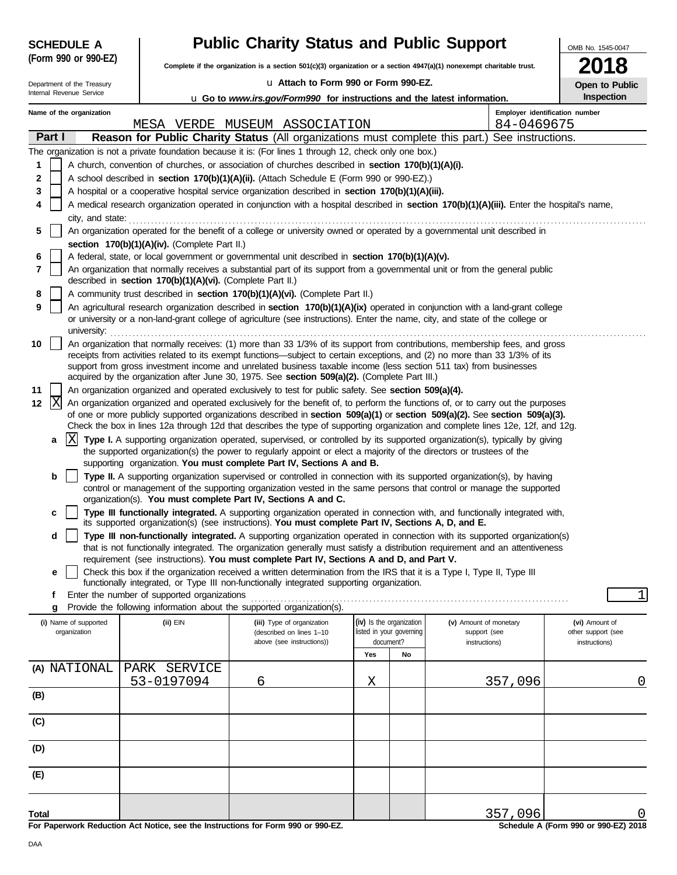|        | <b>SCHEDULE A</b>          |                                                            | <b>Public Charity Status and Public Support</b>                                                                                                                                                                    |                                       |    |                                                                                                                                                                                                                                                                | OMB No. 1545-0047                   |
|--------|----------------------------|------------------------------------------------------------|--------------------------------------------------------------------------------------------------------------------------------------------------------------------------------------------------------------------|---------------------------------------|----|----------------------------------------------------------------------------------------------------------------------------------------------------------------------------------------------------------------------------------------------------------------|-------------------------------------|
|        | (Form 990 or 990-EZ)       |                                                            | Complete if the organization is a section 501(c)(3) organization or a section 4947(a)(1) nonexempt charitable trust.                                                                                               |                                       |    |                                                                                                                                                                                                                                                                | 2018                                |
|        | Department of the Treasury |                                                            | u Attach to Form 990 or Form 990-EZ.                                                                                                                                                                               |                                       |    |                                                                                                                                                                                                                                                                | Open to Public                      |
|        | Internal Revenue Service   |                                                            | <b>u</b> Go to <i>www.irs.gov/Form990</i> for instructions and the latest information.                                                                                                                             |                                       |    |                                                                                                                                                                                                                                                                | Inspection                          |
|        | Name of the organization   |                                                            |                                                                                                                                                                                                                    |                                       |    | Employer identification number                                                                                                                                                                                                                                 |                                     |
|        |                            |                                                            | MESA VERDE MUSEUM ASSOCIATION                                                                                                                                                                                      |                                       |    | 84-0469675                                                                                                                                                                                                                                                     |                                     |
|        | Part I                     |                                                            |                                                                                                                                                                                                                    |                                       |    | Reason for Public Charity Status (All organizations must complete this part.) See instructions.                                                                                                                                                                |                                     |
|        |                            |                                                            | The organization is not a private foundation because it is: (For lines 1 through 12, check only one box.)                                                                                                          |                                       |    |                                                                                                                                                                                                                                                                |                                     |
| 1      |                            |                                                            | A church, convention of churches, or association of churches described in section 170(b)(1)(A)(i).                                                                                                                 |                                       |    |                                                                                                                                                                                                                                                                |                                     |
| 2<br>3 |                            |                                                            | A school described in section 170(b)(1)(A)(ii). (Attach Schedule E (Form 990 or 990-EZ).)<br>A hospital or a cooperative hospital service organization described in section 170(b)(1)(A)(iii).                     |                                       |    |                                                                                                                                                                                                                                                                |                                     |
| 4      |                            |                                                            |                                                                                                                                                                                                                    |                                       |    | A medical research organization operated in conjunction with a hospital described in section 170(b)(1)(A)(iii). Enter the hospital's name,                                                                                                                     |                                     |
|        | city, and state:           |                                                            |                                                                                                                                                                                                                    |                                       |    |                                                                                                                                                                                                                                                                |                                     |
| 5      |                            |                                                            | An organization operated for the benefit of a college or university owned or operated by a governmental unit described in                                                                                          |                                       |    |                                                                                                                                                                                                                                                                |                                     |
|        |                            | section 170(b)(1)(A)(iv). (Complete Part II.)              |                                                                                                                                                                                                                    |                                       |    |                                                                                                                                                                                                                                                                |                                     |
| 6      |                            |                                                            | A federal, state, or local government or governmental unit described in section 170(b)(1)(A)(v).                                                                                                                   |                                       |    |                                                                                                                                                                                                                                                                |                                     |
| 7      |                            | described in section 170(b)(1)(A)(vi). (Complete Part II.) |                                                                                                                                                                                                                    |                                       |    | An organization that normally receives a substantial part of its support from a governmental unit or from the general public                                                                                                                                   |                                     |
| 8      |                            |                                                            | A community trust described in section 170(b)(1)(A)(vi). (Complete Part II.)                                                                                                                                       |                                       |    |                                                                                                                                                                                                                                                                |                                     |
| 9      |                            |                                                            |                                                                                                                                                                                                                    |                                       |    | An agricultural research organization described in section 170(b)(1)(A)(ix) operated in conjunction with a land-grant college                                                                                                                                  |                                     |
|        | university:                |                                                            |                                                                                                                                                                                                                    |                                       |    | or university or a non-land-grant college of agriculture (see instructions). Enter the name, city, and state of the college or                                                                                                                                 |                                     |
| 10     |                            |                                                            |                                                                                                                                                                                                                    |                                       |    | An organization that normally receives: (1) more than 33 1/3% of its support from contributions, membership fees, and gross                                                                                                                                    |                                     |
|        |                            |                                                            |                                                                                                                                                                                                                    |                                       |    | receipts from activities related to its exempt functions—subject to certain exceptions, and (2) no more than 33 1/3% of its                                                                                                                                    |                                     |
|        |                            |                                                            | support from gross investment income and unrelated business taxable income (less section 511 tax) from businesses<br>acquired by the organization after June 30, 1975. See section 509(a)(2). (Complete Part III.) |                                       |    |                                                                                                                                                                                                                                                                |                                     |
| 11     |                            |                                                            | An organization organized and operated exclusively to test for public safety. See section 509(a)(4).                                                                                                               |                                       |    |                                                                                                                                                                                                                                                                |                                     |
| 12     | X                          |                                                            |                                                                                                                                                                                                                    |                                       |    | An organization organized and operated exclusively for the benefit of, to perform the functions of, or to carry out the purposes                                                                                                                               |                                     |
|        |                            |                                                            |                                                                                                                                                                                                                    |                                       |    | of one or more publicly supported organizations described in section 509(a)(1) or section 509(a)(2). See section 509(a)(3).                                                                                                                                    |                                     |
|        | ΙX<br>a                    |                                                            |                                                                                                                                                                                                                    |                                       |    | Check the box in lines 12a through 12d that describes the type of supporting organization and complete lines 12e, 12f, and 12g.<br>Type I. A supporting organization operated, supervised, or controlled by its supported organization(s), typically by giving |                                     |
|        |                            |                                                            | the supported organization(s) the power to regularly appoint or elect a majority of the directors or trustees of the                                                                                               |                                       |    |                                                                                                                                                                                                                                                                |                                     |
|        |                            |                                                            | supporting organization. You must complete Part IV, Sections A and B.                                                                                                                                              |                                       |    |                                                                                                                                                                                                                                                                |                                     |
|        | b                          |                                                            |                                                                                                                                                                                                                    |                                       |    | Type II. A supporting organization supervised or controlled in connection with its supported organization(s), by having                                                                                                                                        |                                     |
|        |                            |                                                            | organization(s). You must complete Part IV, Sections A and C.                                                                                                                                                      |                                       |    | control or management of the supporting organization vested in the same persons that control or manage the supported                                                                                                                                           |                                     |
|        | c                          |                                                            |                                                                                                                                                                                                                    |                                       |    | Type III functionally integrated. A supporting organization operated in connection with, and functionally integrated with,                                                                                                                                     |                                     |
|        |                            |                                                            | its supported organization(s) (see instructions). You must complete Part IV, Sections A, D, and E.                                                                                                                 |                                       |    |                                                                                                                                                                                                                                                                |                                     |
|        | d                          |                                                            |                                                                                                                                                                                                                    |                                       |    | Type III non-functionally integrated. A supporting organization operated in connection with its supported organization(s)<br>that is not functionally integrated. The organization generally must satisfy a distribution requirement and an attentiveness      |                                     |
|        |                            |                                                            | requirement (see instructions). You must complete Part IV, Sections A and D, and Part V.                                                                                                                           |                                       |    |                                                                                                                                                                                                                                                                |                                     |
|        | е                          |                                                            | Check this box if the organization received a written determination from the IRS that it is a Type I, Type II, Type III                                                                                            |                                       |    |                                                                                                                                                                                                                                                                |                                     |
|        | f                          | Enter the number of supported organizations                | functionally integrated, or Type III non-functionally integrated supporting organization.                                                                                                                          |                                       |    |                                                                                                                                                                                                                                                                | 1                                   |
|        | g                          |                                                            | Provide the following information about the supported organization(s).                                                                                                                                             |                                       |    |                                                                                                                                                                                                                                                                |                                     |
|        | (i) Name of supported      | (ii) EIN                                                   | (iii) Type of organization                                                                                                                                                                                         | (iv) Is the organization              |    | (v) Amount of monetary                                                                                                                                                                                                                                         | (vi) Amount of                      |
|        | organization               |                                                            | (described on lines 1-10<br>above (see instructions))                                                                                                                                                              | listed in your governing<br>document? |    | support (see<br>instructions)                                                                                                                                                                                                                                  | other support (see<br>instructions) |
|        |                            |                                                            |                                                                                                                                                                                                                    | Yes                                   | No |                                                                                                                                                                                                                                                                |                                     |
|        | (A) NATIONAL               | PARK SERVICE                                               |                                                                                                                                                                                                                    |                                       |    |                                                                                                                                                                                                                                                                |                                     |
|        |                            | 53-0197094                                                 | 6                                                                                                                                                                                                                  | Χ                                     |    | 357,096                                                                                                                                                                                                                                                        | 0                                   |
| (B)    |                            |                                                            |                                                                                                                                                                                                                    |                                       |    |                                                                                                                                                                                                                                                                |                                     |
| (C)    |                            |                                                            |                                                                                                                                                                                                                    |                                       |    |                                                                                                                                                                                                                                                                |                                     |
|        |                            |                                                            |                                                                                                                                                                                                                    |                                       |    |                                                                                                                                                                                                                                                                |                                     |
| (D)    |                            |                                                            |                                                                                                                                                                                                                    |                                       |    |                                                                                                                                                                                                                                                                |                                     |
| (E)    |                            |                                                            |                                                                                                                                                                                                                    |                                       |    |                                                                                                                                                                                                                                                                |                                     |
|        |                            |                                                            |                                                                                                                                                                                                                    |                                       |    |                                                                                                                                                                                                                                                                |                                     |
| Total  |                            |                                                            |                                                                                                                                                                                                                    |                                       |    | 357,096                                                                                                                                                                                                                                                        |                                     |

**For Paperwork Reduction Act Notice, see the Instructions for Form 990 or 990-EZ.**

**Schedule A (Form 990 or 990-EZ) 2018**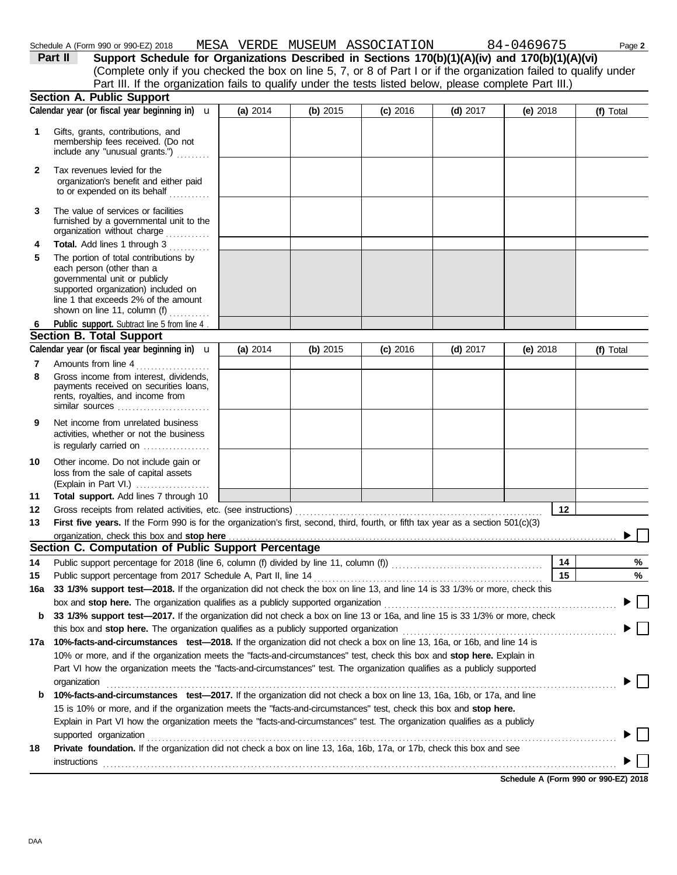DAA

**Section A. Public Support**

**1**

Gifts, grants, contributions, and

|              | membership fees received. (Do not<br>include any "unusual grants.")                                                                                                                                                                            |          |          |            |            |                                      |           |
|--------------|------------------------------------------------------------------------------------------------------------------------------------------------------------------------------------------------------------------------------------------------|----------|----------|------------|------------|--------------------------------------|-----------|
| $\mathbf{2}$ | Tax revenues levied for the<br>organization's benefit and either paid<br>to or expended on its behalf                                                                                                                                          |          |          |            |            |                                      |           |
| 3            | The value of services or facilities<br>furnished by a governmental unit to the<br>organization without charge                                                                                                                                  |          |          |            |            |                                      |           |
| 4            | Total. Add lines 1 through 3                                                                                                                                                                                                                   |          |          |            |            |                                      |           |
| 5            | The portion of total contributions by<br>each person (other than a<br>governmental unit or publicly<br>supported organization) included on<br>line 1 that exceeds 2% of the amount<br>shown on line 11, column (f)<br><u>.</u><br>. <b>.</b> . |          |          |            |            |                                      |           |
| 6            | Public support. Subtract line 5 from line 4.                                                                                                                                                                                                   |          |          |            |            |                                      |           |
|              | <b>Section B. Total Support</b>                                                                                                                                                                                                                |          |          |            |            |                                      |           |
|              | Calendar year (or fiscal year beginning in) $\mathbf u$                                                                                                                                                                                        | (a) 2014 | (b) 2015 | $(c)$ 2016 | (d) $2017$ | (e) $2018$                           | (f) Total |
| 7<br>8       | Amounts from line 4<br>Gross income from interest, dividends,<br>payments received on securities loans,<br>rents, royalties, and income from<br>similar sources                                                                                |          |          |            |            |                                      |           |
| 9            | Net income from unrelated business<br>activities, whether or not the business<br>is regularly carried on                                                                                                                                       |          |          |            |            |                                      |           |
| 10           | Other income. Do not include gain or<br>loss from the sale of capital assets                                                                                                                                                                   |          |          |            |            |                                      |           |
| 11           | Total support. Add lines 7 through 10                                                                                                                                                                                                          |          |          |            |            |                                      |           |
| 12           | Gross receipts from related activities, etc. (see instructions)                                                                                                                                                                                |          |          |            |            | $12 \,$                              |           |
| 13           | First five years. If the Form 990 is for the organization's first, second, third, fourth, or fifth tax year as a section 501(c)(3)                                                                                                             |          |          |            |            |                                      |           |
|              | Section C. Computation of Public Support Percentage                                                                                                                                                                                            |          |          |            |            |                                      |           |
| 14           | Public support percentage for 2018 (line 6, column (f) divided by line 11, column (f)) [[[[[[[[[[[[[[[[[[[[[[                                                                                                                                  |          |          |            |            | 14                                   | %         |
| 15           | Public support percentage from 2017 Schedule A, Part II, line 14                                                                                                                                                                               |          |          |            |            | 15                                   | $\%$      |
| 16a          | 33 1/3% support test-2018. If the organization did not check the box on line 13, and line 14 is 33 1/3% or more, check this                                                                                                                    |          |          |            |            |                                      |           |
|              |                                                                                                                                                                                                                                                |          |          |            |            |                                      |           |
| b            | 33 1/3% support test-2017. If the organization did not check a box on line 13 or 16a, and line 15 is 33 1/3% or more, check                                                                                                                    |          |          |            |            |                                      |           |
|              | this box and stop here. The organization qualifies as a publicly supported organization                                                                                                                                                        |          |          |            |            |                                      |           |
| 17а          | 10%-facts-and-circumstances test-2018. If the organization did not check a box on line 13, 16a, or 16b, and line 14 is                                                                                                                         |          |          |            |            |                                      |           |
|              | 10% or more, and if the organization meets the "facts-and-circumstances" test, check this box and stop here. Explain in                                                                                                                        |          |          |            |            |                                      |           |
|              | Part VI how the organization meets the "facts-and-circumstances" test. The organization qualifies as a publicly supported                                                                                                                      |          |          |            |            |                                      |           |
|              | organization                                                                                                                                                                                                                                   |          |          |            |            |                                      |           |
| b            | 10%-facts-and-circumstances test-2017. If the organization did not check a box on line 13, 16a, 16b, or 17a, and line                                                                                                                          |          |          |            |            |                                      |           |
|              | 15 is 10% or more, and if the organization meets the "facts-and-circumstances" test, check this box and stop here.                                                                                                                             |          |          |            |            |                                      |           |
|              | Explain in Part VI how the organization meets the "facts-and-circumstances" test. The organization qualifies as a publicly                                                                                                                     |          |          |            |            |                                      |           |
| 18           | supported organization<br>Private foundation. If the organization did not check a box on line 13, 16a, 16b, 17a, or 17b, check this box and see                                                                                                |          |          |            |            |                                      |           |
|              | instructions                                                                                                                                                                                                                                   |          |          |            |            |                                      |           |
|              |                                                                                                                                                                                                                                                |          |          |            |            |                                      |           |
|              |                                                                                                                                                                                                                                                |          |          |            |            | Schedule A (Form 990 or 990-EZ) 2018 |           |

|         | Schedule A (Form 990 or 990-EZ) 2018 |  | MESA VERDE MUSEUM ASSOCIATION | 84-0469675                                                                                                        | Page 2 |
|---------|--------------------------------------|--|-------------------------------|-------------------------------------------------------------------------------------------------------------------|--------|
| Part II |                                      |  |                               | Support Schedule for Organizations Described in Sections 170(b)(1)(A)(iv) and 170(b)(1)(A)(vi)                    |        |
|         |                                      |  |                               | (Complete only if you checked the box on line 5, 7, or 8 of Part I or if the organization failed to qualify under |        |
|         |                                      |  |                               | Part III. If the organization fails to qualify under the tests listed below, please complete Part III.)           |        |

Calendar year (or fiscal year beginning in) **u** | (a) 2014 | (b) 2015 | (c) 2016 | (d) 2017 | (e) 2018 | (f) Total

**(a)** 2014 **(b)** 2015 **(c)** 2016 **(d)** 2017 **(e)** 2018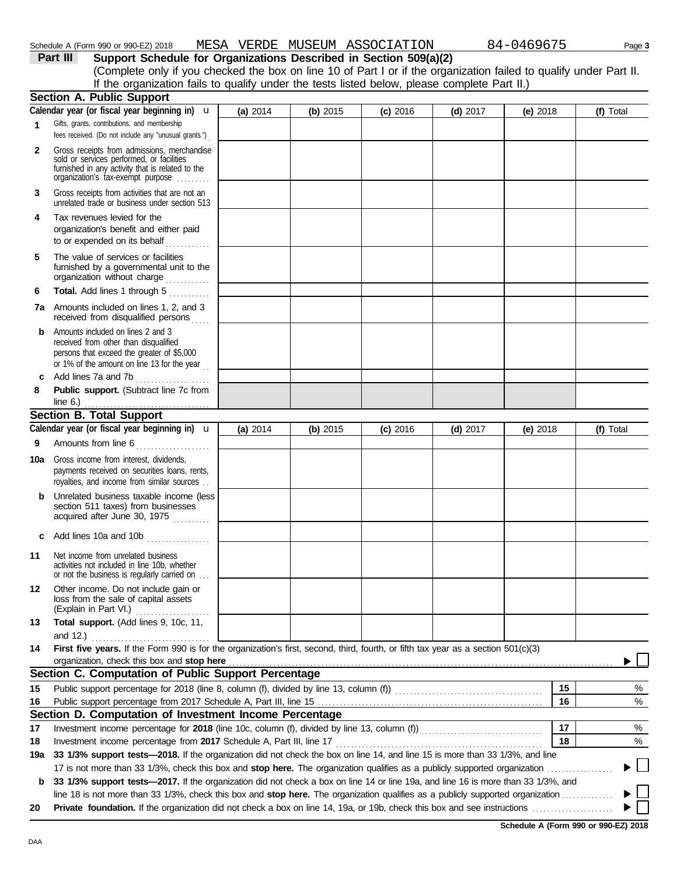| 6   | <b>Total.</b> Add lines 1 through 5                                                                                                                                              |          |            |            |            |                                      |           |   |
|-----|----------------------------------------------------------------------------------------------------------------------------------------------------------------------------------|----------|------------|------------|------------|--------------------------------------|-----------|---|
| 7a  | Amounts included on lines 1, 2, and 3<br>received from disqualified persons                                                                                                      |          |            |            |            |                                      |           |   |
| b   | Amounts included on lines 2 and 3<br>received from other than disqualified<br>persons that exceed the greater of \$5,000<br>or 1% of the amount on line 13 for the year.         |          |            |            |            |                                      |           |   |
| c   | Add lines 7a and 7b<br>.                                                                                                                                                         |          |            |            |            |                                      |           |   |
| 8   | Public support. (Subtract line 7c from                                                                                                                                           |          |            |            |            |                                      |           |   |
|     | <b>Section B. Total Support</b>                                                                                                                                                  |          |            |            |            |                                      |           |   |
|     | Calendar year (or fiscal year beginning in) $\mathbf u$                                                                                                                          | (a) 2014 | $(b)$ 2015 | $(c)$ 2016 | $(d)$ 2017 | (e) $2018$                           | (f) Total |   |
| 9   | Amounts from line 6                                                                                                                                                              |          |            |            |            |                                      |           |   |
| 10a | Gross income from interest, dividends,<br>payments received on securities loans, rents,<br>royalties, and income from similar sources                                            |          |            |            |            |                                      |           |   |
| b   | Unrelated business taxable income (less<br>section 511 taxes) from businesses<br>acquired after June 30, 1975                                                                    |          |            |            |            |                                      |           |   |
| c   | Add lines 10a and 10b                                                                                                                                                            |          |            |            |            |                                      |           |   |
| 11  | Net income from unrelated business<br>activities not included in line 10b, whether<br>or not the business is regularly carried on                                                |          |            |            |            |                                      |           |   |
| 12  | Other income. Do not include gain or<br>loss from the sale of capital assets<br>(Explain in Part VI.)<br>.                                                                       |          |            |            |            |                                      |           |   |
| 13  | Total support. (Add lines 9, 10c, 11,                                                                                                                                            |          |            |            |            |                                      |           |   |
| 14  | First five years. If the Form 990 is for the organization's first, second, third, fourth, or fifth tax year as a section 501(c)(3)<br>organization, check this box and stop here |          |            |            |            |                                      |           |   |
|     | Section C. Computation of Public Support Percentage                                                                                                                              |          |            |            |            |                                      |           |   |
| 15  |                                                                                                                                                                                  |          |            |            |            | 15                                   |           | % |
| 16  |                                                                                                                                                                                  |          |            |            |            | 16                                   |           | % |
|     | Section D. Computation of Investment Income Percentage                                                                                                                           |          |            |            |            |                                      |           |   |
| 17  |                                                                                                                                                                                  |          |            |            |            | 17                                   |           | % |
| 18  |                                                                                                                                                                                  |          |            |            |            | 18                                   |           | % |
| 19a | 33 1/3% support tests-2018. If the organization did not check the box on line 14, and line 15 is more than 33 1/3%, and line                                                     |          |            |            |            |                                      |           |   |
|     |                                                                                                                                                                                  |          |            |            |            |                                      |           |   |
| b   | 33 1/3% support tests—2017. If the organization did not check a box on line 14 or line 19a, and line 16 is more than 33 1/3%, and                                                |          |            |            |            |                                      |           |   |
|     | line 18 is not more than 33 1/3%, check this box and stop here. The organization qualifies as a publicly supported organization                                                  |          |            |            |            |                                      |           |   |
| 20  |                                                                                                                                                                                  |          |            |            |            |                                      |           |   |
|     |                                                                                                                                                                                  |          |            |            |            | Schedule A (Form 990 or 990-EZ) 2018 |           |   |
| DAA |                                                                                                                                                                                  |          |            |            |            |                                      |           |   |

#### **Part III Support Schedule for Organizations Described in Section 509(a)(2)** Schedule A (Form 990 or 990-EZ) 2018 MESA VERDE MUSEUM ASSOCIATION 84-0469675 Page 3

If the organization fails to qualify under the tests listed below, please complete Part II.)

(Complete only if you checked the box on line 10 of Part I or if the organization failed to qualify under Part II.

**(a)** 2014 **(b)** 2015 **(c)** 2016 **(d)** 2017 **(e)** 2018 **(f)** Total

unrelated trade or business under section 513

organization without charge ............. furnished by a governmental unit to the

organization's tax-exempt purpose .........

Gross receipts from activities that are not an

organization's benefit and either paid to or expended on its behalf . . . . . . . . . .

Gross receipts from admissions, merchandise sold or services performed, or facilities furnished in any activity that is related to the

Gifts, grants, contributions, and membership fees received. (Do not include any "unusual grants.") .

Calendar year (or fiscal year beginning in) **u** 

**Section A. Public Support**

**4** Tax revenues levied for the

**5** The value of services or facilities

**1**

**2**

**3**

D<sub>A</sub>

| ΛJ | 84-0469675 |
|----|------------|
|    |            |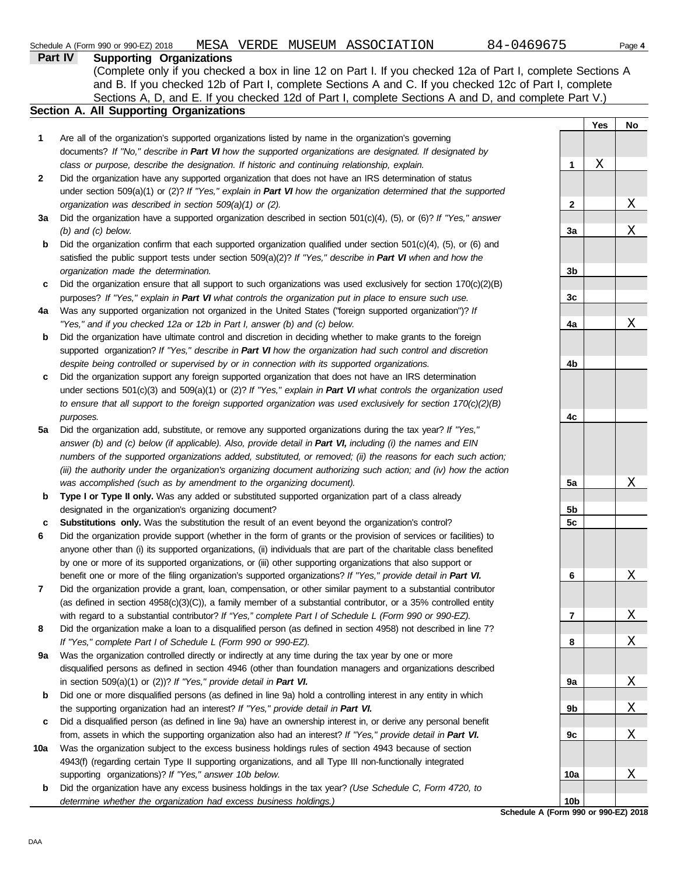|              | (Complete only if you checked a box in line 12 on Part I. If you checked 12a of Part I, complete Sections A<br>and B. If you checked 12b of Part I, complete Sections A and C. If you checked 12c of Part I, complete<br>Sections A, D, and E. If you checked 12d of Part I, complete Sections A and D, and complete Part V.) |                 |     |                       |
|--------------|-------------------------------------------------------------------------------------------------------------------------------------------------------------------------------------------------------------------------------------------------------------------------------------------------------------------------------|-----------------|-----|-----------------------|
|              | Section A. All Supporting Organizations                                                                                                                                                                                                                                                                                       |                 |     |                       |
|              |                                                                                                                                                                                                                                                                                                                               |                 | Yes | No                    |
| 1            | Are all of the organization's supported organizations listed by name in the organization's governing                                                                                                                                                                                                                          |                 |     |                       |
|              | documents? If "No," describe in Part VI how the supported organizations are designated. If designated by                                                                                                                                                                                                                      |                 |     |                       |
|              | class or purpose, describe the designation. If historic and continuing relationship, explain.                                                                                                                                                                                                                                 | 1               | Χ   |                       |
| $\mathbf{2}$ | Did the organization have any supported organization that does not have an IRS determination of status                                                                                                                                                                                                                        |                 |     |                       |
|              | under section 509(a)(1) or (2)? If "Yes," explain in Part VI how the organization determined that the supported                                                                                                                                                                                                               |                 |     |                       |
|              | organization was described in section 509(a)(1) or (2).                                                                                                                                                                                                                                                                       | $\mathbf{2}$    |     | X                     |
| За           | Did the organization have a supported organization described in section $501(c)(4)$ , (5), or (6)? If "Yes," answer                                                                                                                                                                                                           |                 |     |                       |
|              | $(b)$ and $(c)$ below.                                                                                                                                                                                                                                                                                                        | 3a              |     | X                     |
| b            | Did the organization confirm that each supported organization qualified under section 501(c)(4), (5), or (6) and                                                                                                                                                                                                              |                 |     |                       |
|              | satisfied the public support tests under section 509(a)(2)? If "Yes," describe in Part VI when and how the                                                                                                                                                                                                                    |                 |     |                       |
|              | organization made the determination.                                                                                                                                                                                                                                                                                          | 3b              |     |                       |
| c            | Did the organization ensure that all support to such organizations was used exclusively for section $170(c)(2)(B)$                                                                                                                                                                                                            |                 |     |                       |
|              | purposes? If "Yes," explain in Part VI what controls the organization put in place to ensure such use.                                                                                                                                                                                                                        | 3c              |     |                       |
| 4a           | Was any supported organization not organized in the United States ("foreign supported organization")? If                                                                                                                                                                                                                      |                 |     |                       |
|              | "Yes," and if you checked 12a or 12b in Part I, answer (b) and (c) below.                                                                                                                                                                                                                                                     | 4a              |     | Χ                     |
| b            | Did the organization have ultimate control and discretion in deciding whether to make grants to the foreign                                                                                                                                                                                                                   |                 |     |                       |
|              | supported organization? If "Yes," describe in Part VI how the organization had such control and discretion                                                                                                                                                                                                                    |                 |     |                       |
|              | despite being controlled or supervised by or in connection with its supported organizations.                                                                                                                                                                                                                                  | 4b              |     |                       |
| c            | Did the organization support any foreign supported organization that does not have an IRS determination                                                                                                                                                                                                                       |                 |     |                       |
|              | under sections $501(c)(3)$ and $509(a)(1)$ or (2)? If "Yes," explain in Part VI what controls the organization used                                                                                                                                                                                                           |                 |     |                       |
|              | to ensure that all support to the foreign supported organization was used exclusively for section $170(c)(2)(B)$                                                                                                                                                                                                              |                 |     |                       |
|              | purposes.                                                                                                                                                                                                                                                                                                                     | 4c              |     |                       |
| 5a           | Did the organization add, substitute, or remove any supported organizations during the tax year? If "Yes,"                                                                                                                                                                                                                    |                 |     |                       |
|              | answer (b) and (c) below (if applicable). Also, provide detail in Part VI, including (i) the names and EIN                                                                                                                                                                                                                    |                 |     |                       |
|              | numbers of the supported organizations added, substituted, or removed; (ii) the reasons for each such action;                                                                                                                                                                                                                 |                 |     |                       |
|              | (iii) the authority under the organization's organizing document authorizing such action; and (iv) how the action                                                                                                                                                                                                             |                 |     |                       |
|              | was accomplished (such as by amendment to the organizing document).                                                                                                                                                                                                                                                           | 5a              |     | X                     |
| b            | Type I or Type II only. Was any added or substituted supported organization part of a class already                                                                                                                                                                                                                           |                 |     |                       |
|              | designated in the organization's organizing document?                                                                                                                                                                                                                                                                         | 5b              |     |                       |
| c            | <b>Substitutions only.</b> Was the substitution the result of an event beyond the organization's control?                                                                                                                                                                                                                     | 5c              |     |                       |
| 6            | Did the organization provide support (whether in the form of grants or the provision of services or facilities) to                                                                                                                                                                                                            |                 |     |                       |
|              | anyone other than (i) its supported organizations, (ii) individuals that are part of the charitable class benefited                                                                                                                                                                                                           |                 |     |                       |
|              | by one or more of its supported organizations, or (iii) other supporting organizations that also support or                                                                                                                                                                                                                   |                 |     |                       |
|              | benefit one or more of the filing organization's supported organizations? If "Yes," provide detail in Part VI.                                                                                                                                                                                                                | 6               |     | X                     |
| 7            | Did the organization provide a grant, loan, compensation, or other similar payment to a substantial contributor                                                                                                                                                                                                               |                 |     |                       |
|              | (as defined in section $4958(c)(3)(C)$ ), a family member of a substantial contributor, or a 35% controlled entity                                                                                                                                                                                                            |                 |     |                       |
|              | with regard to a substantial contributor? If "Yes," complete Part I of Schedule L (Form 990 or 990-EZ).                                                                                                                                                                                                                       | 7               |     | <u>X</u>              |
| 8            | Did the organization make a loan to a disqualified person (as defined in section 4958) not described in line 7?<br>If "Yes," complete Part I of Schedule L (Form 990 or 990-EZ).                                                                                                                                              |                 |     | X                     |
| 9a           | Was the organization controlled directly or indirectly at any time during the tax year by one or more                                                                                                                                                                                                                         | 8               |     |                       |
|              | disqualified persons as defined in section 4946 (other than foundation managers and organizations described                                                                                                                                                                                                                   |                 |     |                       |
|              | in section 509(a)(1) or (2))? If "Yes," provide detail in Part VI.                                                                                                                                                                                                                                                            | 9а              |     | $\overline{\text{X}}$ |
| b            | Did one or more disqualified persons (as defined in line 9a) hold a controlling interest in any entity in which                                                                                                                                                                                                               |                 |     |                       |
|              | the supporting organization had an interest? If "Yes," provide detail in Part VI.                                                                                                                                                                                                                                             | 9b              |     | $\overline{\text{X}}$ |
| c            | Did a disqualified person (as defined in line 9a) have an ownership interest in, or derive any personal benefit                                                                                                                                                                                                               |                 |     |                       |
|              | from, assets in which the supporting organization also had an interest? If "Yes," provide detail in Part VI.                                                                                                                                                                                                                  | 9c              |     | X                     |
| 10a          | Was the organization subject to the excess business holdings rules of section 4943 because of section                                                                                                                                                                                                                         |                 |     |                       |
|              | 4943(f) (regarding certain Type II supporting organizations, and all Type III non-functionally integrated                                                                                                                                                                                                                     |                 |     |                       |
|              | supporting organizations)? If "Yes," answer 10b below.                                                                                                                                                                                                                                                                        | 10a             |     | <u>X</u>              |
| b            | Did the organization have any excess business holdings in the tax year? (Use Schedule C, Form 4720, to                                                                                                                                                                                                                        |                 |     |                       |
|              | determine whether the organization had excess business holdings.)                                                                                                                                                                                                                                                             | 10 <sub>b</sub> |     |                       |

**Schedule A (Form 990 or 990-EZ) 2018**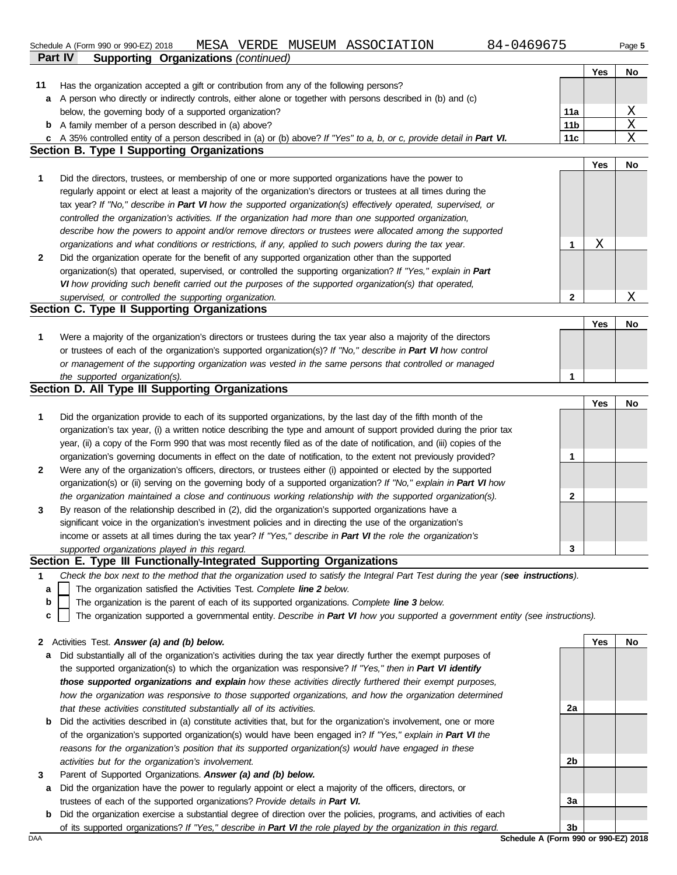Schedule A (Form 990 or 990-EZ) 2018 MESA VERDE N<br>**Part IV Supporting Organizations** *(continued)* Schedule A (Form 990 or 990-EZ) 2018 MESA VERDE MUSEUM ASSOCIATION 84-0469675 Page **5** 

Has the organization accepted a gift or contribution from any of the following persons?

**11**

|  | 84-046967 |
|--|-----------|
|--|-----------|

**Yes No**

|     | a A person who directly or indirectly controls, either alone or together with persons described in (b) and (c)                                                                                                                                  |                                      |     |                 |
|-----|-------------------------------------------------------------------------------------------------------------------------------------------------------------------------------------------------------------------------------------------------|--------------------------------------|-----|-----------------|
|     | below, the governing body of a supported organization?                                                                                                                                                                                          | 11a                                  |     | $\underline{X}$ |
|     | <b>b</b> A family member of a person described in (a) above?                                                                                                                                                                                    | 11 <sub>b</sub>                      |     | $\overline{X}$  |
|     | c A 35% controlled entity of a person described in (a) or (b) above? If "Yes" to a, b, or c, provide detail in Part VI.                                                                                                                         | 11c                                  |     | $\mathbf X$     |
|     | <b>Section B. Type I Supporting Organizations</b>                                                                                                                                                                                               |                                      |     |                 |
|     |                                                                                                                                                                                                                                                 |                                      | Yes | No              |
| 1   | Did the directors, trustees, or membership of one or more supported organizations have the power to                                                                                                                                             |                                      |     |                 |
|     | regularly appoint or elect at least a majority of the organization's directors or trustees at all times during the                                                                                                                              |                                      |     |                 |
|     | tax year? If "No," describe in Part VI how the supported organization(s) effectively operated, supervised, or                                                                                                                                   |                                      |     |                 |
|     | controlled the organization's activities. If the organization had more than one supported organization,                                                                                                                                         |                                      |     |                 |
|     | describe how the powers to appoint and/or remove directors or trustees were allocated among the supported                                                                                                                                       |                                      |     |                 |
|     | organizations and what conditions or restrictions, if any, applied to such powers during the tax year.                                                                                                                                          | 1                                    | Χ   |                 |
| 2   | Did the organization operate for the benefit of any supported organization other than the supported                                                                                                                                             |                                      |     |                 |
|     | organization(s) that operated, supervised, or controlled the supporting organization? If "Yes," explain in Part                                                                                                                                 |                                      |     |                 |
|     | VI how providing such benefit carried out the purposes of the supported organization(s) that operated,                                                                                                                                          |                                      |     |                 |
|     | supervised, or controlled the supporting organization.                                                                                                                                                                                          | 2                                    |     | Χ               |
|     | Section C. Type II Supporting Organizations                                                                                                                                                                                                     |                                      |     |                 |
|     |                                                                                                                                                                                                                                                 |                                      | Yes | No              |
| 1   | Were a majority of the organization's directors or trustees during the tax year also a majority of the directors                                                                                                                                |                                      |     |                 |
|     | or trustees of each of the organization's supported organization(s)? If "No," describe in Part VI how control                                                                                                                                   |                                      |     |                 |
|     | or management of the supporting organization was vested in the same persons that controlled or managed                                                                                                                                          |                                      |     |                 |
|     | the supported organization(s).<br>Section D. All Type III Supporting Organizations                                                                                                                                                              | 1                                    |     |                 |
|     |                                                                                                                                                                                                                                                 |                                      |     |                 |
|     |                                                                                                                                                                                                                                                 |                                      | Yes | No              |
| 1   | Did the organization provide to each of its supported organizations, by the last day of the fifth month of the                                                                                                                                  |                                      |     |                 |
|     | organization's tax year, (i) a written notice describing the type and amount of support provided during the prior tax<br>year, (ii) a copy of the Form 990 that was most recently filed as of the date of notification, and (iii) copies of the |                                      |     |                 |
|     | organization's governing documents in effect on the date of notification, to the extent not previously provided?                                                                                                                                | 1                                    |     |                 |
| 2   | Were any of the organization's officers, directors, or trustees either (i) appointed or elected by the supported                                                                                                                                |                                      |     |                 |
|     | organization(s) or (ii) serving on the governing body of a supported organization? If "No," explain in Part VI how                                                                                                                              |                                      |     |                 |
|     | the organization maintained a close and continuous working relationship with the supported organization(s).                                                                                                                                     | 2                                    |     |                 |
| 3   | By reason of the relationship described in (2), did the organization's supported organizations have a                                                                                                                                           |                                      |     |                 |
|     | significant voice in the organization's investment policies and in directing the use of the organization's                                                                                                                                      |                                      |     |                 |
|     | income or assets at all times during the tax year? If "Yes," describe in Part VI the role the organization's                                                                                                                                    |                                      |     |                 |
|     | supported organizations played in this regard.                                                                                                                                                                                                  | 3                                    |     |                 |
|     | Section E. Type III Functionally-Integrated Supporting Organizations                                                                                                                                                                            |                                      |     |                 |
| 1   | Check the box next to the method that the organization used to satisfy the Integral Part Test during the year (see instructions).                                                                                                               |                                      |     |                 |
| a   | The organization satisfied the Activities Test. Complete line 2 below.                                                                                                                                                                          |                                      |     |                 |
| b   | The organization is the parent of each of its supported organizations. Complete line 3 below.                                                                                                                                                   |                                      |     |                 |
| c   | The organization supported a governmental entity. Describe in Part VI how you supported a government entity (see instructions).                                                                                                                 |                                      |     |                 |
|     |                                                                                                                                                                                                                                                 |                                      |     |                 |
|     | 2 Activities Test. Answer (a) and (b) below.                                                                                                                                                                                                    |                                      | Yes | No              |
| а   | Did substantially all of the organization's activities during the tax year directly further the exempt purposes of                                                                                                                              |                                      |     |                 |
|     | the supported organization(s) to which the organization was responsive? If "Yes," then in Part VI identify                                                                                                                                      |                                      |     |                 |
|     | those supported organizations and explain how these activities directly furthered their exempt purposes,                                                                                                                                        |                                      |     |                 |
|     | how the organization was responsive to those supported organizations, and how the organization determined                                                                                                                                       |                                      |     |                 |
|     | that these activities constituted substantially all of its activities.                                                                                                                                                                          | 2a                                   |     |                 |
| b   | Did the activities described in (a) constitute activities that, but for the organization's involvement, one or more                                                                                                                             |                                      |     |                 |
|     | of the organization's supported organization(s) would have been engaged in? If "Yes," explain in Part VI the                                                                                                                                    |                                      |     |                 |
|     | reasons for the organization's position that its supported organization(s) would have engaged in these                                                                                                                                          |                                      |     |                 |
|     | activities but for the organization's involvement.                                                                                                                                                                                              | 2b                                   |     |                 |
| 3   | Parent of Supported Organizations. Answer (a) and (b) below.                                                                                                                                                                                    |                                      |     |                 |
| а   | Did the organization have the power to regularly appoint or elect a majority of the officers, directors, or                                                                                                                                     |                                      |     |                 |
|     | trustees of each of the supported organizations? Provide details in Part VI.                                                                                                                                                                    | 3a                                   |     |                 |
| b   | Did the organization exercise a substantial degree of direction over the policies, programs, and activities of each                                                                                                                             | 3b                                   |     |                 |
| DAA | of its supported organizations? If "Yes," describe in Part VI the role played by the organization in this regard.                                                                                                                               | Schedule A (Form 990 or 990-EZ) 2018 |     |                 |
|     |                                                                                                                                                                                                                                                 |                                      |     |                 |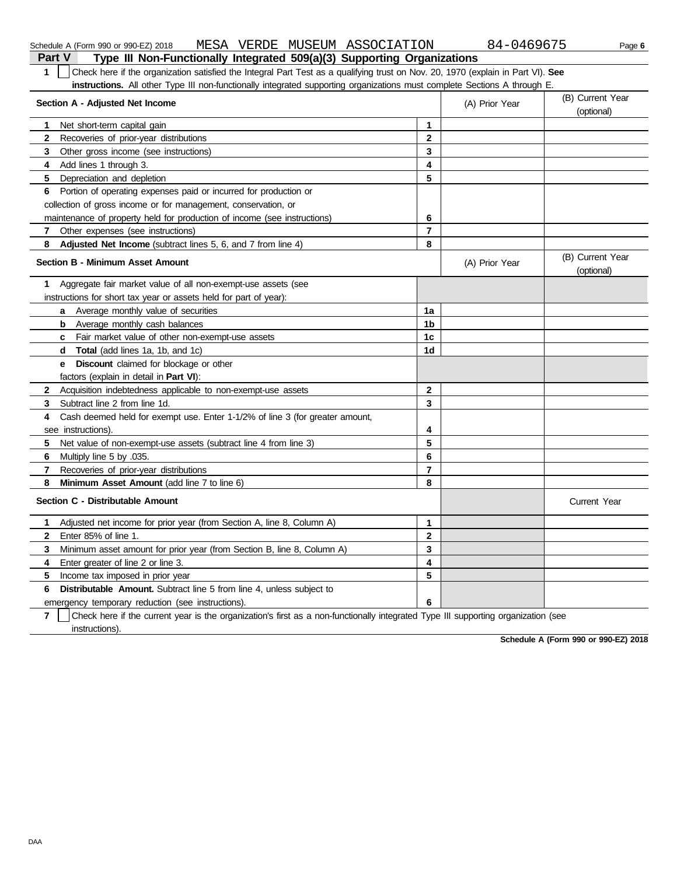| Check here if the organization satisfied the Integral Part Test as a qualifying trust on Nov. 20, 1970 (explain in Part VI). See<br>1<br><b>instructions.</b> All other Type III non-functionally integrated supporting organizations must complete Sections A through E. |                |                |                                |
|---------------------------------------------------------------------------------------------------------------------------------------------------------------------------------------------------------------------------------------------------------------------------|----------------|----------------|--------------------------------|
| Section A - Adjusted Net Income                                                                                                                                                                                                                                           |                | (A) Prior Year | (B) Current Year<br>(optional) |
| Net short-term capital gain<br>1.                                                                                                                                                                                                                                         | 1              |                |                                |
| $\mathbf{2}$<br>Recoveries of prior-year distributions                                                                                                                                                                                                                    | $\overline{2}$ |                |                                |
| 3<br>Other gross income (see instructions)                                                                                                                                                                                                                                | 3              |                |                                |
| Add lines 1 through 3.<br>4                                                                                                                                                                                                                                               | 4              |                |                                |
| 5<br>Depreciation and depletion                                                                                                                                                                                                                                           | 5              |                |                                |
| Portion of operating expenses paid or incurred for production or<br>6                                                                                                                                                                                                     |                |                |                                |
| collection of gross income or for management, conservation, or                                                                                                                                                                                                            |                |                |                                |
| maintenance of property held for production of income (see instructions)                                                                                                                                                                                                  | 6              |                |                                |
| $\mathbf{7}$<br>Other expenses (see instructions)                                                                                                                                                                                                                         | $\overline{7}$ |                |                                |
| 8<br>Adjusted Net Income (subtract lines 5, 6, and 7 from line 4)                                                                                                                                                                                                         | 8              |                |                                |
| <b>Section B - Minimum Asset Amount</b>                                                                                                                                                                                                                                   |                | (A) Prior Year | (B) Current Year<br>(optional) |
| Aggregate fair market value of all non-exempt-use assets (see<br>1.                                                                                                                                                                                                       |                |                |                                |
| instructions for short tax year or assets held for part of year):                                                                                                                                                                                                         |                |                |                                |
| Average monthly value of securities<br>a                                                                                                                                                                                                                                  | 1a             |                |                                |
| b<br>Average monthly cash balances                                                                                                                                                                                                                                        | 1 <sub>b</sub> |                |                                |
| c Fair market value of other non-exempt-use assets                                                                                                                                                                                                                        | 1 <sub>c</sub> |                |                                |
| d Total (add lines 1a, 1b, and 1c)                                                                                                                                                                                                                                        | 1d             |                |                                |
| <b>e</b> Discount claimed for blockage or other                                                                                                                                                                                                                           |                |                |                                |
| factors (explain in detail in Part VI):                                                                                                                                                                                                                                   |                |                |                                |
| $\mathbf{2}$<br>Acquisition indebtedness applicable to non-exempt-use assets                                                                                                                                                                                              | $\mathbf{2}$   |                |                                |
| Subtract line 2 from line 1d.<br>3                                                                                                                                                                                                                                        | 3              |                |                                |
| Cash deemed held for exempt use. Enter 1-1/2% of line 3 (for greater amount,<br>4                                                                                                                                                                                         |                |                |                                |
| see instructions).                                                                                                                                                                                                                                                        | 4              |                |                                |
| 5<br>Net value of non-exempt-use assets (subtract line 4 from line 3)                                                                                                                                                                                                     | 5              |                |                                |
| 6<br>Multiply line 5 by .035.                                                                                                                                                                                                                                             | 6              |                |                                |
| 7<br>Recoveries of prior-year distributions                                                                                                                                                                                                                               | $\overline{7}$ |                |                                |
| 8<br><b>Minimum Asset Amount</b> (add line 7 to line 6)                                                                                                                                                                                                                   | 8              |                |                                |
| Section C - Distributable Amount                                                                                                                                                                                                                                          |                |                | <b>Current Year</b>            |
| Adjusted net income for prior year (from Section A, line 8, Column A)<br>1                                                                                                                                                                                                | $\mathbf{1}$   |                |                                |
| Enter 85% of line 1.<br>$\mathbf{2}$                                                                                                                                                                                                                                      | $\overline{2}$ |                |                                |
| 3<br>Minimum asset amount for prior year (from Section B, line 8, Column A)                                                                                                                                                                                               | 3              |                |                                |
| 4<br>Enter greater of line 2 or line 3.                                                                                                                                                                                                                                   | 4              |                |                                |
| 5<br>Income tax imposed in prior year                                                                                                                                                                                                                                     | 5              |                |                                |
| <b>Distributable Amount.</b> Subtract line 5 from line 4, unless subject to<br>6                                                                                                                                                                                          |                |                |                                |
| emergency temporary reduction (see instructions).                                                                                                                                                                                                                         | 6              |                |                                |

#### **7** | Check here if the current year is the organization's first as a non-functionally integrated Type III supporting organization (see instructions).

**Schedule A (Form 990 or 990-EZ) 2018**

**Part V Type III Non-Functionally Integrated 509(a)(3) Supporting Organizations** Schedule A (Form 990 or 990-EZ) 2018 MESA VERDE MUSEUM ASSOCIATION 84-0469675 Page **6**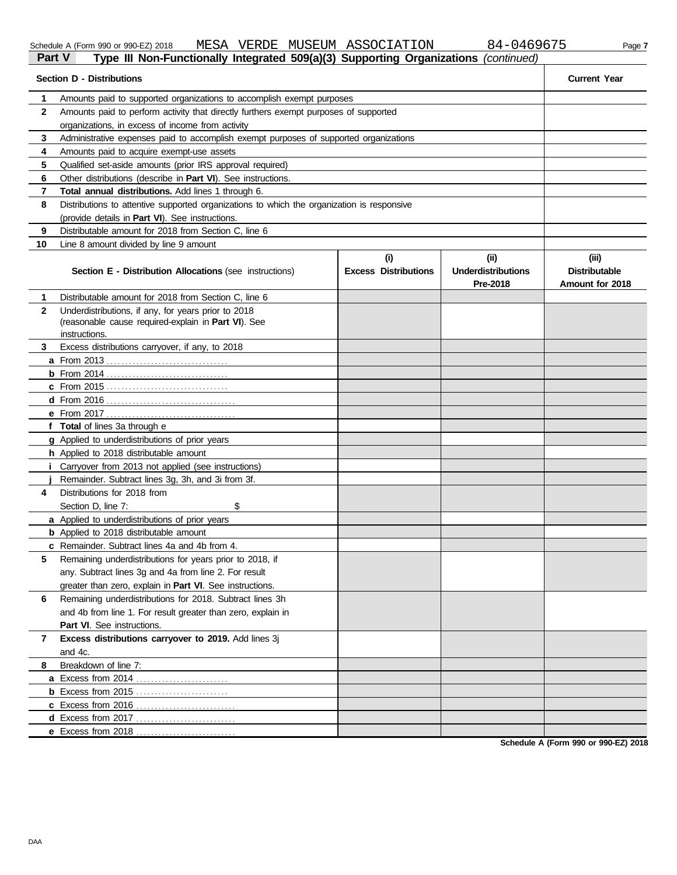| cheaule A (Form 990 or 990-EZ) Z( |                 |  |  |
|-----------------------------------|-----------------|--|--|
| $D_{\text{out}}$ $M$              | Tomas III, Marc |  |  |

| Schedule<br>(Form | า 990 or 990-EZ) 2018 | MESA | TTDDDE<br>RDE.<br>$V$ DIV. | <b>MUSEUM</b> | ASSOCIATION | <u>сл</u><br>$\overline{ }$<br>$\sim$ 1 $\sim$ | Page |
|-------------------|-----------------------|------|----------------------------|---------------|-------------|------------------------------------------------|------|
|                   |                       |      |                            |               |             |                                                |      |

**Part V Type III Non-Functionally Integrated 509(a)(3) Supporting Organizations** *(continued)* **Section D - Distributions Current Year**

| 1            | Amounts paid to supported organizations to accomplish exempt purposes                      |                                    |                                               |                                                  |
|--------------|--------------------------------------------------------------------------------------------|------------------------------------|-----------------------------------------------|--------------------------------------------------|
| $\mathbf{2}$ | Amounts paid to perform activity that directly furthers exempt purposes of supported       |                                    |                                               |                                                  |
|              | organizations, in excess of income from activity                                           |                                    |                                               |                                                  |
| 3            | Administrative expenses paid to accomplish exempt purposes of supported organizations      |                                    |                                               |                                                  |
| 4            | Amounts paid to acquire exempt-use assets                                                  |                                    |                                               |                                                  |
| 5            | Qualified set-aside amounts (prior IRS approval required)                                  |                                    |                                               |                                                  |
| 6            | Other distributions (describe in Part VI). See instructions.                               |                                    |                                               |                                                  |
| 7            | Total annual distributions. Add lines 1 through 6.                                         |                                    |                                               |                                                  |
| 8            | Distributions to attentive supported organizations to which the organization is responsive |                                    |                                               |                                                  |
|              | (provide details in Part VI). See instructions.                                            |                                    |                                               |                                                  |
| 9            | Distributable amount for 2018 from Section C. line 6                                       |                                    |                                               |                                                  |
| 10           | Line 8 amount divided by line 9 amount                                                     |                                    |                                               |                                                  |
|              | Section E - Distribution Allocations (see instructions)                                    | (i)<br><b>Excess Distributions</b> | (ii)<br><b>Underdistributions</b><br>Pre-2018 | (iii)<br><b>Distributable</b><br>Amount for 2018 |
| 1            | Distributable amount for 2018 from Section C, line 6                                       |                                    |                                               |                                                  |
| $\mathbf{2}$ | Underdistributions, if any, for years prior to 2018                                        |                                    |                                               |                                                  |
|              | (reasonable cause required-explain in Part VI). See                                        |                                    |                                               |                                                  |
|              | instructions.                                                                              |                                    |                                               |                                                  |
| 3            | Excess distributions carryover, if any, to 2018                                            |                                    |                                               |                                                  |
|              |                                                                                            |                                    |                                               |                                                  |
|              |                                                                                            |                                    |                                               |                                                  |
|              |                                                                                            |                                    |                                               |                                                  |
|              |                                                                                            |                                    |                                               |                                                  |
|              |                                                                                            |                                    |                                               |                                                  |
|              | f Total of lines 3a through e                                                              |                                    |                                               |                                                  |
|              | g Applied to underdistributions of prior years                                             |                                    |                                               |                                                  |
|              | h Applied to 2018 distributable amount                                                     |                                    |                                               |                                                  |
|              | Carryover from 2013 not applied (see instructions)                                         |                                    |                                               |                                                  |
|              | Remainder. Subtract lines 3g, 3h, and 3i from 3f.                                          |                                    |                                               |                                                  |
| 4            | Distributions for 2018 from                                                                |                                    |                                               |                                                  |
|              | \$<br>Section D, line 7:                                                                   |                                    |                                               |                                                  |
|              | <b>a</b> Applied to underdistributions of prior years                                      |                                    |                                               |                                                  |
|              | <b>b</b> Applied to 2018 distributable amount                                              |                                    |                                               |                                                  |
|              | c Remainder. Subtract lines 4a and 4b from 4.                                              |                                    |                                               |                                                  |
| 5            | Remaining underdistributions for years prior to 2018, if                                   |                                    |                                               |                                                  |
|              | any. Subtract lines 3g and 4a from line 2. For result                                      |                                    |                                               |                                                  |
|              | greater than zero, explain in Part VI. See instructions.                                   |                                    |                                               |                                                  |
| 6            | Remaining underdistributions for 2018. Subtract lines 3h                                   |                                    |                                               |                                                  |
|              | and 4b from line 1. For result greater than zero, explain in                               |                                    |                                               |                                                  |
|              | Part VI. See instructions.                                                                 |                                    |                                               |                                                  |
| 7            | Excess distributions carryover to 2019. Add lines 3j                                       |                                    |                                               |                                                  |
|              | and 4c.<br>Breakdown of line 7:                                                            |                                    |                                               |                                                  |
| 8            |                                                                                            |                                    |                                               |                                                  |
|              |                                                                                            |                                    |                                               |                                                  |
|              | <b>b</b> Excess from 2015                                                                  |                                    |                                               |                                                  |
|              |                                                                                            |                                    |                                               |                                                  |
|              |                                                                                            |                                    |                                               |                                                  |
|              | e Excess from 2018                                                                         |                                    |                                               |                                                  |

**Schedule A (Form 990 or 990-EZ) 2018**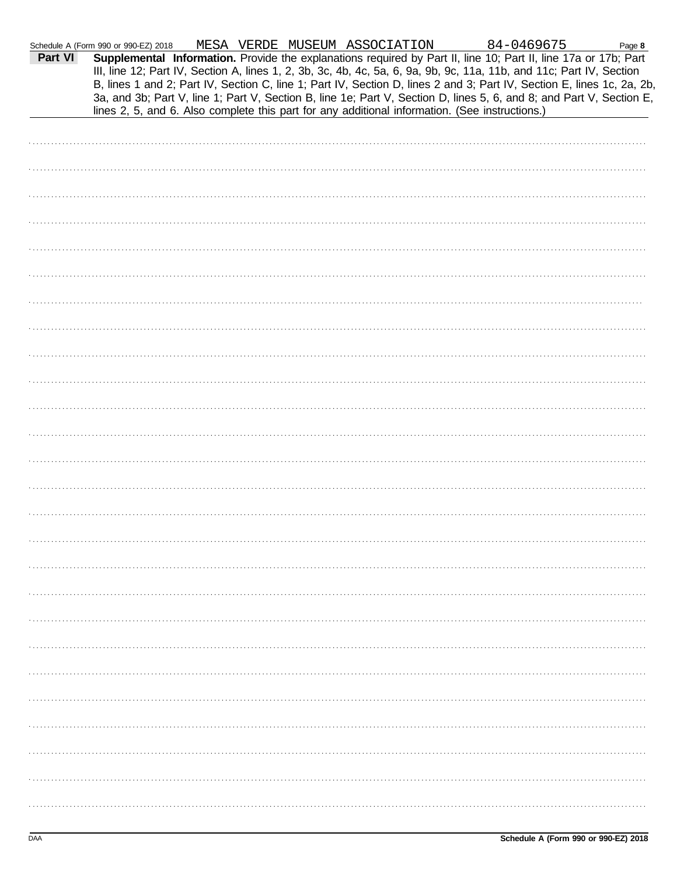| Part VI | Schedule A (Form 990 or 990-EZ) 2018<br>Supplemental Information. Provide the explanations required by Part II, line 10; Part II, line 17a or 17b; Part                                                                                                                                                                                                                                                                                                                  |  | MESA VERDE MUSEUM ASSOCIATION |  | 84-0469675 | Page 8 |
|---------|--------------------------------------------------------------------------------------------------------------------------------------------------------------------------------------------------------------------------------------------------------------------------------------------------------------------------------------------------------------------------------------------------------------------------------------------------------------------------|--|-------------------------------|--|------------|--------|
|         | III, line 12; Part IV, Section A, lines 1, 2, 3b, 3c, 4b, 4c, 5a, 6, 9a, 9b, 9c, 11a, 11b, and 11c; Part IV, Section<br>B, lines 1 and 2; Part IV, Section C, line 1; Part IV, Section D, lines 2 and 3; Part IV, Section E, lines 1c, 2a, 2b,<br>3a, and 3b; Part V, line 1; Part V, Section B, line 1e; Part V, Section D, lines 5, 6, and 8; and Part V, Section E,<br>lines 2, 5, and 6. Also complete this part for any additional information. (See instructions.) |  |                               |  |            |        |
|         |                                                                                                                                                                                                                                                                                                                                                                                                                                                                          |  |                               |  |            |        |
|         |                                                                                                                                                                                                                                                                                                                                                                                                                                                                          |  |                               |  |            |        |
|         |                                                                                                                                                                                                                                                                                                                                                                                                                                                                          |  |                               |  |            |        |
|         |                                                                                                                                                                                                                                                                                                                                                                                                                                                                          |  |                               |  |            |        |
|         |                                                                                                                                                                                                                                                                                                                                                                                                                                                                          |  |                               |  |            |        |
|         |                                                                                                                                                                                                                                                                                                                                                                                                                                                                          |  |                               |  |            |        |
|         |                                                                                                                                                                                                                                                                                                                                                                                                                                                                          |  |                               |  |            |        |
|         |                                                                                                                                                                                                                                                                                                                                                                                                                                                                          |  |                               |  |            |        |
|         |                                                                                                                                                                                                                                                                                                                                                                                                                                                                          |  |                               |  |            |        |
|         |                                                                                                                                                                                                                                                                                                                                                                                                                                                                          |  |                               |  |            |        |
|         |                                                                                                                                                                                                                                                                                                                                                                                                                                                                          |  |                               |  |            |        |
|         |                                                                                                                                                                                                                                                                                                                                                                                                                                                                          |  |                               |  |            |        |
|         |                                                                                                                                                                                                                                                                                                                                                                                                                                                                          |  |                               |  |            |        |
|         |                                                                                                                                                                                                                                                                                                                                                                                                                                                                          |  |                               |  |            |        |
|         |                                                                                                                                                                                                                                                                                                                                                                                                                                                                          |  |                               |  |            |        |
|         |                                                                                                                                                                                                                                                                                                                                                                                                                                                                          |  |                               |  |            |        |
|         |                                                                                                                                                                                                                                                                                                                                                                                                                                                                          |  |                               |  |            |        |
|         |                                                                                                                                                                                                                                                                                                                                                                                                                                                                          |  |                               |  |            |        |
|         |                                                                                                                                                                                                                                                                                                                                                                                                                                                                          |  |                               |  |            |        |
|         |                                                                                                                                                                                                                                                                                                                                                                                                                                                                          |  |                               |  |            |        |
|         |                                                                                                                                                                                                                                                                                                                                                                                                                                                                          |  |                               |  |            |        |
|         |                                                                                                                                                                                                                                                                                                                                                                                                                                                                          |  |                               |  |            |        |
|         |                                                                                                                                                                                                                                                                                                                                                                                                                                                                          |  |                               |  |            |        |
|         |                                                                                                                                                                                                                                                                                                                                                                                                                                                                          |  |                               |  |            |        |
|         |                                                                                                                                                                                                                                                                                                                                                                                                                                                                          |  |                               |  |            |        |
|         |                                                                                                                                                                                                                                                                                                                                                                                                                                                                          |  |                               |  |            |        |
|         |                                                                                                                                                                                                                                                                                                                                                                                                                                                                          |  |                               |  |            |        |
|         |                                                                                                                                                                                                                                                                                                                                                                                                                                                                          |  |                               |  |            |        |
|         |                                                                                                                                                                                                                                                                                                                                                                                                                                                                          |  |                               |  |            |        |
|         |                                                                                                                                                                                                                                                                                                                                                                                                                                                                          |  |                               |  |            |        |
|         |                                                                                                                                                                                                                                                                                                                                                                                                                                                                          |  |                               |  |            |        |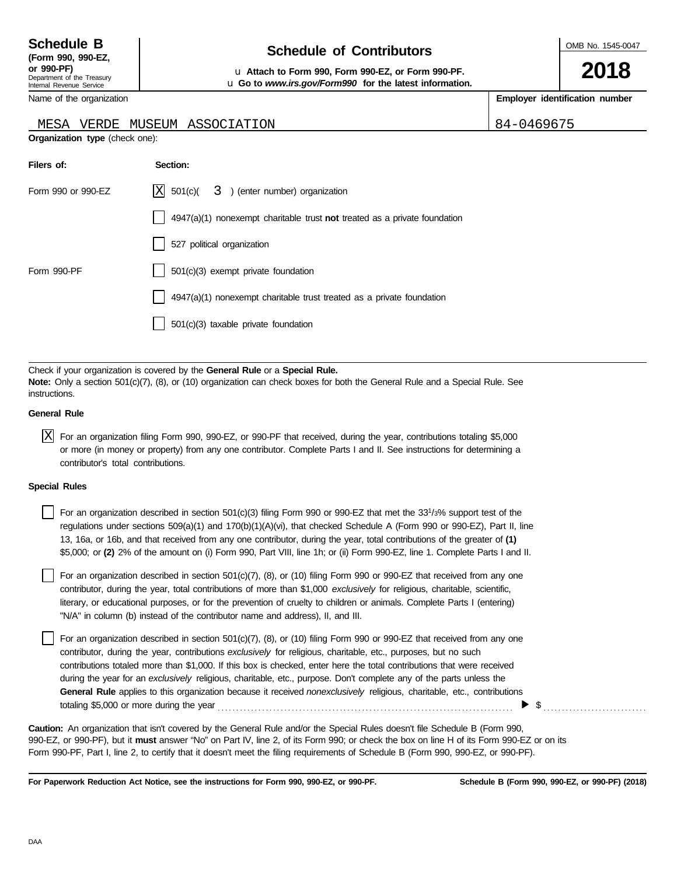## **Schedule of Contributors Schedule B**

OMB No. 1545-0047

**2018**

**or 990-PF)** u **Attach to Form 990, Form 990-EZ, or Form 990-PF.** u **Go to** *www.irs.gov/Form990* **for the latest information.**

**Employer identification number**

Name of the organization

#### MESA VERDE MUSEUM ASSOCIATION 84-0469675

**Organization type** (check one):

| Filers of:         | Section:                                                                    |
|--------------------|-----------------------------------------------------------------------------|
| Form 990 or 990-EZ | $ X $ 501(c)( 3) (enter number) organization                                |
|                    | $4947(a)(1)$ nonexempt charitable trust not treated as a private foundation |
|                    | 527 political organization                                                  |
| Form 990-PF        | $501(c)(3)$ exempt private foundation                                       |
|                    | $4947(a)(1)$ nonexempt charitable trust treated as a private foundation     |
|                    | 501(c)(3) taxable private foundation                                        |

Check if your organization is covered by the **General Rule** or a **Special Rule. Note:** Only a section 501(c)(7), (8), or (10) organization can check boxes for both the General Rule and a Special Rule. See instructions.

#### **General Rule**

 $\overline{X}$  For an organization filing Form 990, 990-EZ, or 990-PF that received, during the year, contributions totaling \$5,000 or more (in money or property) from any one contributor. Complete Parts I and II. See instructions for determining a contributor's total contributions.

#### **Special Rules**

For an organization described in section  $501(c)(3)$  filing Form 990 or 990-EZ that met the 33<sup>1</sup>/3% support test of the regulations under sections 509(a)(1) and 170(b)(1)(A)(vi), that checked Schedule A (Form 990 or 990-EZ), Part II, line 13, 16a, or 16b, and that received from any one contributor, during the year, total contributions of the greater of **(1)** \$5,000; or **(2)** 2% of the amount on (i) Form 990, Part VIII, line 1h; or (ii) Form 990-EZ, line 1. Complete Parts I and II.

literary, or educational purposes, or for the prevention of cruelty to children or animals. Complete Parts I (entering) For an organization described in section 501(c)(7), (8), or (10) filing Form 990 or 990-EZ that received from any one contributor, during the year, total contributions of more than \$1,000 *exclusively* for religious, charitable, scientific, "N/A" in column (b) instead of the contributor name and address), II, and III.

For an organization described in section 501(c)(7), (8), or (10) filing Form 990 or 990-EZ that received from any one contributor, during the year, contributions *exclusively* for religious, charitable, etc., purposes, but no such contributions totaled more than \$1,000. If this box is checked, enter here the total contributions that were received during the year for an *exclusively* religious, charitable, etc., purpose. Don't complete any of the parts unless the **General Rule** applies to this organization because it received *nonexclusively* religious, charitable, etc., contributions totaling \$5,000 or more during the year . . . . . . . . . . . . . . . . . . . . . . . . . . . . . . . . . . . . . . . . . . . . . . . . . . . . . . . . . . . . . . . . . . . . . . . . . . . . . . . .  $\blacktriangleright$  \$

990-EZ, or 990-PF), but it **must** answer "No" on Part IV, line 2, of its Form 990; or check the box on line H of its Form 990-EZ or on its Form 990-PF, Part I, line 2, to certify that it doesn't meet the filing requirements of Schedule B (Form 990, 990-EZ, or 990-PF). **Caution:** An organization that isn't covered by the General Rule and/or the Special Rules doesn't file Schedule B (Form 990,

**For Paperwork Reduction Act Notice, see the instructions for Form 990, 990-EZ, or 990-PF.**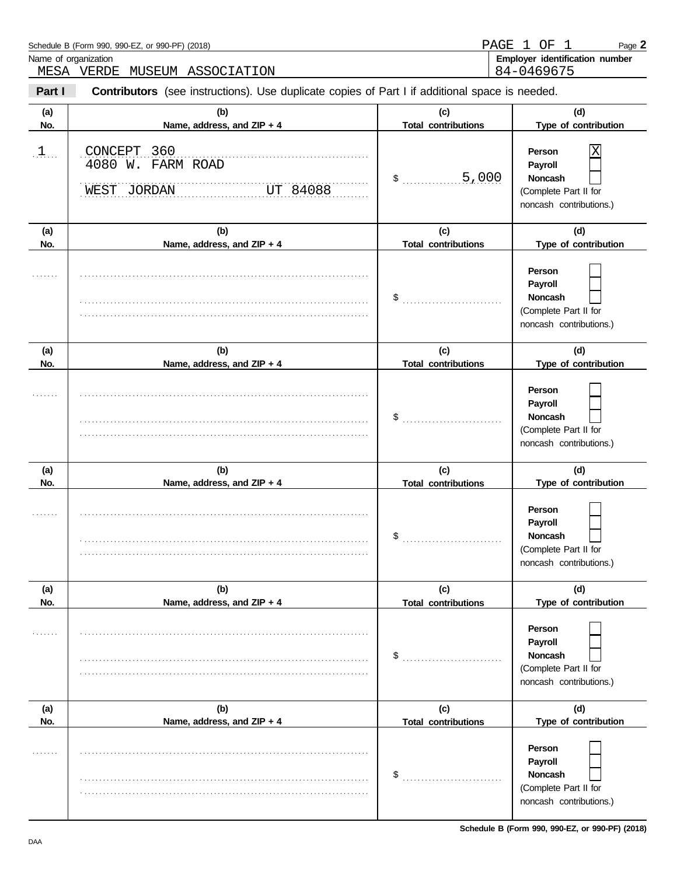|                                      | Schedule B (Form 990, 990-EZ, or 990-PF) (2018)<br>Name of organization<br>MESA VERDE MUSEUM ASSOCIATION | PAGE                              | ΟF<br>$\perp$<br>1<br>Page 2<br>Employer identification number<br>84-0469675            |  |  |  |
|--------------------------------------|----------------------------------------------------------------------------------------------------------|-----------------------------------|-----------------------------------------------------------------------------------------|--|--|--|
| Part I                               | <b>Contributors</b> (see instructions). Use duplicate copies of Part I if additional space is needed.    |                                   |                                                                                         |  |  |  |
| (a)<br>No.                           | (b)<br>Name, address, and ZIP + 4                                                                        | (c)<br><b>Total contributions</b> | (d)<br>Type of contribution                                                             |  |  |  |
| $\mathfrak{p}, \mathfrak{p}, \ldots$ | CONCEPT 360<br>4080 W. FARM ROAD<br>WEST JORDAN<br>UT 84088                                              | 5,000<br>\$                       | Person<br>Χ<br>Payroll<br>Noncash<br>(Complete Part II for<br>noncash contributions.)   |  |  |  |
| (a)<br>No.                           | (b)<br>Name, address, and ZIP + 4                                                                        | (c)<br><b>Total contributions</b> | (d)<br>Type of contribution                                                             |  |  |  |
|                                      |                                                                                                          | \$                                | Person<br>Payroll<br>Noncash<br>(Complete Part II for<br>noncash contributions.)        |  |  |  |
| (a)<br>No.                           | (b)<br>Name, address, and ZIP + 4                                                                        | (c)<br><b>Total contributions</b> | (d)<br>Type of contribution                                                             |  |  |  |
|                                      |                                                                                                          | \$                                | Person<br>Payroll<br>Noncash<br>(Complete Part II for<br>noncash contributions.)        |  |  |  |
| (a)<br>No.                           | (b)<br>Name, address, and ZIP + 4                                                                        | (c)<br><b>Total contributions</b> | (d)<br>Type of contribution                                                             |  |  |  |
|                                      |                                                                                                          | \$                                | Person<br>Payroll<br>Noncash<br>(Complete Part II for<br>noncash contributions.)        |  |  |  |
| (a)<br>No.                           | (b)<br>Name, address, and ZIP + 4                                                                        | (c)<br><b>Total contributions</b> | (d)<br>Type of contribution                                                             |  |  |  |
| . <b>.</b> .                         |                                                                                                          | \$                                | Person<br>Payroll<br>Noncash<br>(Complete Part II for<br>noncash contributions.)        |  |  |  |
| (a)<br>No.                           | (b)<br>Name, address, and ZIP + 4                                                                        | (c)<br><b>Total contributions</b> | (d)<br>Type of contribution                                                             |  |  |  |
| .                                    |                                                                                                          | \$                                | Person<br>Payroll<br><b>Noncash</b><br>(Complete Part II for<br>noncash contributions.) |  |  |  |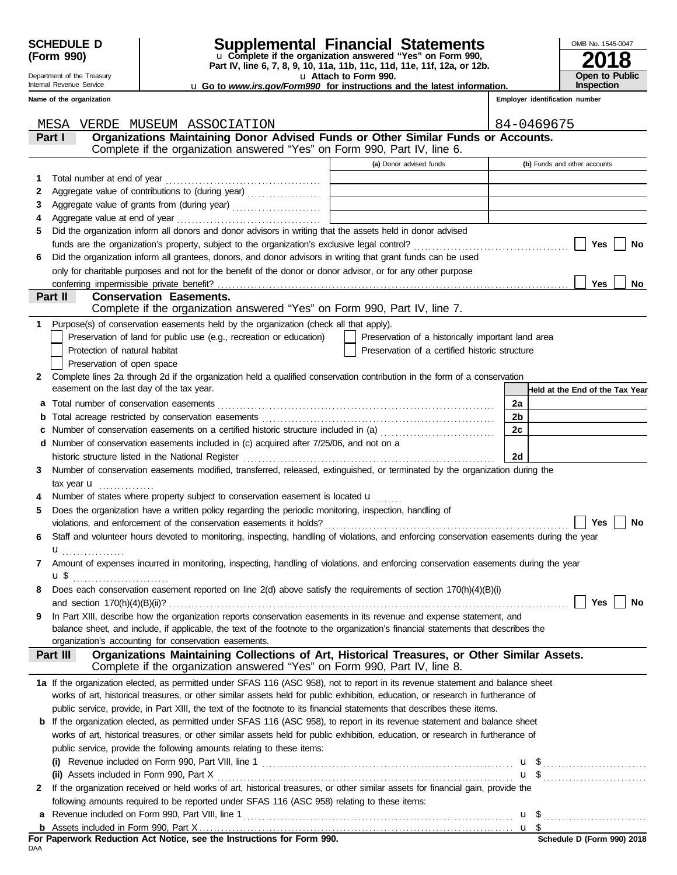Γ

## **SCHEDULE D Supplemental Financial Statements**

**Part IV, line 6, 7, 8, 9, 10, 11a, 11b, 11c, 11d, 11e, 11f, 12a, or 12b.** u **Complete if the organization answered "Yes" on Form 990,**

u **Attach to Form 990.**  u **Go to** *www.irs.gov/Form990* **for instructions and the latest information.**

| OMB No. 1545-0047                   |
|-------------------------------------|
| 2018                                |
| <b>Open to Public</b><br>Inspection |

**Employer identification number**

**Name of the organization**

Department of the Treasury Internal Revenue Service

| Organizations Maintaining Donor Advised Funds or Other Similar Funds or Accounts.<br>Part I<br>Complete if the organization answered "Yes" on Form 990, Part IV, line 6.<br>(a) Donor advised funds<br>(b) Funds and other accounts<br>Total number at end of year<br>1<br>Aggregate value of contributions to (during year)<br>2<br>3<br>4<br>Did the organization inform all donors and donor advisors in writing that the assets held in donor advised<br>5<br><b>Yes</b><br>No<br>Did the organization inform all grantees, donors, and donor advisors in writing that grant funds can be used<br>6<br>only for charitable purposes and not for the benefit of the donor or donor advisor, or for any other purpose<br><b>Yes</b><br>No<br>Part II<br><b>Conservation Easements.</b><br>Complete if the organization answered "Yes" on Form 990, Part IV, line 7.<br>Purpose(s) of conservation easements held by the organization (check all that apply).<br>1<br>Preservation of land for public use (e.g., recreation or education)<br>Preservation of a historically important land area<br>Protection of natural habitat<br>Preservation of a certified historic structure<br>Preservation of open space<br>Complete lines 2a through 2d if the organization held a qualified conservation contribution in the form of a conservation<br>2<br>easement on the last day of the tax year.<br>Held at the End of the Tax Year<br>2a<br>2b<br>b<br>Number of conservation easements on a certified historic structure included in (a)<br>2c<br>c<br>d Number of conservation easements included in (c) acquired after 7/25/06, and not on a<br>historic structure listed in the National Register [111] Martin Martin Martin Martin Martin Martin Martin Marti<br>2d<br>Number of conservation easements modified, transferred, released, extinguished, or terminated by the organization during the<br>3<br>Number of states where property subject to conservation easement is located $\mathbf u$<br>4<br>Does the organization have a written policy regarding the periodic monitoring, inspection, handling of<br>5<br>violations, and enforcement of the conservation easements it holds?<br><b>Yes</b><br>No<br>Staff and volunteer hours devoted to monitoring, inspecting, handling of violations, and enforcing conservation easements during the year<br>6<br>${\bf u}$<br>Amount of expenses incurred in monitoring, inspecting, handling of violations, and enforcing conservation easements during the year<br>7<br>Does each conservation easement reported on line 2(d) above satisfy the requirements of section 170(h)(4)(B)(i)<br>8<br>Yes $\Box$<br>No<br>In Part XIII, describe how the organization reports conservation easements in its revenue and expense statement, and<br>9<br>balance sheet, and include, if applicable, the text of the footnote to the organization's financial statements that describes the<br>organization's accounting for conservation easements.<br>Organizations Maintaining Collections of Art, Historical Treasures, or Other Similar Assets.<br>Part III<br>Complete if the organization answered "Yes" on Form 990, Part IV, line 8.<br>1a If the organization elected, as permitted under SFAS 116 (ASC 958), not to report in its revenue statement and balance sheet<br>works of art, historical treasures, or other similar assets held for public exhibition, education, or research in furtherance of<br>public service, provide, in Part XIII, the text of the footnote to its financial statements that describes these items.<br><b>b</b> If the organization elected, as permitted under SFAS 116 (ASC 958), to report in its revenue statement and balance sheet<br>works of art, historical treasures, or other similar assets held for public exhibition, education, or research in furtherance of<br>public service, provide the following amounts relating to these items:<br>$\mathbf{u}$ , \$<br>$\mathbf{u}$ \$<br>If the organization received or held works of art, historical treasures, or other similar assets for financial gain, provide the<br>$\mathbf{2}$<br>following amounts required to be reported under SFAS 116 (ASC 958) relating to these items: | MESA<br>VERDE MUSEUM ASSOCIATION | 84-0469675 |
|-----------------------------------------------------------------------------------------------------------------------------------------------------------------------------------------------------------------------------------------------------------------------------------------------------------------------------------------------------------------------------------------------------------------------------------------------------------------------------------------------------------------------------------------------------------------------------------------------------------------------------------------------------------------------------------------------------------------------------------------------------------------------------------------------------------------------------------------------------------------------------------------------------------------------------------------------------------------------------------------------------------------------------------------------------------------------------------------------------------------------------------------------------------------------------------------------------------------------------------------------------------------------------------------------------------------------------------------------------------------------------------------------------------------------------------------------------------------------------------------------------------------------------------------------------------------------------------------------------------------------------------------------------------------------------------------------------------------------------------------------------------------------------------------------------------------------------------------------------------------------------------------------------------------------------------------------------------------------------------------------------------------------------------------------------------------------------------------------------------------------------------------------------------------------------------------------------------------------------------------------------------------------------------------------------------------------------------------------------------------------------------------------------------------------------------------------------------------------------------------------------------------------------------------------------------------------------------------------------------------------------------------------------------------------------------------------------------------------------------------------------------------------------------------------------------------------------------------------------------------------------------------------------------------------------------------------------------------------------------------------------------------------------------------------------------------------------------------------------------------------------------------------------------------------------------------------------------------------------------------------------------------------------------------------------------------------------------------------------------------------------------------------------------------------------------------------------------------------------------------------------------------------------------------------------------------------------------------------------------------------------------------------------------------------------------------------------------------------------------------------------------------------------------------------------------------------------------------------------------------------------------------------------------------------------------------------------------------------------------------------------------------------------------------------------------------------------------------------------------------------------------------------------------------------------------------------------------------------------------------------------|----------------------------------|------------|
|                                                                                                                                                                                                                                                                                                                                                                                                                                                                                                                                                                                                                                                                                                                                                                                                                                                                                                                                                                                                                                                                                                                                                                                                                                                                                                                                                                                                                                                                                                                                                                                                                                                                                                                                                                                                                                                                                                                                                                                                                                                                                                                                                                                                                                                                                                                                                                                                                                                                                                                                                                                                                                                                                                                                                                                                                                                                                                                                                                                                                                                                                                                                                                                                                                                                                                                                                                                                                                                                                                                                                                                                                                                                                                                                                                                                                                                                                                                                                                                                                                                                                                                                                                                                                                                     |                                  |            |
|                                                                                                                                                                                                                                                                                                                                                                                                                                                                                                                                                                                                                                                                                                                                                                                                                                                                                                                                                                                                                                                                                                                                                                                                                                                                                                                                                                                                                                                                                                                                                                                                                                                                                                                                                                                                                                                                                                                                                                                                                                                                                                                                                                                                                                                                                                                                                                                                                                                                                                                                                                                                                                                                                                                                                                                                                                                                                                                                                                                                                                                                                                                                                                                                                                                                                                                                                                                                                                                                                                                                                                                                                                                                                                                                                                                                                                                                                                                                                                                                                                                                                                                                                                                                                                                     |                                  |            |
|                                                                                                                                                                                                                                                                                                                                                                                                                                                                                                                                                                                                                                                                                                                                                                                                                                                                                                                                                                                                                                                                                                                                                                                                                                                                                                                                                                                                                                                                                                                                                                                                                                                                                                                                                                                                                                                                                                                                                                                                                                                                                                                                                                                                                                                                                                                                                                                                                                                                                                                                                                                                                                                                                                                                                                                                                                                                                                                                                                                                                                                                                                                                                                                                                                                                                                                                                                                                                                                                                                                                                                                                                                                                                                                                                                                                                                                                                                                                                                                                                                                                                                                                                                                                                                                     |                                  |            |
|                                                                                                                                                                                                                                                                                                                                                                                                                                                                                                                                                                                                                                                                                                                                                                                                                                                                                                                                                                                                                                                                                                                                                                                                                                                                                                                                                                                                                                                                                                                                                                                                                                                                                                                                                                                                                                                                                                                                                                                                                                                                                                                                                                                                                                                                                                                                                                                                                                                                                                                                                                                                                                                                                                                                                                                                                                                                                                                                                                                                                                                                                                                                                                                                                                                                                                                                                                                                                                                                                                                                                                                                                                                                                                                                                                                                                                                                                                                                                                                                                                                                                                                                                                                                                                                     |                                  |            |
|                                                                                                                                                                                                                                                                                                                                                                                                                                                                                                                                                                                                                                                                                                                                                                                                                                                                                                                                                                                                                                                                                                                                                                                                                                                                                                                                                                                                                                                                                                                                                                                                                                                                                                                                                                                                                                                                                                                                                                                                                                                                                                                                                                                                                                                                                                                                                                                                                                                                                                                                                                                                                                                                                                                                                                                                                                                                                                                                                                                                                                                                                                                                                                                                                                                                                                                                                                                                                                                                                                                                                                                                                                                                                                                                                                                                                                                                                                                                                                                                                                                                                                                                                                                                                                                     |                                  |            |
|                                                                                                                                                                                                                                                                                                                                                                                                                                                                                                                                                                                                                                                                                                                                                                                                                                                                                                                                                                                                                                                                                                                                                                                                                                                                                                                                                                                                                                                                                                                                                                                                                                                                                                                                                                                                                                                                                                                                                                                                                                                                                                                                                                                                                                                                                                                                                                                                                                                                                                                                                                                                                                                                                                                                                                                                                                                                                                                                                                                                                                                                                                                                                                                                                                                                                                                                                                                                                                                                                                                                                                                                                                                                                                                                                                                                                                                                                                                                                                                                                                                                                                                                                                                                                                                     |                                  |            |
|                                                                                                                                                                                                                                                                                                                                                                                                                                                                                                                                                                                                                                                                                                                                                                                                                                                                                                                                                                                                                                                                                                                                                                                                                                                                                                                                                                                                                                                                                                                                                                                                                                                                                                                                                                                                                                                                                                                                                                                                                                                                                                                                                                                                                                                                                                                                                                                                                                                                                                                                                                                                                                                                                                                                                                                                                                                                                                                                                                                                                                                                                                                                                                                                                                                                                                                                                                                                                                                                                                                                                                                                                                                                                                                                                                                                                                                                                                                                                                                                                                                                                                                                                                                                                                                     |                                  |            |
|                                                                                                                                                                                                                                                                                                                                                                                                                                                                                                                                                                                                                                                                                                                                                                                                                                                                                                                                                                                                                                                                                                                                                                                                                                                                                                                                                                                                                                                                                                                                                                                                                                                                                                                                                                                                                                                                                                                                                                                                                                                                                                                                                                                                                                                                                                                                                                                                                                                                                                                                                                                                                                                                                                                                                                                                                                                                                                                                                                                                                                                                                                                                                                                                                                                                                                                                                                                                                                                                                                                                                                                                                                                                                                                                                                                                                                                                                                                                                                                                                                                                                                                                                                                                                                                     |                                  |            |
|                                                                                                                                                                                                                                                                                                                                                                                                                                                                                                                                                                                                                                                                                                                                                                                                                                                                                                                                                                                                                                                                                                                                                                                                                                                                                                                                                                                                                                                                                                                                                                                                                                                                                                                                                                                                                                                                                                                                                                                                                                                                                                                                                                                                                                                                                                                                                                                                                                                                                                                                                                                                                                                                                                                                                                                                                                                                                                                                                                                                                                                                                                                                                                                                                                                                                                                                                                                                                                                                                                                                                                                                                                                                                                                                                                                                                                                                                                                                                                                                                                                                                                                                                                                                                                                     |                                  |            |
|                                                                                                                                                                                                                                                                                                                                                                                                                                                                                                                                                                                                                                                                                                                                                                                                                                                                                                                                                                                                                                                                                                                                                                                                                                                                                                                                                                                                                                                                                                                                                                                                                                                                                                                                                                                                                                                                                                                                                                                                                                                                                                                                                                                                                                                                                                                                                                                                                                                                                                                                                                                                                                                                                                                                                                                                                                                                                                                                                                                                                                                                                                                                                                                                                                                                                                                                                                                                                                                                                                                                                                                                                                                                                                                                                                                                                                                                                                                                                                                                                                                                                                                                                                                                                                                     |                                  |            |
|                                                                                                                                                                                                                                                                                                                                                                                                                                                                                                                                                                                                                                                                                                                                                                                                                                                                                                                                                                                                                                                                                                                                                                                                                                                                                                                                                                                                                                                                                                                                                                                                                                                                                                                                                                                                                                                                                                                                                                                                                                                                                                                                                                                                                                                                                                                                                                                                                                                                                                                                                                                                                                                                                                                                                                                                                                                                                                                                                                                                                                                                                                                                                                                                                                                                                                                                                                                                                                                                                                                                                                                                                                                                                                                                                                                                                                                                                                                                                                                                                                                                                                                                                                                                                                                     |                                  |            |
|                                                                                                                                                                                                                                                                                                                                                                                                                                                                                                                                                                                                                                                                                                                                                                                                                                                                                                                                                                                                                                                                                                                                                                                                                                                                                                                                                                                                                                                                                                                                                                                                                                                                                                                                                                                                                                                                                                                                                                                                                                                                                                                                                                                                                                                                                                                                                                                                                                                                                                                                                                                                                                                                                                                                                                                                                                                                                                                                                                                                                                                                                                                                                                                                                                                                                                                                                                                                                                                                                                                                                                                                                                                                                                                                                                                                                                                                                                                                                                                                                                                                                                                                                                                                                                                     |                                  |            |
|                                                                                                                                                                                                                                                                                                                                                                                                                                                                                                                                                                                                                                                                                                                                                                                                                                                                                                                                                                                                                                                                                                                                                                                                                                                                                                                                                                                                                                                                                                                                                                                                                                                                                                                                                                                                                                                                                                                                                                                                                                                                                                                                                                                                                                                                                                                                                                                                                                                                                                                                                                                                                                                                                                                                                                                                                                                                                                                                                                                                                                                                                                                                                                                                                                                                                                                                                                                                                                                                                                                                                                                                                                                                                                                                                                                                                                                                                                                                                                                                                                                                                                                                                                                                                                                     |                                  |            |
|                                                                                                                                                                                                                                                                                                                                                                                                                                                                                                                                                                                                                                                                                                                                                                                                                                                                                                                                                                                                                                                                                                                                                                                                                                                                                                                                                                                                                                                                                                                                                                                                                                                                                                                                                                                                                                                                                                                                                                                                                                                                                                                                                                                                                                                                                                                                                                                                                                                                                                                                                                                                                                                                                                                                                                                                                                                                                                                                                                                                                                                                                                                                                                                                                                                                                                                                                                                                                                                                                                                                                                                                                                                                                                                                                                                                                                                                                                                                                                                                                                                                                                                                                                                                                                                     |                                  |            |
|                                                                                                                                                                                                                                                                                                                                                                                                                                                                                                                                                                                                                                                                                                                                                                                                                                                                                                                                                                                                                                                                                                                                                                                                                                                                                                                                                                                                                                                                                                                                                                                                                                                                                                                                                                                                                                                                                                                                                                                                                                                                                                                                                                                                                                                                                                                                                                                                                                                                                                                                                                                                                                                                                                                                                                                                                                                                                                                                                                                                                                                                                                                                                                                                                                                                                                                                                                                                                                                                                                                                                                                                                                                                                                                                                                                                                                                                                                                                                                                                                                                                                                                                                                                                                                                     |                                  |            |
|                                                                                                                                                                                                                                                                                                                                                                                                                                                                                                                                                                                                                                                                                                                                                                                                                                                                                                                                                                                                                                                                                                                                                                                                                                                                                                                                                                                                                                                                                                                                                                                                                                                                                                                                                                                                                                                                                                                                                                                                                                                                                                                                                                                                                                                                                                                                                                                                                                                                                                                                                                                                                                                                                                                                                                                                                                                                                                                                                                                                                                                                                                                                                                                                                                                                                                                                                                                                                                                                                                                                                                                                                                                                                                                                                                                                                                                                                                                                                                                                                                                                                                                                                                                                                                                     |                                  |            |
|                                                                                                                                                                                                                                                                                                                                                                                                                                                                                                                                                                                                                                                                                                                                                                                                                                                                                                                                                                                                                                                                                                                                                                                                                                                                                                                                                                                                                                                                                                                                                                                                                                                                                                                                                                                                                                                                                                                                                                                                                                                                                                                                                                                                                                                                                                                                                                                                                                                                                                                                                                                                                                                                                                                                                                                                                                                                                                                                                                                                                                                                                                                                                                                                                                                                                                                                                                                                                                                                                                                                                                                                                                                                                                                                                                                                                                                                                                                                                                                                                                                                                                                                                                                                                                                     |                                  |            |
|                                                                                                                                                                                                                                                                                                                                                                                                                                                                                                                                                                                                                                                                                                                                                                                                                                                                                                                                                                                                                                                                                                                                                                                                                                                                                                                                                                                                                                                                                                                                                                                                                                                                                                                                                                                                                                                                                                                                                                                                                                                                                                                                                                                                                                                                                                                                                                                                                                                                                                                                                                                                                                                                                                                                                                                                                                                                                                                                                                                                                                                                                                                                                                                                                                                                                                                                                                                                                                                                                                                                                                                                                                                                                                                                                                                                                                                                                                                                                                                                                                                                                                                                                                                                                                                     |                                  |            |
|                                                                                                                                                                                                                                                                                                                                                                                                                                                                                                                                                                                                                                                                                                                                                                                                                                                                                                                                                                                                                                                                                                                                                                                                                                                                                                                                                                                                                                                                                                                                                                                                                                                                                                                                                                                                                                                                                                                                                                                                                                                                                                                                                                                                                                                                                                                                                                                                                                                                                                                                                                                                                                                                                                                                                                                                                                                                                                                                                                                                                                                                                                                                                                                                                                                                                                                                                                                                                                                                                                                                                                                                                                                                                                                                                                                                                                                                                                                                                                                                                                                                                                                                                                                                                                                     |                                  |            |
|                                                                                                                                                                                                                                                                                                                                                                                                                                                                                                                                                                                                                                                                                                                                                                                                                                                                                                                                                                                                                                                                                                                                                                                                                                                                                                                                                                                                                                                                                                                                                                                                                                                                                                                                                                                                                                                                                                                                                                                                                                                                                                                                                                                                                                                                                                                                                                                                                                                                                                                                                                                                                                                                                                                                                                                                                                                                                                                                                                                                                                                                                                                                                                                                                                                                                                                                                                                                                                                                                                                                                                                                                                                                                                                                                                                                                                                                                                                                                                                                                                                                                                                                                                                                                                                     |                                  |            |
|                                                                                                                                                                                                                                                                                                                                                                                                                                                                                                                                                                                                                                                                                                                                                                                                                                                                                                                                                                                                                                                                                                                                                                                                                                                                                                                                                                                                                                                                                                                                                                                                                                                                                                                                                                                                                                                                                                                                                                                                                                                                                                                                                                                                                                                                                                                                                                                                                                                                                                                                                                                                                                                                                                                                                                                                                                                                                                                                                                                                                                                                                                                                                                                                                                                                                                                                                                                                                                                                                                                                                                                                                                                                                                                                                                                                                                                                                                                                                                                                                                                                                                                                                                                                                                                     |                                  |            |
|                                                                                                                                                                                                                                                                                                                                                                                                                                                                                                                                                                                                                                                                                                                                                                                                                                                                                                                                                                                                                                                                                                                                                                                                                                                                                                                                                                                                                                                                                                                                                                                                                                                                                                                                                                                                                                                                                                                                                                                                                                                                                                                                                                                                                                                                                                                                                                                                                                                                                                                                                                                                                                                                                                                                                                                                                                                                                                                                                                                                                                                                                                                                                                                                                                                                                                                                                                                                                                                                                                                                                                                                                                                                                                                                                                                                                                                                                                                                                                                                                                                                                                                                                                                                                                                     |                                  |            |
|                                                                                                                                                                                                                                                                                                                                                                                                                                                                                                                                                                                                                                                                                                                                                                                                                                                                                                                                                                                                                                                                                                                                                                                                                                                                                                                                                                                                                                                                                                                                                                                                                                                                                                                                                                                                                                                                                                                                                                                                                                                                                                                                                                                                                                                                                                                                                                                                                                                                                                                                                                                                                                                                                                                                                                                                                                                                                                                                                                                                                                                                                                                                                                                                                                                                                                                                                                                                                                                                                                                                                                                                                                                                                                                                                                                                                                                                                                                                                                                                                                                                                                                                                                                                                                                     |                                  |            |
|                                                                                                                                                                                                                                                                                                                                                                                                                                                                                                                                                                                                                                                                                                                                                                                                                                                                                                                                                                                                                                                                                                                                                                                                                                                                                                                                                                                                                                                                                                                                                                                                                                                                                                                                                                                                                                                                                                                                                                                                                                                                                                                                                                                                                                                                                                                                                                                                                                                                                                                                                                                                                                                                                                                                                                                                                                                                                                                                                                                                                                                                                                                                                                                                                                                                                                                                                                                                                                                                                                                                                                                                                                                                                                                                                                                                                                                                                                                                                                                                                                                                                                                                                                                                                                                     |                                  |            |
|                                                                                                                                                                                                                                                                                                                                                                                                                                                                                                                                                                                                                                                                                                                                                                                                                                                                                                                                                                                                                                                                                                                                                                                                                                                                                                                                                                                                                                                                                                                                                                                                                                                                                                                                                                                                                                                                                                                                                                                                                                                                                                                                                                                                                                                                                                                                                                                                                                                                                                                                                                                                                                                                                                                                                                                                                                                                                                                                                                                                                                                                                                                                                                                                                                                                                                                                                                                                                                                                                                                                                                                                                                                                                                                                                                                                                                                                                                                                                                                                                                                                                                                                                                                                                                                     |                                  |            |
|                                                                                                                                                                                                                                                                                                                                                                                                                                                                                                                                                                                                                                                                                                                                                                                                                                                                                                                                                                                                                                                                                                                                                                                                                                                                                                                                                                                                                                                                                                                                                                                                                                                                                                                                                                                                                                                                                                                                                                                                                                                                                                                                                                                                                                                                                                                                                                                                                                                                                                                                                                                                                                                                                                                                                                                                                                                                                                                                                                                                                                                                                                                                                                                                                                                                                                                                                                                                                                                                                                                                                                                                                                                                                                                                                                                                                                                                                                                                                                                                                                                                                                                                                                                                                                                     |                                  |            |
|                                                                                                                                                                                                                                                                                                                                                                                                                                                                                                                                                                                                                                                                                                                                                                                                                                                                                                                                                                                                                                                                                                                                                                                                                                                                                                                                                                                                                                                                                                                                                                                                                                                                                                                                                                                                                                                                                                                                                                                                                                                                                                                                                                                                                                                                                                                                                                                                                                                                                                                                                                                                                                                                                                                                                                                                                                                                                                                                                                                                                                                                                                                                                                                                                                                                                                                                                                                                                                                                                                                                                                                                                                                                                                                                                                                                                                                                                                                                                                                                                                                                                                                                                                                                                                                     |                                  |            |
|                                                                                                                                                                                                                                                                                                                                                                                                                                                                                                                                                                                                                                                                                                                                                                                                                                                                                                                                                                                                                                                                                                                                                                                                                                                                                                                                                                                                                                                                                                                                                                                                                                                                                                                                                                                                                                                                                                                                                                                                                                                                                                                                                                                                                                                                                                                                                                                                                                                                                                                                                                                                                                                                                                                                                                                                                                                                                                                                                                                                                                                                                                                                                                                                                                                                                                                                                                                                                                                                                                                                                                                                                                                                                                                                                                                                                                                                                                                                                                                                                                                                                                                                                                                                                                                     |                                  |            |
|                                                                                                                                                                                                                                                                                                                                                                                                                                                                                                                                                                                                                                                                                                                                                                                                                                                                                                                                                                                                                                                                                                                                                                                                                                                                                                                                                                                                                                                                                                                                                                                                                                                                                                                                                                                                                                                                                                                                                                                                                                                                                                                                                                                                                                                                                                                                                                                                                                                                                                                                                                                                                                                                                                                                                                                                                                                                                                                                                                                                                                                                                                                                                                                                                                                                                                                                                                                                                                                                                                                                                                                                                                                                                                                                                                                                                                                                                                                                                                                                                                                                                                                                                                                                                                                     |                                  |            |
|                                                                                                                                                                                                                                                                                                                                                                                                                                                                                                                                                                                                                                                                                                                                                                                                                                                                                                                                                                                                                                                                                                                                                                                                                                                                                                                                                                                                                                                                                                                                                                                                                                                                                                                                                                                                                                                                                                                                                                                                                                                                                                                                                                                                                                                                                                                                                                                                                                                                                                                                                                                                                                                                                                                                                                                                                                                                                                                                                                                                                                                                                                                                                                                                                                                                                                                                                                                                                                                                                                                                                                                                                                                                                                                                                                                                                                                                                                                                                                                                                                                                                                                                                                                                                                                     |                                  |            |
|                                                                                                                                                                                                                                                                                                                                                                                                                                                                                                                                                                                                                                                                                                                                                                                                                                                                                                                                                                                                                                                                                                                                                                                                                                                                                                                                                                                                                                                                                                                                                                                                                                                                                                                                                                                                                                                                                                                                                                                                                                                                                                                                                                                                                                                                                                                                                                                                                                                                                                                                                                                                                                                                                                                                                                                                                                                                                                                                                                                                                                                                                                                                                                                                                                                                                                                                                                                                                                                                                                                                                                                                                                                                                                                                                                                                                                                                                                                                                                                                                                                                                                                                                                                                                                                     |                                  |            |
|                                                                                                                                                                                                                                                                                                                                                                                                                                                                                                                                                                                                                                                                                                                                                                                                                                                                                                                                                                                                                                                                                                                                                                                                                                                                                                                                                                                                                                                                                                                                                                                                                                                                                                                                                                                                                                                                                                                                                                                                                                                                                                                                                                                                                                                                                                                                                                                                                                                                                                                                                                                                                                                                                                                                                                                                                                                                                                                                                                                                                                                                                                                                                                                                                                                                                                                                                                                                                                                                                                                                                                                                                                                                                                                                                                                                                                                                                                                                                                                                                                                                                                                                                                                                                                                     |                                  |            |
|                                                                                                                                                                                                                                                                                                                                                                                                                                                                                                                                                                                                                                                                                                                                                                                                                                                                                                                                                                                                                                                                                                                                                                                                                                                                                                                                                                                                                                                                                                                                                                                                                                                                                                                                                                                                                                                                                                                                                                                                                                                                                                                                                                                                                                                                                                                                                                                                                                                                                                                                                                                                                                                                                                                                                                                                                                                                                                                                                                                                                                                                                                                                                                                                                                                                                                                                                                                                                                                                                                                                                                                                                                                                                                                                                                                                                                                                                                                                                                                                                                                                                                                                                                                                                                                     |                                  |            |
|                                                                                                                                                                                                                                                                                                                                                                                                                                                                                                                                                                                                                                                                                                                                                                                                                                                                                                                                                                                                                                                                                                                                                                                                                                                                                                                                                                                                                                                                                                                                                                                                                                                                                                                                                                                                                                                                                                                                                                                                                                                                                                                                                                                                                                                                                                                                                                                                                                                                                                                                                                                                                                                                                                                                                                                                                                                                                                                                                                                                                                                                                                                                                                                                                                                                                                                                                                                                                                                                                                                                                                                                                                                                                                                                                                                                                                                                                                                                                                                                                                                                                                                                                                                                                                                     |                                  |            |
|                                                                                                                                                                                                                                                                                                                                                                                                                                                                                                                                                                                                                                                                                                                                                                                                                                                                                                                                                                                                                                                                                                                                                                                                                                                                                                                                                                                                                                                                                                                                                                                                                                                                                                                                                                                                                                                                                                                                                                                                                                                                                                                                                                                                                                                                                                                                                                                                                                                                                                                                                                                                                                                                                                                                                                                                                                                                                                                                                                                                                                                                                                                                                                                                                                                                                                                                                                                                                                                                                                                                                                                                                                                                                                                                                                                                                                                                                                                                                                                                                                                                                                                                                                                                                                                     |                                  |            |
|                                                                                                                                                                                                                                                                                                                                                                                                                                                                                                                                                                                                                                                                                                                                                                                                                                                                                                                                                                                                                                                                                                                                                                                                                                                                                                                                                                                                                                                                                                                                                                                                                                                                                                                                                                                                                                                                                                                                                                                                                                                                                                                                                                                                                                                                                                                                                                                                                                                                                                                                                                                                                                                                                                                                                                                                                                                                                                                                                                                                                                                                                                                                                                                                                                                                                                                                                                                                                                                                                                                                                                                                                                                                                                                                                                                                                                                                                                                                                                                                                                                                                                                                                                                                                                                     |                                  |            |
|                                                                                                                                                                                                                                                                                                                                                                                                                                                                                                                                                                                                                                                                                                                                                                                                                                                                                                                                                                                                                                                                                                                                                                                                                                                                                                                                                                                                                                                                                                                                                                                                                                                                                                                                                                                                                                                                                                                                                                                                                                                                                                                                                                                                                                                                                                                                                                                                                                                                                                                                                                                                                                                                                                                                                                                                                                                                                                                                                                                                                                                                                                                                                                                                                                                                                                                                                                                                                                                                                                                                                                                                                                                                                                                                                                                                                                                                                                                                                                                                                                                                                                                                                                                                                                                     |                                  |            |
|                                                                                                                                                                                                                                                                                                                                                                                                                                                                                                                                                                                                                                                                                                                                                                                                                                                                                                                                                                                                                                                                                                                                                                                                                                                                                                                                                                                                                                                                                                                                                                                                                                                                                                                                                                                                                                                                                                                                                                                                                                                                                                                                                                                                                                                                                                                                                                                                                                                                                                                                                                                                                                                                                                                                                                                                                                                                                                                                                                                                                                                                                                                                                                                                                                                                                                                                                                                                                                                                                                                                                                                                                                                                                                                                                                                                                                                                                                                                                                                                                                                                                                                                                                                                                                                     |                                  |            |
|                                                                                                                                                                                                                                                                                                                                                                                                                                                                                                                                                                                                                                                                                                                                                                                                                                                                                                                                                                                                                                                                                                                                                                                                                                                                                                                                                                                                                                                                                                                                                                                                                                                                                                                                                                                                                                                                                                                                                                                                                                                                                                                                                                                                                                                                                                                                                                                                                                                                                                                                                                                                                                                                                                                                                                                                                                                                                                                                                                                                                                                                                                                                                                                                                                                                                                                                                                                                                                                                                                                                                                                                                                                                                                                                                                                                                                                                                                                                                                                                                                                                                                                                                                                                                                                     |                                  |            |
|                                                                                                                                                                                                                                                                                                                                                                                                                                                                                                                                                                                                                                                                                                                                                                                                                                                                                                                                                                                                                                                                                                                                                                                                                                                                                                                                                                                                                                                                                                                                                                                                                                                                                                                                                                                                                                                                                                                                                                                                                                                                                                                                                                                                                                                                                                                                                                                                                                                                                                                                                                                                                                                                                                                                                                                                                                                                                                                                                                                                                                                                                                                                                                                                                                                                                                                                                                                                                                                                                                                                                                                                                                                                                                                                                                                                                                                                                                                                                                                                                                                                                                                                                                                                                                                     |                                  |            |
|                                                                                                                                                                                                                                                                                                                                                                                                                                                                                                                                                                                                                                                                                                                                                                                                                                                                                                                                                                                                                                                                                                                                                                                                                                                                                                                                                                                                                                                                                                                                                                                                                                                                                                                                                                                                                                                                                                                                                                                                                                                                                                                                                                                                                                                                                                                                                                                                                                                                                                                                                                                                                                                                                                                                                                                                                                                                                                                                                                                                                                                                                                                                                                                                                                                                                                                                                                                                                                                                                                                                                                                                                                                                                                                                                                                                                                                                                                                                                                                                                                                                                                                                                                                                                                                     |                                  |            |
|                                                                                                                                                                                                                                                                                                                                                                                                                                                                                                                                                                                                                                                                                                                                                                                                                                                                                                                                                                                                                                                                                                                                                                                                                                                                                                                                                                                                                                                                                                                                                                                                                                                                                                                                                                                                                                                                                                                                                                                                                                                                                                                                                                                                                                                                                                                                                                                                                                                                                                                                                                                                                                                                                                                                                                                                                                                                                                                                                                                                                                                                                                                                                                                                                                                                                                                                                                                                                                                                                                                                                                                                                                                                                                                                                                                                                                                                                                                                                                                                                                                                                                                                                                                                                                                     |                                  |            |
|                                                                                                                                                                                                                                                                                                                                                                                                                                                                                                                                                                                                                                                                                                                                                                                                                                                                                                                                                                                                                                                                                                                                                                                                                                                                                                                                                                                                                                                                                                                                                                                                                                                                                                                                                                                                                                                                                                                                                                                                                                                                                                                                                                                                                                                                                                                                                                                                                                                                                                                                                                                                                                                                                                                                                                                                                                                                                                                                                                                                                                                                                                                                                                                                                                                                                                                                                                                                                                                                                                                                                                                                                                                                                                                                                                                                                                                                                                                                                                                                                                                                                                                                                                                                                                                     |                                  |            |
|                                                                                                                                                                                                                                                                                                                                                                                                                                                                                                                                                                                                                                                                                                                                                                                                                                                                                                                                                                                                                                                                                                                                                                                                                                                                                                                                                                                                                                                                                                                                                                                                                                                                                                                                                                                                                                                                                                                                                                                                                                                                                                                                                                                                                                                                                                                                                                                                                                                                                                                                                                                                                                                                                                                                                                                                                                                                                                                                                                                                                                                                                                                                                                                                                                                                                                                                                                                                                                                                                                                                                                                                                                                                                                                                                                                                                                                                                                                                                                                                                                                                                                                                                                                                                                                     |                                  |            |
|                                                                                                                                                                                                                                                                                                                                                                                                                                                                                                                                                                                                                                                                                                                                                                                                                                                                                                                                                                                                                                                                                                                                                                                                                                                                                                                                                                                                                                                                                                                                                                                                                                                                                                                                                                                                                                                                                                                                                                                                                                                                                                                                                                                                                                                                                                                                                                                                                                                                                                                                                                                                                                                                                                                                                                                                                                                                                                                                                                                                                                                                                                                                                                                                                                                                                                                                                                                                                                                                                                                                                                                                                                                                                                                                                                                                                                                                                                                                                                                                                                                                                                                                                                                                                                                     |                                  |            |
|                                                                                                                                                                                                                                                                                                                                                                                                                                                                                                                                                                                                                                                                                                                                                                                                                                                                                                                                                                                                                                                                                                                                                                                                                                                                                                                                                                                                                                                                                                                                                                                                                                                                                                                                                                                                                                                                                                                                                                                                                                                                                                                                                                                                                                                                                                                                                                                                                                                                                                                                                                                                                                                                                                                                                                                                                                                                                                                                                                                                                                                                                                                                                                                                                                                                                                                                                                                                                                                                                                                                                                                                                                                                                                                                                                                                                                                                                                                                                                                                                                                                                                                                                                                                                                                     |                                  |            |
|                                                                                                                                                                                                                                                                                                                                                                                                                                                                                                                                                                                                                                                                                                                                                                                                                                                                                                                                                                                                                                                                                                                                                                                                                                                                                                                                                                                                                                                                                                                                                                                                                                                                                                                                                                                                                                                                                                                                                                                                                                                                                                                                                                                                                                                                                                                                                                                                                                                                                                                                                                                                                                                                                                                                                                                                                                                                                                                                                                                                                                                                                                                                                                                                                                                                                                                                                                                                                                                                                                                                                                                                                                                                                                                                                                                                                                                                                                                                                                                                                                                                                                                                                                                                                                                     |                                  |            |
|                                                                                                                                                                                                                                                                                                                                                                                                                                                                                                                                                                                                                                                                                                                                                                                                                                                                                                                                                                                                                                                                                                                                                                                                                                                                                                                                                                                                                                                                                                                                                                                                                                                                                                                                                                                                                                                                                                                                                                                                                                                                                                                                                                                                                                                                                                                                                                                                                                                                                                                                                                                                                                                                                                                                                                                                                                                                                                                                                                                                                                                                                                                                                                                                                                                                                                                                                                                                                                                                                                                                                                                                                                                                                                                                                                                                                                                                                                                                                                                                                                                                                                                                                                                                                                                     |                                  |            |
|                                                                                                                                                                                                                                                                                                                                                                                                                                                                                                                                                                                                                                                                                                                                                                                                                                                                                                                                                                                                                                                                                                                                                                                                                                                                                                                                                                                                                                                                                                                                                                                                                                                                                                                                                                                                                                                                                                                                                                                                                                                                                                                                                                                                                                                                                                                                                                                                                                                                                                                                                                                                                                                                                                                                                                                                                                                                                                                                                                                                                                                                                                                                                                                                                                                                                                                                                                                                                                                                                                                                                                                                                                                                                                                                                                                                                                                                                                                                                                                                                                                                                                                                                                                                                                                     |                                  |            |
|                                                                                                                                                                                                                                                                                                                                                                                                                                                                                                                                                                                                                                                                                                                                                                                                                                                                                                                                                                                                                                                                                                                                                                                                                                                                                                                                                                                                                                                                                                                                                                                                                                                                                                                                                                                                                                                                                                                                                                                                                                                                                                                                                                                                                                                                                                                                                                                                                                                                                                                                                                                                                                                                                                                                                                                                                                                                                                                                                                                                                                                                                                                                                                                                                                                                                                                                                                                                                                                                                                                                                                                                                                                                                                                                                                                                                                                                                                                                                                                                                                                                                                                                                                                                                                                     |                                  |            |
|                                                                                                                                                                                                                                                                                                                                                                                                                                                                                                                                                                                                                                                                                                                                                                                                                                                                                                                                                                                                                                                                                                                                                                                                                                                                                                                                                                                                                                                                                                                                                                                                                                                                                                                                                                                                                                                                                                                                                                                                                                                                                                                                                                                                                                                                                                                                                                                                                                                                                                                                                                                                                                                                                                                                                                                                                                                                                                                                                                                                                                                                                                                                                                                                                                                                                                                                                                                                                                                                                                                                                                                                                                                                                                                                                                                                                                                                                                                                                                                                                                                                                                                                                                                                                                                     |                                  |            |
|                                                                                                                                                                                                                                                                                                                                                                                                                                                                                                                                                                                                                                                                                                                                                                                                                                                                                                                                                                                                                                                                                                                                                                                                                                                                                                                                                                                                                                                                                                                                                                                                                                                                                                                                                                                                                                                                                                                                                                                                                                                                                                                                                                                                                                                                                                                                                                                                                                                                                                                                                                                                                                                                                                                                                                                                                                                                                                                                                                                                                                                                                                                                                                                                                                                                                                                                                                                                                                                                                                                                                                                                                                                                                                                                                                                                                                                                                                                                                                                                                                                                                                                                                                                                                                                     |                                  |            |
|                                                                                                                                                                                                                                                                                                                                                                                                                                                                                                                                                                                                                                                                                                                                                                                                                                                                                                                                                                                                                                                                                                                                                                                                                                                                                                                                                                                                                                                                                                                                                                                                                                                                                                                                                                                                                                                                                                                                                                                                                                                                                                                                                                                                                                                                                                                                                                                                                                                                                                                                                                                                                                                                                                                                                                                                                                                                                                                                                                                                                                                                                                                                                                                                                                                                                                                                                                                                                                                                                                                                                                                                                                                                                                                                                                                                                                                                                                                                                                                                                                                                                                                                                                                                                                                     |                                  |            |

DAA **For Paperwork Reduction Act Notice, see the Instructions for Form 990.**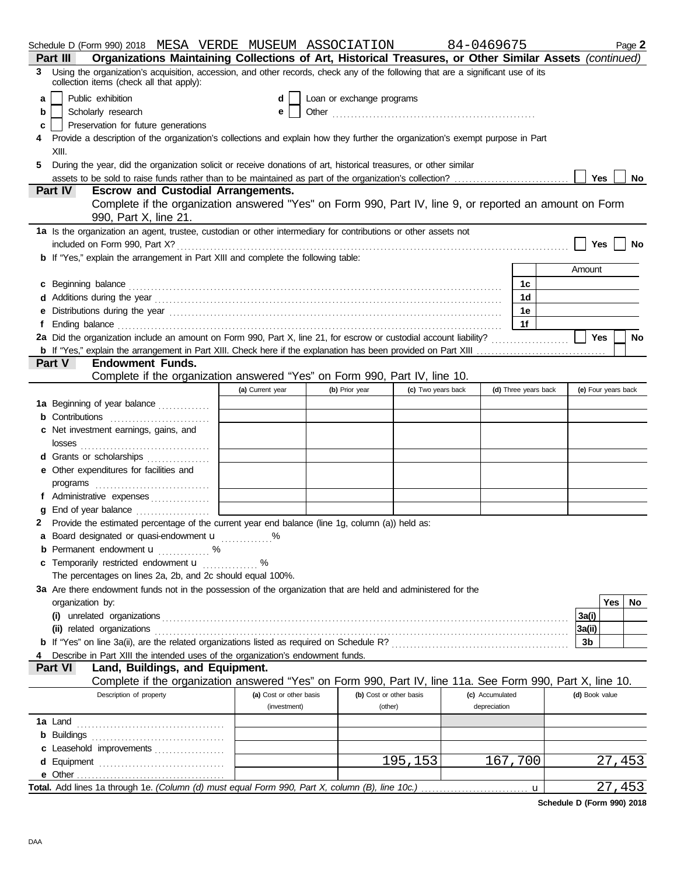|   | Schedule D (Form 990) 2018 MESA VERDE MUSEUM ASSOCIATION                                                                                                                                                                       |                         |                           |                    | 84-0469675      |                      |                |                     | Page 2        |
|---|--------------------------------------------------------------------------------------------------------------------------------------------------------------------------------------------------------------------------------|-------------------------|---------------------------|--------------------|-----------------|----------------------|----------------|---------------------|---------------|
|   | Organizations Maintaining Collections of Art, Historical Treasures, or Other Similar Assets (continued)<br>Part III                                                                                                            |                         |                           |                    |                 |                      |                |                     |               |
| 3 | Using the organization's acquisition, accession, and other records, check any of the following that are a significant use of its<br>collection items (check all that apply):                                                   |                         |                           |                    |                 |                      |                |                     |               |
| a | Public exhibition                                                                                                                                                                                                              | d                       | Loan or exchange programs |                    |                 |                      |                |                     |               |
| b | Scholarly research                                                                                                                                                                                                             | е                       |                           |                    |                 |                      |                |                     |               |
| c | Preservation for future generations                                                                                                                                                                                            |                         |                           |                    |                 |                      |                |                     |               |
| 4 | Provide a description of the organization's collections and explain how they further the organization's exempt purpose in Part<br>XIII.                                                                                        |                         |                           |                    |                 |                      |                |                     |               |
| 5 | During the year, did the organization solicit or receive donations of art, historical treasures, or other similar                                                                                                              |                         |                           |                    |                 |                      |                |                     |               |
|   | assets to be sold to raise funds rather than to be maintained as part of the organization's collection?                                                                                                                        |                         |                           |                    |                 |                      |                | Yes $ $             | No            |
|   | <b>Part IV</b><br><b>Escrow and Custodial Arrangements.</b>                                                                                                                                                                    |                         |                           |                    |                 |                      |                |                     |               |
|   | Complete if the organization answered "Yes" on Form 990, Part IV, line 9, or reported an amount on Form                                                                                                                        |                         |                           |                    |                 |                      |                |                     |               |
|   | 990, Part X, line 21.<br>1a Is the organization an agent, trustee, custodian or other intermediary for contributions or other assets not                                                                                       |                         |                           |                    |                 |                      |                |                     |               |
|   |                                                                                                                                                                                                                                |                         |                           |                    |                 |                      |                | Yes                 | No            |
|   | <b>b</b> If "Yes," explain the arrangement in Part XIII and complete the following table:                                                                                                                                      |                         |                           |                    |                 |                      |                |                     |               |
|   |                                                                                                                                                                                                                                |                         |                           |                    |                 |                      | Amount         |                     |               |
|   |                                                                                                                                                                                                                                |                         |                           |                    |                 | 1c                   |                |                     |               |
|   | c Beginning balance encourance and a series of the series of the series of the series of the series of the series of the series of the series of the series of the series of the series of the series of the series of the ser |                         |                           |                    |                 | 1d                   |                |                     |               |
|   | e Distributions during the year manufactured contains and the year manufactured with the year manufactured with the vertical state of the state of the state of the state of the state of the state of the state of the state  |                         |                           |                    |                 | 1e                   |                |                     |               |
|   |                                                                                                                                                                                                                                |                         |                           |                    |                 | 1f                   |                |                     |               |
|   | 2a Did the organization include an amount on Form 990, Part X, line 21, for escrow or custodial account liability?                                                                                                             |                         |                           |                    |                 |                      |                | Yes                 | <b>No</b>     |
|   |                                                                                                                                                                                                                                |                         |                           |                    |                 |                      |                |                     |               |
|   | <b>Endowment Funds.</b><br><b>Part V</b>                                                                                                                                                                                       |                         |                           |                    |                 |                      |                |                     |               |
|   | Complete if the organization answered "Yes" on Form 990, Part IV, line 10.                                                                                                                                                     |                         |                           |                    |                 |                      |                |                     |               |
|   |                                                                                                                                                                                                                                | (a) Current year        | (b) Prior year            | (c) Two years back |                 | (d) Three years back |                | (e) Four years back |               |
|   | 1a Beginning of year balance                                                                                                                                                                                                   |                         |                           |                    |                 |                      |                |                     |               |
|   | <b>b</b> Contributions <b>contributions</b>                                                                                                                                                                                    |                         |                           |                    |                 |                      |                |                     |               |
|   | c Net investment earnings, gains, and                                                                                                                                                                                          |                         |                           |                    |                 |                      |                |                     |               |
|   |                                                                                                                                                                                                                                |                         |                           |                    |                 |                      |                |                     |               |
|   | d Grants or scholarships                                                                                                                                                                                                       |                         |                           |                    |                 |                      |                |                     |               |
|   | e Other expenditures for facilities and                                                                                                                                                                                        |                         |                           |                    |                 |                      |                |                     |               |
|   |                                                                                                                                                                                                                                |                         |                           |                    |                 |                      |                |                     |               |
|   | f Administrative expenses                                                                                                                                                                                                      |                         |                           |                    |                 |                      |                |                     |               |
|   | <b>g</b> End of year balance $\ldots$                                                                                                                                                                                          |                         |                           |                    |                 |                      |                |                     |               |
|   | 2 Provide the estimated percentage of the current year end balance (line 1g, column (a)) held as:                                                                                                                              |                         |                           |                    |                 |                      |                |                     |               |
|   | a Board designated or quasi-endowment <b>u</b> %                                                                                                                                                                               |                         |                           |                    |                 |                      |                |                     |               |
|   | <b>b</b> Permanent endowment <b>u</b> %                                                                                                                                                                                        |                         |                           |                    |                 |                      |                |                     |               |
|   | c Temporarily restricted endowment <b>u</b> %                                                                                                                                                                                  |                         |                           |                    |                 |                      |                |                     |               |
|   | The percentages on lines 2a, 2b, and 2c should equal 100%.                                                                                                                                                                     |                         |                           |                    |                 |                      |                |                     |               |
|   | 3a Are there endowment funds not in the possession of the organization that are held and administered for the                                                                                                                  |                         |                           |                    |                 |                      |                |                     |               |
|   | organization by:                                                                                                                                                                                                               |                         |                           |                    |                 |                      |                | Yes l               | No.           |
|   |                                                                                                                                                                                                                                |                         |                           |                    |                 |                      | 3a(i)          |                     |               |
|   |                                                                                                                                                                                                                                |                         |                           |                    |                 |                      | 3a(ii)         |                     |               |
|   |                                                                                                                                                                                                                                |                         |                           |                    |                 |                      | 3b             |                     |               |
|   | Describe in Part XIII the intended uses of the organization's endowment funds.                                                                                                                                                 |                         |                           |                    |                 |                      |                |                     |               |
|   | Land, Buildings, and Equipment.<br><b>Part VI</b>                                                                                                                                                                              |                         |                           |                    |                 |                      |                |                     |               |
|   | Complete if the organization answered "Yes" on Form 990, Part IV, line 11a. See Form 990, Part X, line 10.                                                                                                                     |                         |                           |                    |                 |                      |                |                     |               |
|   | Description of property                                                                                                                                                                                                        | (a) Cost or other basis | (b) Cost or other basis   |                    | (c) Accumulated |                      | (d) Book value |                     |               |
|   |                                                                                                                                                                                                                                | (investment)            | (other)                   |                    | depreciation    |                      |                |                     |               |
|   |                                                                                                                                                                                                                                |                         |                           |                    |                 |                      |                |                     |               |
|   |                                                                                                                                                                                                                                |                         |                           |                    |                 |                      |                |                     |               |
|   | c Leasehold improvements                                                                                                                                                                                                       |                         |                           |                    |                 |                      |                |                     |               |
|   |                                                                                                                                                                                                                                |                         |                           | 195,153            |                 | 167,700              |                |                     | 27,453        |
|   |                                                                                                                                                                                                                                |                         |                           |                    |                 |                      |                |                     |               |
|   |                                                                                                                                                                                                                                |                         |                           |                    |                 | u                    |                |                     | <u>27,453</u> |

**Schedule D (Form 990) 2018**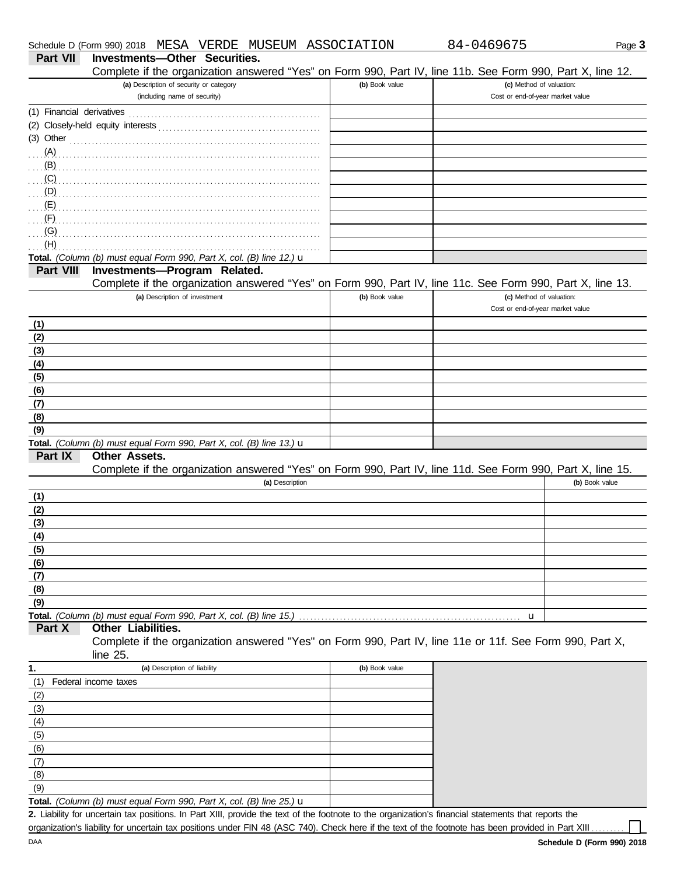|           | Complete if the organization answered "Yes" on Form 990, Part IV, line 11b. See Form 990, Part X, line 12. |                |                                  |                |
|-----------|------------------------------------------------------------------------------------------------------------|----------------|----------------------------------|----------------|
|           | (a) Description of security or category                                                                    | (b) Book value | (c) Method of valuation:         |                |
|           | (including name of security)                                                                               |                | Cost or end-of-year market value |                |
|           |                                                                                                            |                |                                  |                |
|           |                                                                                                            |                |                                  |                |
|           | $(3)$ Other $\ldots$ and $\ldots$ and $\ldots$ and $\ldots$ and $\ldots$ and $\ldots$ and $\ldots$         |                |                                  |                |
|           |                                                                                                            |                |                                  |                |
|           |                                                                                                            |                |                                  |                |
| (C)       |                                                                                                            |                |                                  |                |
| (D)       |                                                                                                            |                |                                  |                |
| (E)       |                                                                                                            |                |                                  |                |
| (F)       |                                                                                                            |                |                                  |                |
| (G)       |                                                                                                            |                |                                  |                |
| (H)       |                                                                                                            |                |                                  |                |
|           | Total. (Column (b) must equal Form 990, Part X, col. (B) line 12.) $\mathbf u$                             |                |                                  |                |
| Part VIII | Investments-Program Related.                                                                               |                |                                  |                |
|           | Complete if the organization answered "Yes" on Form 990, Part IV, line 11c. See Form 990, Part X, line 13. |                |                                  |                |
|           | (a) Description of investment                                                                              | (b) Book value | (c) Method of valuation:         |                |
|           |                                                                                                            |                | Cost or end-of-year market value |                |
| (1)       |                                                                                                            |                |                                  |                |
| (2)       |                                                                                                            |                |                                  |                |
| (3)       |                                                                                                            |                |                                  |                |
| (4)       |                                                                                                            |                |                                  |                |
| (5)       |                                                                                                            |                |                                  |                |
| (6)       |                                                                                                            |                |                                  |                |
| (7)       |                                                                                                            |                |                                  |                |
| (8)       |                                                                                                            |                |                                  |                |
| (9)       |                                                                                                            |                |                                  |                |
|           | Total. (Column (b) must equal Form 990, Part X, col. (B) line 13.) $\mathbf u$                             |                |                                  |                |
| Part IX   | Other Assets.                                                                                              |                |                                  |                |
|           | Complete if the organization answered "Yes" on Form 990, Part IV, line 11d. See Form 990, Part X, line 15. |                |                                  |                |
|           | (a) Description                                                                                            |                |                                  | (b) Book value |
| (1)       |                                                                                                            |                |                                  |                |
| (2)       |                                                                                                            |                |                                  |                |
| (3)       |                                                                                                            |                |                                  |                |
| (4)       |                                                                                                            |                |                                  |                |
| (5)       |                                                                                                            |                |                                  |                |
| (6)       |                                                                                                            |                |                                  |                |
| (7)       |                                                                                                            |                |                                  |                |
| (8)       |                                                                                                            |                |                                  |                |
| (9)       |                                                                                                            |                |                                  |                |
|           | Total. (Column (b) must equal Form 990, Part X, col. (B) line 15.)                                         |                | u                                |                |
| Part X    | Other Liabilities.                                                                                         |                |                                  |                |
|           | Complete if the organization answered "Yes" on Form 990, Part IV, line 11e or 11f. See Form 990, Part X,   |                |                                  |                |
|           | line 25.                                                                                                   |                |                                  |                |
| 1.        | (a) Description of liability                                                                               | (b) Book value |                                  |                |
| (1)       | Federal income taxes                                                                                       |                |                                  |                |
| (2)       |                                                                                                            |                |                                  |                |
| (3)       |                                                                                                            |                |                                  |                |
| (4)       |                                                                                                            |                |                                  |                |
| (5)       |                                                                                                            |                |                                  |                |
| (6)       |                                                                                                            |                |                                  |                |
| (7)       |                                                                                                            |                |                                  |                |

**Total.** *(Column (b) must equal Form 990, Part X, col. (B) line 25.)* u (9)

Liability for uncertain tax positions. In Part XIII, provide the text of the footnote to the organization's financial statements that reports the **2.** organization's liability for uncertain tax positions under FIN 48 (ASC 740). Check here if the text of the footnote has been provided in Part XIII ....

(8)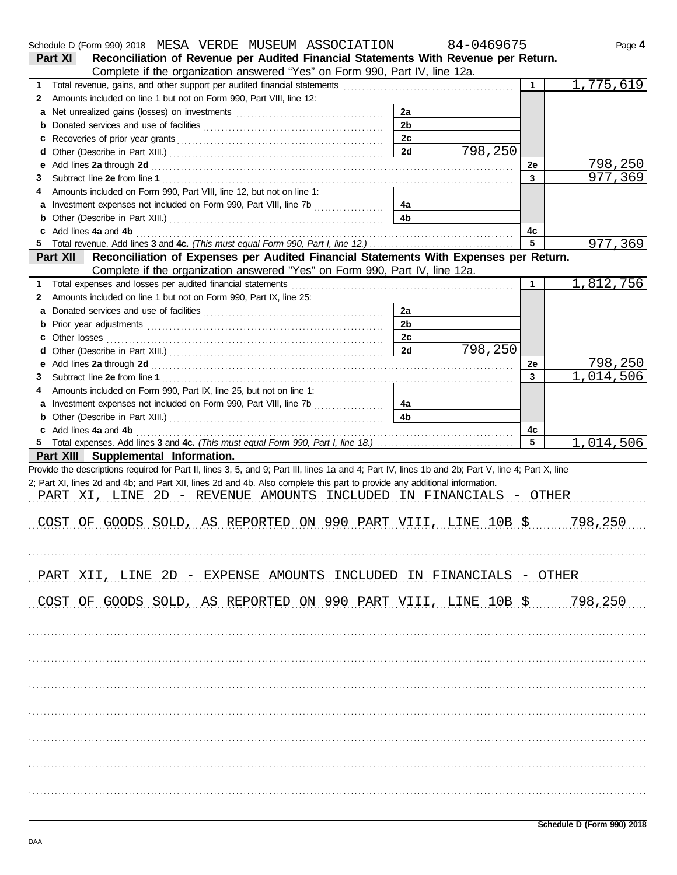|    | Schedule D (Form 990) 2018 MESA VERDE MUSEUM ASSOCIATION                                                                                                                                                                            |                | 84-0469675 |                | Page 4    |
|----|-------------------------------------------------------------------------------------------------------------------------------------------------------------------------------------------------------------------------------------|----------------|------------|----------------|-----------|
|    | Reconciliation of Revenue per Audited Financial Statements With Revenue per Return.<br><b>Part XI</b>                                                                                                                               |                |            |                |           |
|    | Complete if the organization answered "Yes" on Form 990, Part IV, line 12a.                                                                                                                                                         |                |            |                |           |
| 1  | Total revenue, gains, and other support per audited financial statements [[[[[[[[[[[[[[[[[[[[[[[[]]]]]]]]]]]]                                                                                                                       |                |            | 1.             | 1,775,619 |
| 2  | Amounts included on line 1 but not on Form 990, Part VIII, line 12:                                                                                                                                                                 |                |            |                |           |
| a  |                                                                                                                                                                                                                                     | 2a             |            |                |           |
| b  |                                                                                                                                                                                                                                     | 2 <sub>b</sub> |            |                |           |
| c  |                                                                                                                                                                                                                                     | 2c             |            |                |           |
| d  |                                                                                                                                                                                                                                     | 2d             | 798,250    |                |           |
| е  |                                                                                                                                                                                                                                     |                |            | 2e             | 798,250   |
| 3  |                                                                                                                                                                                                                                     |                |            | $\overline{3}$ | 977,369   |
|    | Amounts included on Form 990, Part VIII, line 12, but not on line 1:                                                                                                                                                                |                |            |                |           |
| a  | Investment expenses not included on Form 990, Part VIII, line 7b                                                                                                                                                                    | 4a             |            |                |           |
| b  |                                                                                                                                                                                                                                     | 4b             |            |                |           |
|    | Add lines 4a and 4b [11] Add lines 4a and 4b [11] Add lines and 4b [11] Add lines 4a and 4b [11] Add lines 4a and 4b [11] Add lines are set of the set of the set of the set of the set of the set of the set of the set of th      |                |            | 4с             |           |
| 5  |                                                                                                                                                                                                                                     |                |            | 5              | 977,369   |
|    | Reconciliation of Expenses per Audited Financial Statements With Expenses per Return.<br>Part XII                                                                                                                                   |                |            |                |           |
|    | Complete if the organization answered "Yes" on Form 990, Part IV, line 12a.                                                                                                                                                         |                |            |                |           |
| 1. |                                                                                                                                                                                                                                     |                |            | 1              | 1,812,756 |
| 2  | Amounts included on line 1 but not on Form 990, Part IX, line 25:                                                                                                                                                                   |                |            |                |           |
| a  |                                                                                                                                                                                                                                     | 2a             |            |                |           |
| b  |                                                                                                                                                                                                                                     | 2 <sub>b</sub> |            |                |           |
|    |                                                                                                                                                                                                                                     | 2c             |            |                |           |
| d  |                                                                                                                                                                                                                                     | 2d             | 798,250    |                |           |
| е  |                                                                                                                                                                                                                                     |                |            | 2e             | 798,250   |
| 3  |                                                                                                                                                                                                                                     |                |            | $\overline{3}$ | 1,014,506 |
|    | Amounts included on Form 990, Part IX, line 25, but not on line 1:                                                                                                                                                                  |                |            |                |           |
| a  | Investment expenses not included on Form 990, Part VIII, line 7b                                                                                                                                                                    | 4a             |            |                |           |
| b  |                                                                                                                                                                                                                                     | 4 <sub>b</sub> |            |                |           |
|    |                                                                                                                                                                                                                                     |                |            | 4c             |           |
| c  | Add lines 4a and 4b <b>contract and 4b</b> and 4b and 4b and 4b and 4b and 4b and 4b and 4b and 4b and 4b and 4b and 4b and 4b and 4b and 4b and 4b and 4b and 4b and 4b and 4b and 4b and 4b and 4b and 4b and 4b and 4b and 4b an |                |            | 5              | 1,014,506 |
|    | Part XIII Supplemental Information.                                                                                                                                                                                                 |                |            |                |           |
|    | Provide the descriptions required for Part II, lines 3, 5, and 9; Part III, lines 1a and 4; Part IV, lines 1b and 2b; Part V, line 4; Part X, line                                                                                  |                |            |                |           |
|    | 2; Part XI, lines 2d and 4b; and Part XII, lines 2d and 4b. Also complete this part to provide any additional information.                                                                                                          |                |            |                |           |
|    | PART XI, LINE 2D - REVENUE AMOUNTS INCLUDED IN FINANCIALS - OTHER                                                                                                                                                                   |                |            |                |           |
|    |                                                                                                                                                                                                                                     |                |            |                |           |
|    |                                                                                                                                                                                                                                     |                |            |                |           |
|    | COST OF GOODS SOLD, AS REPORTED ON 990 PART VIII, LINE 10B \$ 798, 250                                                                                                                                                              |                |            |                |           |
|    |                                                                                                                                                                                                                                     |                |            |                |           |
|    |                                                                                                                                                                                                                                     |                |            |                |           |
|    |                                                                                                                                                                                                                                     |                |            |                |           |
|    | PART XII, LINE 2D - EXPENSE AMOUNTS INCLUDED IN FINANCIALS - OTHER                                                                                                                                                                  |                |            |                |           |
|    |                                                                                                                                                                                                                                     |                |            |                |           |
|    | COST OF GOODS SOLD, AS REPORTED ON 990 PART VIII, LINE $10B$ \$ 798,250                                                                                                                                                             |                |            |                |           |
|    |                                                                                                                                                                                                                                     |                |            |                |           |
|    |                                                                                                                                                                                                                                     |                |            |                |           |
|    |                                                                                                                                                                                                                                     |                |            |                |           |
|    |                                                                                                                                                                                                                                     |                |            |                |           |
|    |                                                                                                                                                                                                                                     |                |            |                |           |
|    |                                                                                                                                                                                                                                     |                |            |                |           |
|    |                                                                                                                                                                                                                                     |                |            |                |           |
|    |                                                                                                                                                                                                                                     |                |            |                |           |
|    |                                                                                                                                                                                                                                     |                |            |                |           |
|    |                                                                                                                                                                                                                                     |                |            |                |           |
|    |                                                                                                                                                                                                                                     |                |            |                |           |
|    |                                                                                                                                                                                                                                     |                |            |                |           |
|    |                                                                                                                                                                                                                                     |                |            |                |           |
|    |                                                                                                                                                                                                                                     |                |            |                |           |
|    |                                                                                                                                                                                                                                     |                |            |                |           |
|    |                                                                                                                                                                                                                                     |                |            |                |           |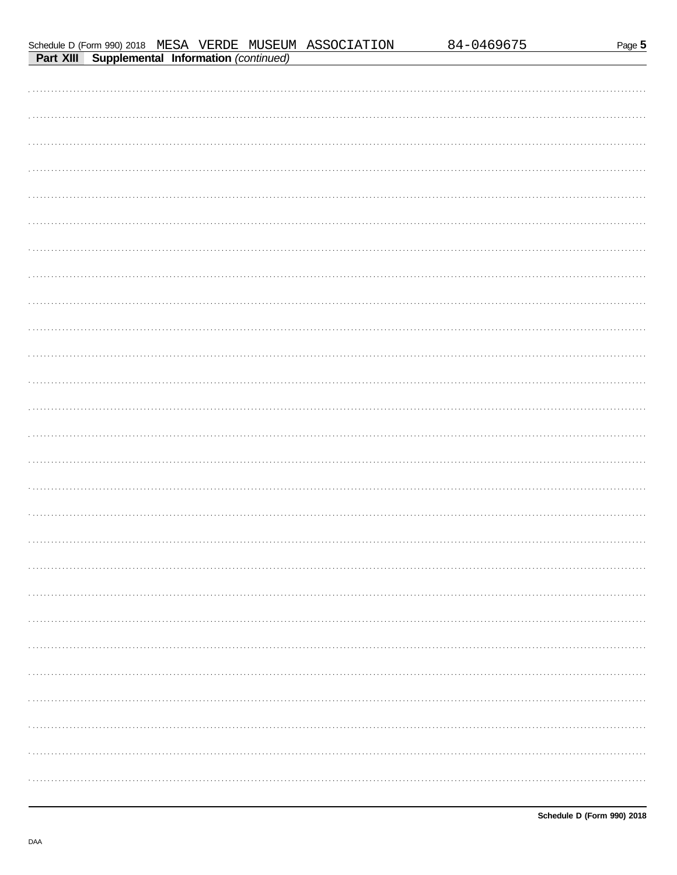|--|--|

|  |                                                       | Schedule D (Form 990) 2018 MESA VERDE MUSEUM ASSOCIATION | 84-0469675 | Page 5 |
|--|-------------------------------------------------------|----------------------------------------------------------|------------|--------|
|  | <b>Part XIII Supplemental Information (continued)</b> |                                                          |            |        |
|  |                                                       |                                                          |            |        |
|  |                                                       |                                                          |            |        |
|  |                                                       |                                                          |            |        |
|  |                                                       |                                                          |            |        |
|  |                                                       |                                                          |            |        |
|  |                                                       |                                                          |            |        |
|  |                                                       |                                                          |            |        |
|  |                                                       |                                                          |            |        |
|  |                                                       |                                                          |            |        |
|  |                                                       |                                                          |            |        |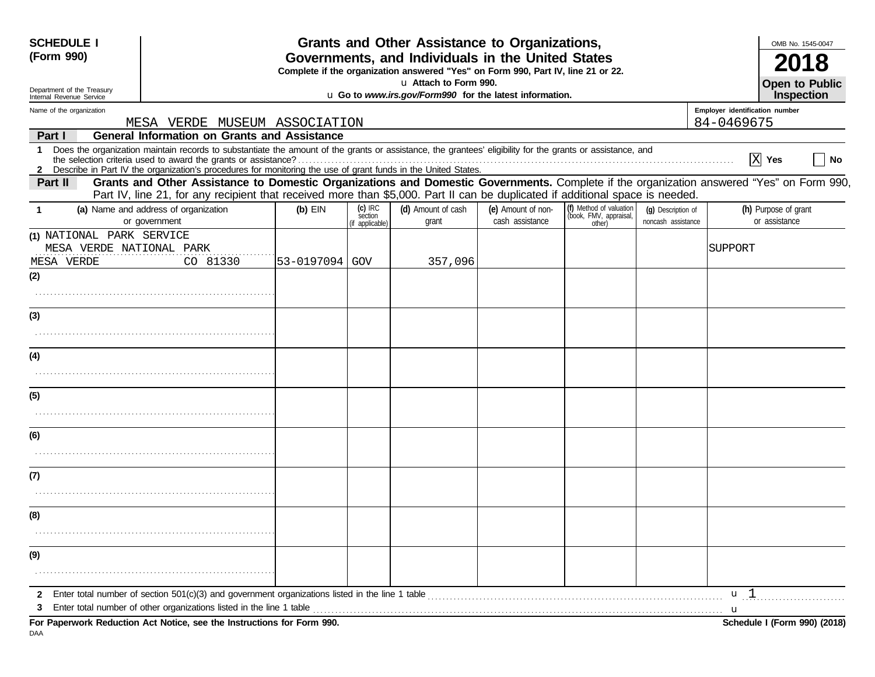| <b>SCHEDULE I</b><br>(Form 990)                                     |                                                                                                                                                                                                                                                                                                                                                                                                          | Grants and Other Assistance to Organizations,<br>Governments, and Individuals in the United States<br>Complete if the organization answered "Yes" on Form 990, Part IV, line 21 or 22. | OMB No. 1545-0047<br><b>Open to Public</b> |                                                         |                                       |                                                             |                                          |                                                                                                                                         |
|---------------------------------------------------------------------|----------------------------------------------------------------------------------------------------------------------------------------------------------------------------------------------------------------------------------------------------------------------------------------------------------------------------------------------------------------------------------------------------------|----------------------------------------------------------------------------------------------------------------------------------------------------------------------------------------|--------------------------------------------|---------------------------------------------------------|---------------------------------------|-------------------------------------------------------------|------------------------------------------|-----------------------------------------------------------------------------------------------------------------------------------------|
| Department of the Treasury<br>Internal Revenue Service              |                                                                                                                                                                                                                                                                                                                                                                                                          |                                                                                                                                                                                        |                                            | u Go to www.irs.gov/Form990 for the latest information. |                                       |                                                             |                                          | <b>Inspection</b>                                                                                                                       |
| Name of the organization                                            |                                                                                                                                                                                                                                                                                                                                                                                                          |                                                                                                                                                                                        |                                            |                                                         |                                       |                                                             |                                          | Employer identification number                                                                                                          |
|                                                                     | MESA VERDE MUSEUM ASSOCIATION                                                                                                                                                                                                                                                                                                                                                                            |                                                                                                                                                                                        |                                            |                                                         |                                       |                                                             |                                          | 84-0469675                                                                                                                              |
| Part I                                                              | <b>General Information on Grants and Assistance</b><br>1 Does the organization maintain records to substantiate the amount of the grants or assistance, the grantees' eligibility for the grants or assistance, and<br>the selection criteria used to award the grants or assistance?<br>2 Describe in Part IV the organization's procedures for monitoring the use of grant funds in the United States. |                                                                                                                                                                                        |                                            |                                                         |                                       |                                                             |                                          | X <br>Yes<br>No                                                                                                                         |
| <b>Part II</b>                                                      | Part IV, line 21, for any recipient that received more than \$5,000. Part II can be duplicated if additional space is needed.                                                                                                                                                                                                                                                                            |                                                                                                                                                                                        |                                            |                                                         |                                       |                                                             |                                          | Grants and Other Assistance to Domestic Organizations and Domestic Governments. Complete if the organization answered "Yes" on Form 990 |
| -1                                                                  | (a) Name and address of organization<br>or government                                                                                                                                                                                                                                                                                                                                                    | $(b)$ EIN                                                                                                                                                                              | $(c)$ IRC<br>section<br>(if applicable)    | (d) Amount of cash<br>grant                             | (e) Amount of non-<br>cash assistance | (f) Method of valuation<br>(book, FMV, appraisal,<br>other) | (g) Description of<br>noncash assistance | (h) Purpose of grant<br>or assistance                                                                                                   |
| (1) NATIONAL PARK SERVICE<br>MESA VERDE NATIONAL PARK<br>MESA VERDE | CO 81330                                                                                                                                                                                                                                                                                                                                                                                                 | 53-0197094 GOV                                                                                                                                                                         |                                            | 357,096                                                 |                                       |                                                             |                                          | SUPPORT                                                                                                                                 |
| (2)                                                                 |                                                                                                                                                                                                                                                                                                                                                                                                          |                                                                                                                                                                                        |                                            |                                                         |                                       |                                                             |                                          |                                                                                                                                         |
| (3)                                                                 |                                                                                                                                                                                                                                                                                                                                                                                                          |                                                                                                                                                                                        |                                            |                                                         |                                       |                                                             |                                          |                                                                                                                                         |
| (4)                                                                 |                                                                                                                                                                                                                                                                                                                                                                                                          |                                                                                                                                                                                        |                                            |                                                         |                                       |                                                             |                                          |                                                                                                                                         |
|                                                                     |                                                                                                                                                                                                                                                                                                                                                                                                          |                                                                                                                                                                                        |                                            |                                                         |                                       |                                                             |                                          |                                                                                                                                         |
| (5)                                                                 |                                                                                                                                                                                                                                                                                                                                                                                                          |                                                                                                                                                                                        |                                            |                                                         |                                       |                                                             |                                          |                                                                                                                                         |
| (6)                                                                 |                                                                                                                                                                                                                                                                                                                                                                                                          |                                                                                                                                                                                        |                                            |                                                         |                                       |                                                             |                                          |                                                                                                                                         |
| (7)                                                                 |                                                                                                                                                                                                                                                                                                                                                                                                          |                                                                                                                                                                                        |                                            |                                                         |                                       |                                                             |                                          |                                                                                                                                         |
| (8)                                                                 |                                                                                                                                                                                                                                                                                                                                                                                                          |                                                                                                                                                                                        |                                            |                                                         |                                       |                                                             |                                          |                                                                                                                                         |
| (9)                                                                 |                                                                                                                                                                                                                                                                                                                                                                                                          |                                                                                                                                                                                        |                                            |                                                         |                                       |                                                             |                                          |                                                                                                                                         |
| 3                                                                   |                                                                                                                                                                                                                                                                                                                                                                                                          |                                                                                                                                                                                        |                                            |                                                         |                                       |                                                             |                                          | u <sub>1</sub><br>$\mathbf u$                                                                                                           |
| DAA                                                                 | For Paperwork Reduction Act Notice, see the Instructions for Form 990.                                                                                                                                                                                                                                                                                                                                   |                                                                                                                                                                                        |                                            |                                                         |                                       |                                                             |                                          | Schedule I (Form 990) (2018)                                                                                                            |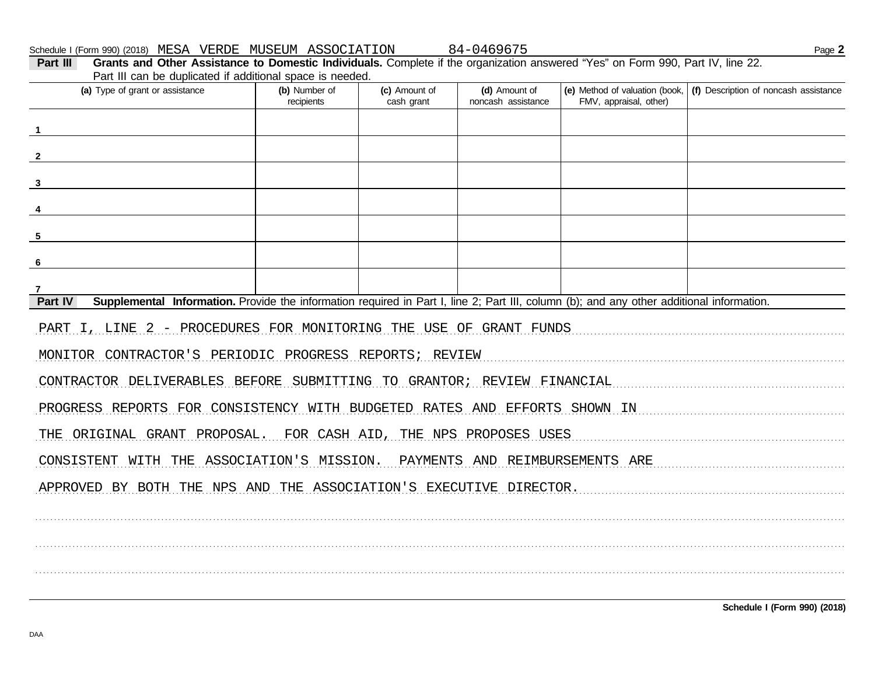Schedule I (Form 990) (2018) MESA VERDE MUSEUM ASSOCIATION

84-0469675

| (a) Type of grant or assistance                                                                                                                      | (b) Number of<br>recipients | (c) Amount of<br>cash grant | (d) Amount of<br>noncash assistance | FMV, appraisal, other) | (e) Method of valuation (book,   (f) Description of noncash assistance |
|------------------------------------------------------------------------------------------------------------------------------------------------------|-----------------------------|-----------------------------|-------------------------------------|------------------------|------------------------------------------------------------------------|
|                                                                                                                                                      |                             |                             |                                     |                        |                                                                        |
|                                                                                                                                                      |                             |                             |                                     |                        |                                                                        |
| $\mathbf{3}$                                                                                                                                         |                             |                             |                                     |                        |                                                                        |
|                                                                                                                                                      |                             |                             |                                     |                        |                                                                        |
| 5                                                                                                                                                    |                             |                             |                                     |                        |                                                                        |
| -6                                                                                                                                                   |                             |                             |                                     |                        |                                                                        |
|                                                                                                                                                      |                             |                             |                                     |                        |                                                                        |
| Supplemental Information. Provide the information required in Part I, line 2; Part III, column (b); and any other additional information.<br>Part IV |                             |                             |                                     |                        |                                                                        |
| PART I, LINE 2 - PROCEDURES FOR MONITORING THE USE OF GRANT FUNDS                                                                                    |                             |                             |                                     |                        |                                                                        |
| MONITOR CONTRACTOR'S PERIODIC PROGRESS REPORTS; REVIEW                                                                                               |                             |                             |                                     |                        |                                                                        |
| CONTRACTOR DELIVERABLES BEFORE SUBMITTING TO GRANTOR; REVIEW FINANCIAL                                                                               |                             |                             |                                     |                        |                                                                        |
| PROGRESS REPORTS FOR CONSISTENCY WITH BUDGETED RATES AND EFFORTS SHOWN IN                                                                            |                             |                             |                                     |                        |                                                                        |
| THE ORIGINAL GRANT PROPOSAL. FOR CASH AID, THE NPS PROPOSES USES                                                                                     |                             |                             |                                     |                        |                                                                        |
| CONSISTENT WITH THE ASSOCIATION'S MISSION. PAYMENTS AND REIMBURSEMENTS ARE                                                                           |                             |                             |                                     |                        |                                                                        |
| APPROVED BY BOTH THE NPS AND THE ASSOCIATION'S EXECUTIVE DIRECTOR.                                                                                   |                             |                             |                                     |                        |                                                                        |
|                                                                                                                                                      |                             |                             |                                     |                        |                                                                        |
|                                                                                                                                                      |                             |                             |                                     |                        |                                                                        |
|                                                                                                                                                      |                             |                             |                                     |                        |                                                                        |
|                                                                                                                                                      |                             |                             |                                     |                        |                                                                        |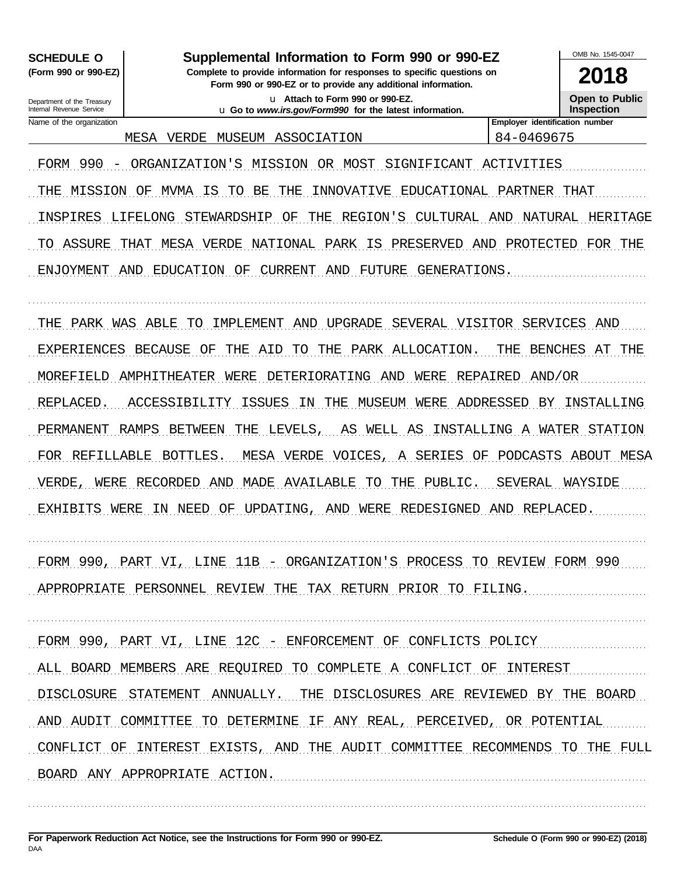**SCHEDULE O** (Form 990 or 990-EZ)

#### Supplemental Information to Form 990 or 990-EZ

Complete to provide information for responses to specific questions on Form 990 or 990-EZ or to provide any additional information.

> u Attach to Form 990 or 990-EZ. u Go to www.irs.gov/Form990 for the latest information.

**Open to Public Inspection** 

Department of the Treasury Internal Revenue Service Name of the organization

MESA VERDE MUSEUM ASSOCIATION

Employer identification number 84-0469675

FORM 990 - ORGANIZATION'S MISSION OR MOST SIGNIFICANT ACTIVITIES THE MISSION OF MVMA IS TO BE THE INNOVATIVE EDUCATIONAL PARTNER THAT INSPIRES LIFELONG STEWARDSHIP OF THE REGION'S CULTURAL AND NATURAL HERITAGE TO ASSURE THAT MESA VERDE NATIONAL PARK IS PRESERVED AND PROTECTED FOR THE ENJOYMENT AND EDUCATION OF CURRENT AND FUTURE GENERATIONS.

THE PARK WAS ABLE TO IMPLEMENT AND UPGRADE SEVERAL VISITOR SERVICES AND EXPERIENCES BECAUSE OF THE AID TO THE PARK ALLOCATION. THE BENCHES AT THE MOREFIELD AMPHITHEATER WERE DETERIORATING AND WERE REPAIRED AND/OR REPLACED. ACCESSIBILITY ISSUES IN THE MUSEUM WERE ADDRESSED BY INSTALLING PERMANENT RAMPS BETWEEN THE LEVELS, AS WELL AS INSTALLING A WATER STATION FOR REFILLABLE BOTTLES. MESA VERDE VOICES, A SERIES OF PODCASTS ABOUT MESA VERDE, WERE RECORDED AND MADE AVAILABLE TO THE PUBLIC. SEVERAL WAYSIDE EXHIBITS WERE IN NEED OF UPDATING, AND WERE REDESIGNED AND REPLACED.

FORM 990, PART VI, LINE 11B - ORGANIZATION'S PROCESS TO REVIEW FORM 990 APPROPRIATE PERSONNEL REVIEW THE TAX RETURN PRIOR TO FILING.

FORM 990, PART VI, LINE 12C - ENFORCEMENT OF CONFLICTS POLICY ALL BOARD MEMBERS ARE REQUIRED TO COMPLETE A CONFLICT OF INTEREST DISCLOSURE STATEMENT ANNUALLY. THE DISCLOSURES ARE REVIEWED BY THE BOARD AND AUDIT COMMITTEE TO DETERMINE IF ANY REAL, PERCEIVED, OR POTENTIAL CONFLICT OF INTEREST EXISTS, AND THE AUDIT COMMITTEE RECOMMENDS TO THE FULL BOARD ANY APPROPRIATE ACTION.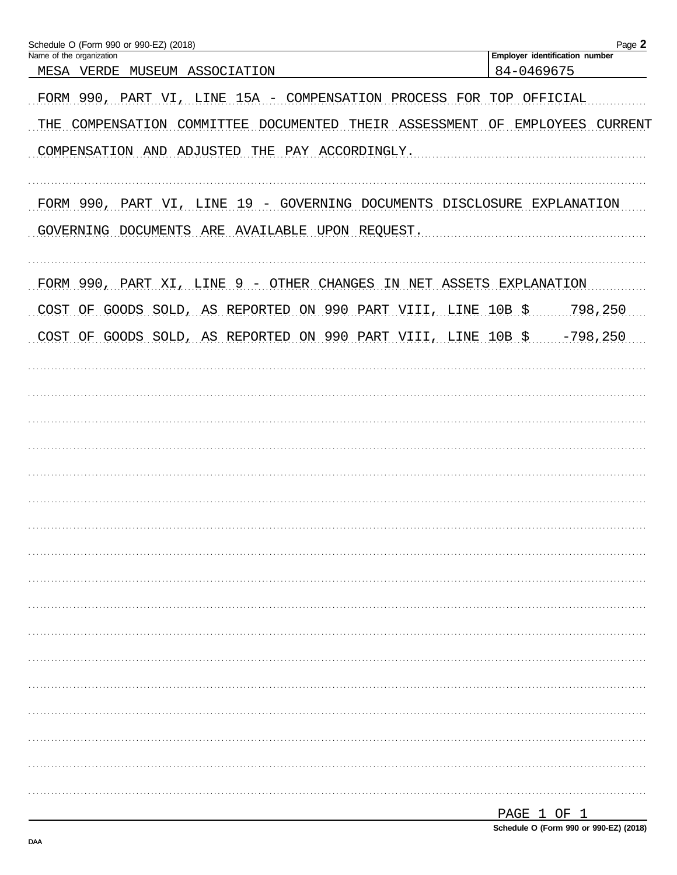| Schedule O (Form 990 or 990-EZ) (2018)                                      | Page 2                                       |
|-----------------------------------------------------------------------------|----------------------------------------------|
| Name of the organization<br>MESA VERDE MUSEUM ASSOCIATION                   | Employer identification number<br>84-0469675 |
| FORM 990, PART VI, LINE 15A - COMPENSATION PROCESS FOR TOP OFFICIAL         |                                              |
| THE COMPENSATION COMMITTEE DOCUMENTED THEIR ASSESSMENT OF EMPLOYEES CURRENT |                                              |
| COMPENSATION AND ADJUSTED THE PAY ACCORDINGLY.                              |                                              |
| FORM 990, PART VI, LINE 19 - GOVERNING DOCUMENTS DISCLOSURE EXPLANATION     |                                              |
| GOVERNING DOCUMENTS ARE AVAILABLE UPON REQUEST.                             |                                              |
| FORM 990, PART XI, LINE 9 - OTHER CHANGES IN NET ASSETS EXPLANATION         |                                              |
| COST OF GOODS SOLD, AS REPORTED ON 990 PART VIII, LINE 10B \$ 798,250       |                                              |
| COST OF GOODS SOLD, AS REPORTED ON 990 PART VIII, LINE 10B \$ 798,250       |                                              |
|                                                                             |                                              |
|                                                                             |                                              |
|                                                                             |                                              |
|                                                                             |                                              |
|                                                                             |                                              |
|                                                                             |                                              |
|                                                                             |                                              |
|                                                                             |                                              |
|                                                                             |                                              |
|                                                                             |                                              |
|                                                                             |                                              |
|                                                                             |                                              |
|                                                                             |                                              |
|                                                                             |                                              |
|                                                                             |                                              |
|                                                                             |                                              |
|                                                                             |                                              |
|                                                                             | DAGE 1 OF 1                                  |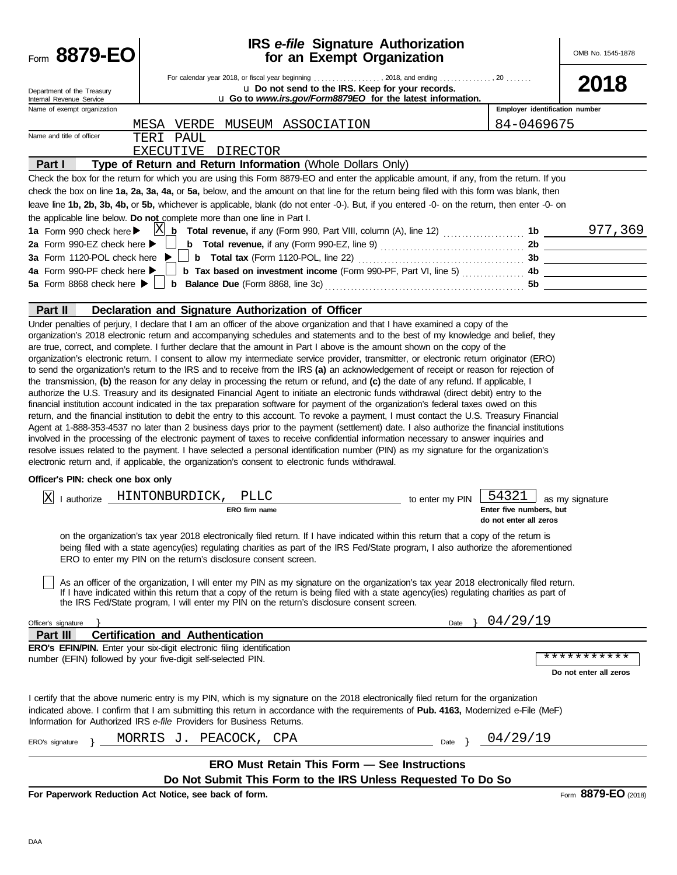| Form 8879-EO                                           |                                                                                                                                                                                                                                                                                                                                                                                                                                                                                                                                                                                                                                                                                                                                                                                                                                                                                                                                                                                                                                                                                                                                                                                                                                                                                                                                                                                                                                                                                                                      | <b>IRS</b> e-file Signature Authorization<br>for an Exempt Organization |                                                   | OMB No. 1545-1878      |
|--------------------------------------------------------|----------------------------------------------------------------------------------------------------------------------------------------------------------------------------------------------------------------------------------------------------------------------------------------------------------------------------------------------------------------------------------------------------------------------------------------------------------------------------------------------------------------------------------------------------------------------------------------------------------------------------------------------------------------------------------------------------------------------------------------------------------------------------------------------------------------------------------------------------------------------------------------------------------------------------------------------------------------------------------------------------------------------------------------------------------------------------------------------------------------------------------------------------------------------------------------------------------------------------------------------------------------------------------------------------------------------------------------------------------------------------------------------------------------------------------------------------------------------------------------------------------------------|-------------------------------------------------------------------------|---------------------------------------------------|------------------------|
| Department of the Treasury<br>Internal Revenue Service | For calendar year 2018, or fiscal year beginning , 2018, and ending , 20<br>u Do not send to the IRS. Keep for your records.<br>u Go to www.irs.gov/Form8879EO for the latest information.                                                                                                                                                                                                                                                                                                                                                                                                                                                                                                                                                                                                                                                                                                                                                                                                                                                                                                                                                                                                                                                                                                                                                                                                                                                                                                                           |                                                                         |                                                   | 2018                   |
| Name of exempt organization                            |                                                                                                                                                                                                                                                                                                                                                                                                                                                                                                                                                                                                                                                                                                                                                                                                                                                                                                                                                                                                                                                                                                                                                                                                                                                                                                                                                                                                                                                                                                                      |                                                                         | Employer identification number                    |                        |
|                                                        | MUSEUM ASSOCIATION<br>MESA VERDE                                                                                                                                                                                                                                                                                                                                                                                                                                                                                                                                                                                                                                                                                                                                                                                                                                                                                                                                                                                                                                                                                                                                                                                                                                                                                                                                                                                                                                                                                     |                                                                         | 84-0469675                                        |                        |
| Name and title of officer                              | TERI PAUL                                                                                                                                                                                                                                                                                                                                                                                                                                                                                                                                                                                                                                                                                                                                                                                                                                                                                                                                                                                                                                                                                                                                                                                                                                                                                                                                                                                                                                                                                                            |                                                                         |                                                   |                        |
|                                                        | EXECUTIVE DIRECTOR                                                                                                                                                                                                                                                                                                                                                                                                                                                                                                                                                                                                                                                                                                                                                                                                                                                                                                                                                                                                                                                                                                                                                                                                                                                                                                                                                                                                                                                                                                   |                                                                         |                                                   |                        |
| Part I                                                 | Type of Return and Return Information (Whole Dollars Only)                                                                                                                                                                                                                                                                                                                                                                                                                                                                                                                                                                                                                                                                                                                                                                                                                                                                                                                                                                                                                                                                                                                                                                                                                                                                                                                                                                                                                                                           |                                                                         |                                                   |                        |
|                                                        | Check the box for the return for which you are using this Form 8879-EO and enter the applicable amount, if any, from the return. If you<br>check the box on line 1a, 2a, 3a, 4a, or 5a, below, and the amount on that line for the return being filed with this form was blank, then<br>leave line 1b, 2b, 3b, 4b, or 5b, whichever is applicable, blank (do not enter -0-). But, if you entered -0- on the return, then enter -0- on<br>the applicable line below. Do not complete more than one line in Part I.                                                                                                                                                                                                                                                                                                                                                                                                                                                                                                                                                                                                                                                                                                                                                                                                                                                                                                                                                                                                    |                                                                         |                                                   |                        |
| 1a Form 990 check here $\blacktriangleright$           | $ {\rm X} $<br><b>Total revenue,</b> if any (Form 990, Part VIII, column (A), line 12)  1b $\underline{\hspace{1cm}977,369}$<br>b                                                                                                                                                                                                                                                                                                                                                                                                                                                                                                                                                                                                                                                                                                                                                                                                                                                                                                                                                                                                                                                                                                                                                                                                                                                                                                                                                                                    |                                                                         |                                                   |                        |
| 2a Form 990-EZ check here $\blacktriangleright$        |                                                                                                                                                                                                                                                                                                                                                                                                                                                                                                                                                                                                                                                                                                                                                                                                                                                                                                                                                                                                                                                                                                                                                                                                                                                                                                                                                                                                                                                                                                                      |                                                                         |                                                   |                        |
| 3a Form 1120-POL check here                            |                                                                                                                                                                                                                                                                                                                                                                                                                                                                                                                                                                                                                                                                                                                                                                                                                                                                                                                                                                                                                                                                                                                                                                                                                                                                                                                                                                                                                                                                                                                      |                                                                         |                                                   |                        |
| 4a Form 990-PF check here                              |                                                                                                                                                                                                                                                                                                                                                                                                                                                                                                                                                                                                                                                                                                                                                                                                                                                                                                                                                                                                                                                                                                                                                                                                                                                                                                                                                                                                                                                                                                                      |                                                                         |                                                   |                        |
| 5a Form 8868 check here $\blacktriangleright$          |                                                                                                                                                                                                                                                                                                                                                                                                                                                                                                                                                                                                                                                                                                                                                                                                                                                                                                                                                                                                                                                                                                                                                                                                                                                                                                                                                                                                                                                                                                                      |                                                                         |                                                   |                        |
| Part II                                                | Declaration and Signature Authorization of Officer                                                                                                                                                                                                                                                                                                                                                                                                                                                                                                                                                                                                                                                                                                                                                                                                                                                                                                                                                                                                                                                                                                                                                                                                                                                                                                                                                                                                                                                                   |                                                                         |                                                   |                        |
|                                                        | are true, correct, and complete. I further declare that the amount in Part I above is the amount shown on the copy of the<br>organization's electronic return. I consent to allow my intermediate service provider, transmitter, or electronic return originator (ERO)<br>to send the organization's return to the IRS and to receive from the IRS (a) an acknowledgement of receipt or reason for rejection of<br>the transmission, (b) the reason for any delay in processing the return or refund, and (c) the date of any refund. If applicable, I<br>authorize the U.S. Treasury and its designated Financial Agent to initiate an electronic funds withdrawal (direct debit) entry to the<br>financial institution account indicated in the tax preparation software for payment of the organization's federal taxes owed on this<br>return, and the financial institution to debit the entry to this account. To revoke a payment, I must contact the U.S. Treasury Financial<br>Agent at 1-888-353-4537 no later than 2 business days prior to the payment (settlement) date. I also authorize the financial institutions<br>involved in the processing of the electronic payment of taxes to receive confidential information necessary to answer inquiries and<br>resolve issues related to the payment. I have selected a personal identification number (PIN) as my signature for the organization's<br>electronic return and, if applicable, the organization's consent to electronic funds withdrawal. |                                                                         |                                                   |                        |
| Officer's PIN: check one box only                      |                                                                                                                                                                                                                                                                                                                                                                                                                                                                                                                                                                                                                                                                                                                                                                                                                                                                                                                                                                                                                                                                                                                                                                                                                                                                                                                                                                                                                                                                                                                      |                                                                         |                                                   |                        |
|                                                        | I authorize HINTONBURDICK,<br>PLLC                                                                                                                                                                                                                                                                                                                                                                                                                                                                                                                                                                                                                                                                                                                                                                                                                                                                                                                                                                                                                                                                                                                                                                                                                                                                                                                                                                                                                                                                                   |                                                                         | 54321                                             |                        |
| ΙX                                                     | ERO firm name                                                                                                                                                                                                                                                                                                                                                                                                                                                                                                                                                                                                                                                                                                                                                                                                                                                                                                                                                                                                                                                                                                                                                                                                                                                                                                                                                                                                                                                                                                        | to enter my PIN                                                         | Enter five numbers, but<br>do not enter all zeros | as my signature        |
|                                                        | on the organization's tax year 2018 electronically filed return. If I have indicated within this return that a copy of the return is<br>being filed with a state agency(ies) regulating charities as part of the IRS Fed/State program, I also authorize the aforementioned<br>ERO to enter my PIN on the return's disclosure consent screen.<br>As an officer of the organization, I will enter my PIN as my signature on the organization's tax year 2018 electronically filed return.<br>If I have indicated within this return that a copy of the return is being filed with a state agency(ies) regulating charities as part of<br>the IRS Fed/State program, I will enter my PIN on the return's disclosure consent screen.                                                                                                                                                                                                                                                                                                                                                                                                                                                                                                                                                                                                                                                                                                                                                                                    |                                                                         |                                                   |                        |
|                                                        |                                                                                                                                                                                                                                                                                                                                                                                                                                                                                                                                                                                                                                                                                                                                                                                                                                                                                                                                                                                                                                                                                                                                                                                                                                                                                                                                                                                                                                                                                                                      |                                                                         |                                                   |                        |
| Officer's signature<br>Part III                        | <b>Certification and Authentication</b>                                                                                                                                                                                                                                                                                                                                                                                                                                                                                                                                                                                                                                                                                                                                                                                                                                                                                                                                                                                                                                                                                                                                                                                                                                                                                                                                                                                                                                                                              |                                                                         | Date } $04/29/19$                                 |                        |
|                                                        | ERO's EFIN/PIN. Enter your six-digit electronic filing identification                                                                                                                                                                                                                                                                                                                                                                                                                                                                                                                                                                                                                                                                                                                                                                                                                                                                                                                                                                                                                                                                                                                                                                                                                                                                                                                                                                                                                                                |                                                                         |                                                   |                        |
|                                                        | number (EFIN) followed by your five-digit self-selected PIN.                                                                                                                                                                                                                                                                                                                                                                                                                                                                                                                                                                                                                                                                                                                                                                                                                                                                                                                                                                                                                                                                                                                                                                                                                                                                                                                                                                                                                                                         |                                                                         |                                                   | ***********            |
|                                                        |                                                                                                                                                                                                                                                                                                                                                                                                                                                                                                                                                                                                                                                                                                                                                                                                                                                                                                                                                                                                                                                                                                                                                                                                                                                                                                                                                                                                                                                                                                                      |                                                                         |                                                   | Do not enter all zeros |
|                                                        | I certify that the above numeric entry is my PIN, which is my signature on the 2018 electronically filed return for the organization<br>indicated above. I confirm that I am submitting this return in accordance with the requirements of Pub. 4163, Modernized e-File (MeF)<br>Information for Authorized IRS e-file Providers for Business Returns.                                                                                                                                                                                                                                                                                                                                                                                                                                                                                                                                                                                                                                                                                                                                                                                                                                                                                                                                                                                                                                                                                                                                                               |                                                                         |                                                   |                        |
| ERO's signature                                        | MORRIS J. PEACOCK, CPA                                                                                                                                                                                                                                                                                                                                                                                                                                                                                                                                                                                                                                                                                                                                                                                                                                                                                                                                                                                                                                                                                                                                                                                                                                                                                                                                                                                                                                                                                               |                                                                         | Date $\leftarrow 04/29/19$                        |                        |
|                                                        |                                                                                                                                                                                                                                                                                                                                                                                                                                                                                                                                                                                                                                                                                                                                                                                                                                                                                                                                                                                                                                                                                                                                                                                                                                                                                                                                                                                                                                                                                                                      |                                                                         |                                                   |                        |
|                                                        | <b>ERO Must Retain This Form - See Instructions</b>                                                                                                                                                                                                                                                                                                                                                                                                                                                                                                                                                                                                                                                                                                                                                                                                                                                                                                                                                                                                                                                                                                                                                                                                                                                                                                                                                                                                                                                                  |                                                                         |                                                   |                        |
|                                                        | Do Not Submit This Form to the IRS Unless Requested To Do So                                                                                                                                                                                                                                                                                                                                                                                                                                                                                                                                                                                                                                                                                                                                                                                                                                                                                                                                                                                                                                                                                                                                                                                                                                                                                                                                                                                                                                                         |                                                                         |                                                   |                        |
|                                                        | For Paperwork Reduction Act Notice, see back of form.                                                                                                                                                                                                                                                                                                                                                                                                                                                                                                                                                                                                                                                                                                                                                                                                                                                                                                                                                                                                                                                                                                                                                                                                                                                                                                                                                                                                                                                                |                                                                         |                                                   | Form 8879-EO (2018)    |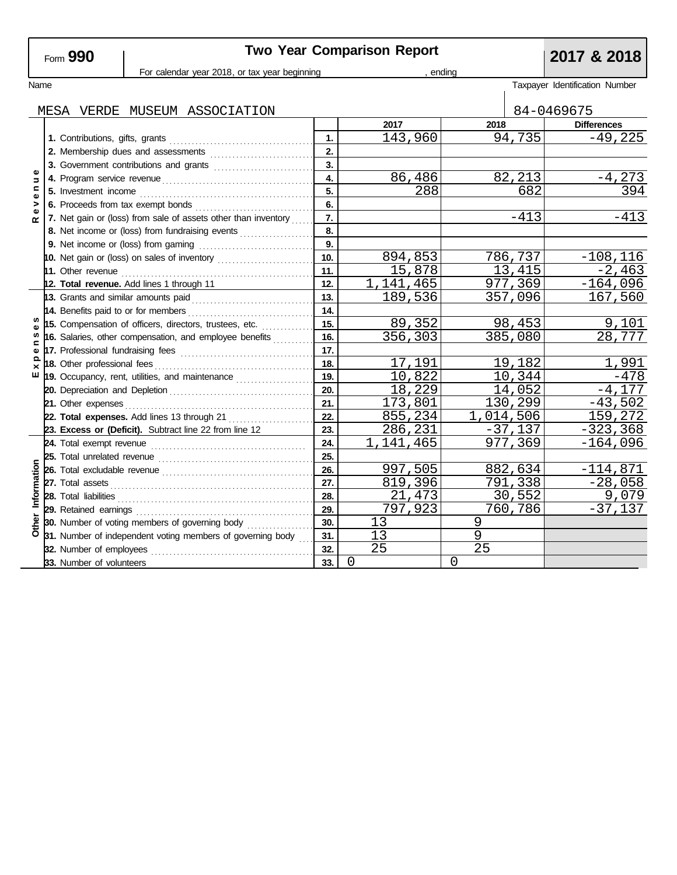| ⊦om <b>ສ</b> | 990 |  |
|--------------|-----|--|
|              |     |  |

# **Two Year Comparison Report**<br> **Price year beginning**<br> **Partic Proportion**<br> **Partic Proportion**<br> **Partic Proportion**

|                      |                                                                | For calendar year 2018, or tax year beginning |           |         | ending    |                      |                                |  |
|----------------------|----------------------------------------------------------------|-----------------------------------------------|-----------|---------|-----------|----------------------|--------------------------------|--|
| Name                 |                                                                |                                               |           |         |           |                      | Taxpayer Identification Number |  |
|                      |                                                                |                                               |           |         |           |                      |                                |  |
|                      | MESA VERDE MUSEUM ASSOCIATION                                  |                                               |           |         |           |                      | 84-0469675                     |  |
|                      |                                                                |                                               | 2017      |         | 2018      |                      | <b>Differences</b>             |  |
|                      |                                                                | 1.                                            |           | 143,960 |           | 94,735               | $-49,225$                      |  |
|                      |                                                                | 2.                                            |           |         |           |                      |                                |  |
| Φ<br>Б<br>$\epsilon$ | 3. Government contributions and grants                         | $\overline{3}$ .                              |           |         |           |                      |                                |  |
|                      |                                                                | 4.                                            |           | 86,486  |           | 82,213               | $-4,273$                       |  |
| Φ                    |                                                                | 5.                                            |           | 288     |           | 682                  | 394                            |  |
| ><br>Φ               |                                                                | 6.                                            |           |         |           |                      |                                |  |
| ≃                    | 7. Net gain or (loss) from sale of assets other than inventory | 7.                                            |           |         |           | $-413$               | $-413$                         |  |
|                      | 8. Net income or (loss) from fundraising events                | 8.                                            |           |         |           |                      |                                |  |
|                      |                                                                | 9.                                            |           |         |           |                      |                                |  |
|                      | 10. Net gain or (loss) on sales of inventory                   | 10.                                           |           | 894,853 |           | 786,737              | $-108, 116$                    |  |
|                      |                                                                | 11.                                           |           | 15,878  |           | 13,415               | $-2,463$                       |  |
|                      | 12. Total revenue. Add lines 1 through 11                      | 12.                                           | 1,141,465 |         |           | 977,369              | $-164,096$                     |  |
|                      | 13. Grants and similar amounts paid                            | 13.                                           |           | 189,536 |           | 357,096              | 167,560                        |  |
| s                    |                                                                | 14.                                           |           |         |           |                      |                                |  |
|                      | 15. Compensation of officers, directors, trustees, etc.        | 15.                                           |           | 89,352  |           | 98,453               | 9,101                          |  |
| $\blacksquare$       | 16. Salaries, other compensation, and employee benefits        | 16.                                           |           | 356,303 |           | 385,080              | 28,777                         |  |
| Φ                    |                                                                | 17.                                           |           |         |           |                      |                                |  |
| $\times$<br>ш        |                                                                | 18.                                           |           | 17,191  |           | 19,182               | 1,991                          |  |
|                      | 19. Occupancy, rent, utilities, and maintenance                | 19.                                           |           | 10,822  |           | 10,344               | $-478$                         |  |
|                      |                                                                | 20.                                           |           | 18,229  |           | 14,052               | $-4,177$                       |  |
|                      | 21. Other expenses                                             | 21.<br>22.                                    |           | 173,801 |           | 130,299              | $-43,502$                      |  |
|                      | 22. Total expenses. Add lines 13 through 21                    | 23.                                           |           | 855,234 | 1,014,506 |                      | 159,272                        |  |
|                      | 23. Excess or (Deficit). Subtract line 22 from line 12         | 24.                                           | 1,141,465 | 286,231 |           | $-37,137$<br>977,369 | $-323,368$                     |  |
|                      |                                                                | 25.                                           |           |         |           |                      | $-164,096$                     |  |
|                      |                                                                | 26.                                           |           | 997,505 |           | 882,634              | $-114,871$                     |  |
|                      |                                                                | 27.                                           |           | 819,396 |           | 791,338              | $-28,058$                      |  |
|                      |                                                                | 28.                                           |           | 21,473  |           | 30, 552              | 9,079                          |  |
| Information          | 29. Retained earnings                                          | 29.                                           |           | 797,923 |           | 760,786              | $-37,137$                      |  |
|                      | 30. Number of voting members of governing body                 | 30.                                           | 13        |         | 9         |                      |                                |  |
|                      | 31. Number of independent voting members of governing body     | 31.                                           | 13        |         | 9         |                      |                                |  |
| Other                | 32. Number of employees                                        | 32.                                           | 25        |         | 25        |                      |                                |  |
|                      |                                                                | 33.                                           | 0         |         | $\Omega$  |                      |                                |  |
|                      | 33. Number of volunteers                                       |                                               |           |         |           |                      |                                |  |